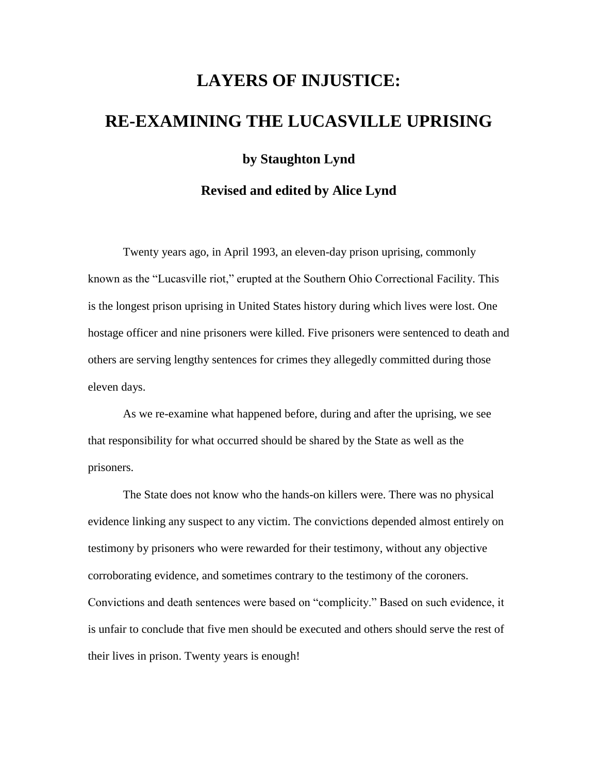# **LAYERS OF INJUSTICE: RE-EXAMINING THE LUCASVILLE UPRISING**

**by Staughton Lynd**

**Revised and edited by Alice Lynd**

Twenty years ago, in April 1993, an eleven-day prison uprising, commonly known as the "Lucasville riot," erupted at the Southern Ohio Correctional Facility. This is the longest prison uprising in United States history during which lives were lost. One hostage officer and nine prisoners were killed. Five prisoners were sentenced to death and others are serving lengthy sentences for crimes they allegedly committed during those eleven days.

As we re-examine what happened before, during and after the uprising, we see that responsibility for what occurred should be shared by the State as well as the prisoners.

The State does not know who the hands-on killers were. There was no physical evidence linking any suspect to any victim. The convictions depended almost entirely on testimony by prisoners who were rewarded for their testimony, without any objective corroborating evidence, and sometimes contrary to the testimony of the coroners. Convictions and death sentences were based on "complicity." Based on such evidence, it is unfair to conclude that five men should be executed and others should serve the rest of their lives in prison. Twenty years is enough!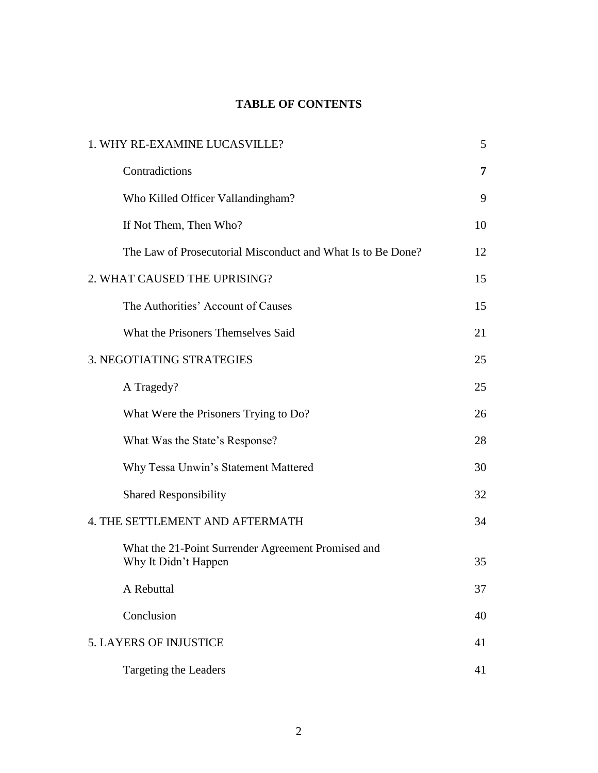# **TABLE OF CONTENTS**

| 1. WHY RE-EXAMINE LUCASVILLE?                                              | 5  |
|----------------------------------------------------------------------------|----|
| Contradictions                                                             | 7  |
| Who Killed Officer Vallandingham?                                          | 9  |
| If Not Them, Then Who?                                                     | 10 |
| The Law of Prosecutorial Misconduct and What Is to Be Done?                | 12 |
| 2. WHAT CAUSED THE UPRISING?                                               |    |
| The Authorities' Account of Causes                                         | 15 |
| What the Prisoners Themselves Said                                         | 21 |
| 3. NEGOTIATING STRATEGIES                                                  |    |
| A Tragedy?                                                                 | 25 |
| What Were the Prisoners Trying to Do?                                      | 26 |
| What Was the State's Response?                                             | 28 |
| Why Tessa Unwin's Statement Mattered                                       | 30 |
| <b>Shared Responsibility</b>                                               | 32 |
| 4. THE SETTLEMENT AND AFTERMATH                                            |    |
| What the 21-Point Surrender Agreement Promised and<br>Why It Didn't Happen | 35 |
| A Rebuttal                                                                 | 37 |
| Conclusion                                                                 | 40 |
| <b>5. LAYERS OF INJUSTICE</b>                                              |    |
| Targeting the Leaders                                                      | 41 |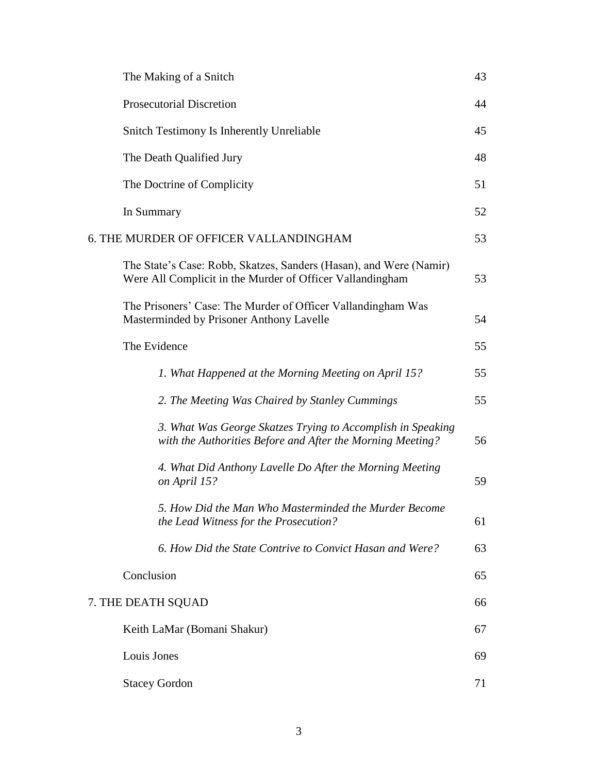| The Making of a Snitch                                                                                                          | 43 |
|---------------------------------------------------------------------------------------------------------------------------------|----|
| <b>Prosecutorial Discretion</b>                                                                                                 | 44 |
| <b>Snitch Testimony Is Inherently Unreliable</b>                                                                                | 45 |
| The Death Qualified Jury                                                                                                        | 48 |
| The Doctrine of Complicity                                                                                                      | 51 |
| In Summary                                                                                                                      | 52 |
| 6. THE MURDER OF OFFICER VALLANDINGHAM                                                                                          | 53 |
| The State's Case: Robb, Skatzes, Sanders (Hasan), and Were (Namir)<br>Were All Complicit in the Murder of Officer Vallandingham | 53 |
| The Prisoners' Case: The Murder of Officer Vallandingham Was<br>Masterminded by Prisoner Anthony Lavelle                        | 54 |
| The Evidence                                                                                                                    | 55 |
| 1. What Happened at the Morning Meeting on April 15?                                                                            | 55 |
| 2. The Meeting Was Chaired by Stanley Cummings                                                                                  | 55 |
| 3. What Was George Skatzes Trying to Accomplish in Speaking<br>with the Authorities Before and After the Morning Meeting?       | 56 |
| 4. What Did Anthony Lavelle Do After the Morning Meeting<br>on April 15?                                                        | 59 |
| 5. How Did the Man Who Masterminded the Murder Become<br>the Lead Witness for the Prosecution?                                  | 61 |
| 6. How Did the State Contrive to Convict Hasan and Were?                                                                        | 63 |
| Conclusion                                                                                                                      | 65 |
| 7. THE DEATH SQUAD                                                                                                              | 66 |
| Keith LaMar (Bomani Shakur)                                                                                                     | 67 |
| Louis Jones                                                                                                                     | 69 |
| <b>Stacey Gordon</b>                                                                                                            | 71 |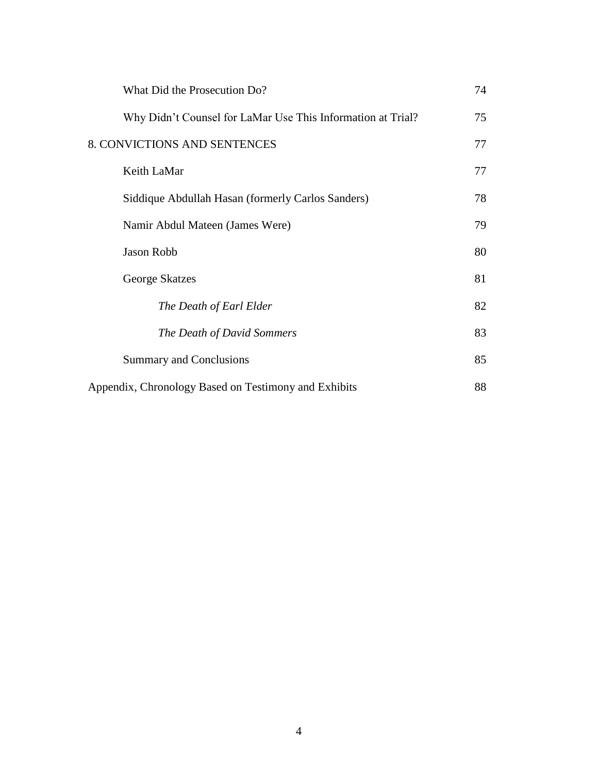| What Did the Prosecution Do?                                | 74 |  |
|-------------------------------------------------------------|----|--|
| Why Didn't Counsel for LaMar Use This Information at Trial? | 75 |  |
| <b>8. CONVICTIONS AND SENTENCES</b>                         |    |  |
| Keith LaMar                                                 | 77 |  |
| Siddique Abdullah Hasan (formerly Carlos Sanders)           | 78 |  |
| Namir Abdul Mateen (James Were)                             | 79 |  |
| <b>Jason Robb</b>                                           | 80 |  |
| George Skatzes                                              | 81 |  |
| The Death of Earl Elder                                     | 82 |  |
| The Death of David Sommers                                  | 83 |  |
| <b>Summary and Conclusions</b>                              | 85 |  |
| Appendix, Chronology Based on Testimony and Exhibits        |    |  |
|                                                             |    |  |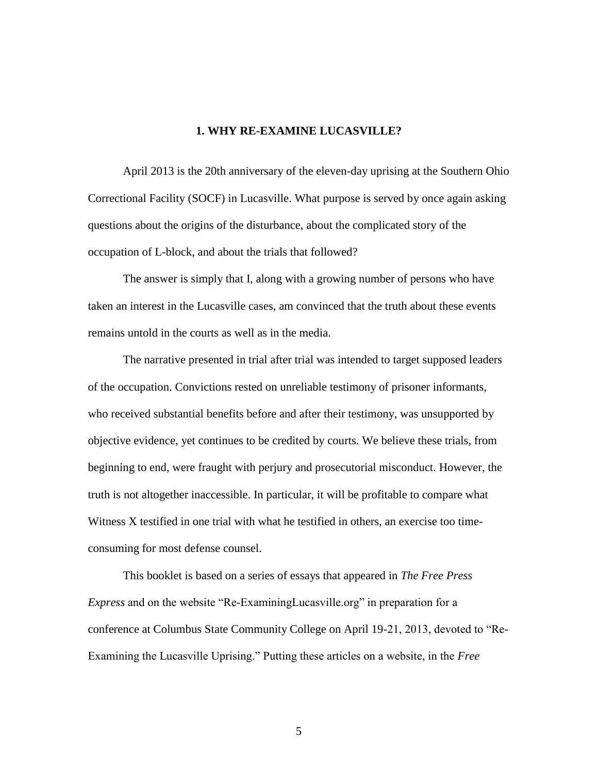# **1. WHY RE-EXAMINE LUCASVILLE?**

April 2013 is the 20th anniversary of the eleven-day uprising at the Southern Ohio Correctional Facility (SOCF) in Lucasville. What purpose is served by once again asking questions about the origins of the disturbance, about the complicated story of the occupation of L-block, and about the trials that followed?

The answer is simply that I, along with a growing number of persons who have taken an interest in the Lucasville cases, am convinced that the truth about these events remains untold in the courts as well as in the media.

The narrative presented in trial after trial was intended to target supposed leaders of the occupation. Convictions rested on unreliable testimony of prisoner informants, who received substantial benefits before and after their testimony, was unsupported by objective evidence, yet continues to be credited by courts. We believe these trials, from beginning to end, were fraught with perjury and prosecutorial misconduct. However, the truth is not altogether inaccessible. In particular, it will be profitable to compare what Witness X testified in one trial with what he testified in others, an exercise too timeconsuming for most defense counsel.

This booklet is based on a series of essays that appeared in *The Free Press Express* and on the website "Re-ExaminingLucasville.org" in preparation for a conference at Columbus State Community College on April 19-21, 2013, devoted to "Re-Examining the Lucasville Uprising." Putting these articles on a website, in the *Free*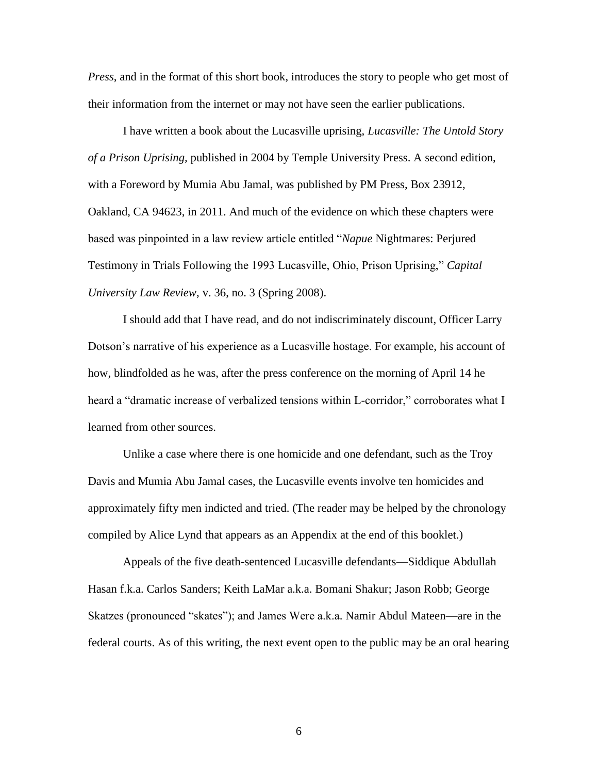*Press*, and in the format of this short book, introduces the story to people who get most of their information from the internet or may not have seen the earlier publications.

I have written a book about the Lucasville uprising, *Lucasville: The Untold Story of a Prison Uprising,* published in 2004 by Temple University Press. A second edition, with a Foreword by Mumia Abu Jamal, was published by PM Press, Box 23912, Oakland, CA 94623, in 2011. And much of the evidence on which these chapters were based was pinpointed in a law review article entitled "*Napue* Nightmares: Perjured Testimony in Trials Following the 1993 Lucasville, Ohio, Prison Uprising," *Capital University Law Review*, v. 36, no. 3 (Spring 2008).

I should add that I have read, and do not indiscriminately discount, Officer Larry Dotson's narrative of his experience as a Lucasville hostage. For example, his account of how, blindfolded as he was, after the press conference on the morning of April 14 he heard a "dramatic increase of verbalized tensions within L-corridor," corroborates what I learned from other sources.

Unlike a case where there is one homicide and one defendant, such as the Troy Davis and Mumia Abu Jamal cases, the Lucasville events involve ten homicides and approximately fifty men indicted and tried. (The reader may be helped by the chronology compiled by Alice Lynd that appears as an Appendix at the end of this booklet.)

Appeals of the five death-sentenced Lucasville defendants—Siddique Abdullah Hasan f.k.a. Carlos Sanders; Keith LaMar a.k.a. Bomani Shakur; Jason Robb; George Skatzes (pronounced "skates"); and James Were a.k.a. Namir Abdul Mateen—are in the federal courts. As of this writing, the next event open to the public may be an oral hearing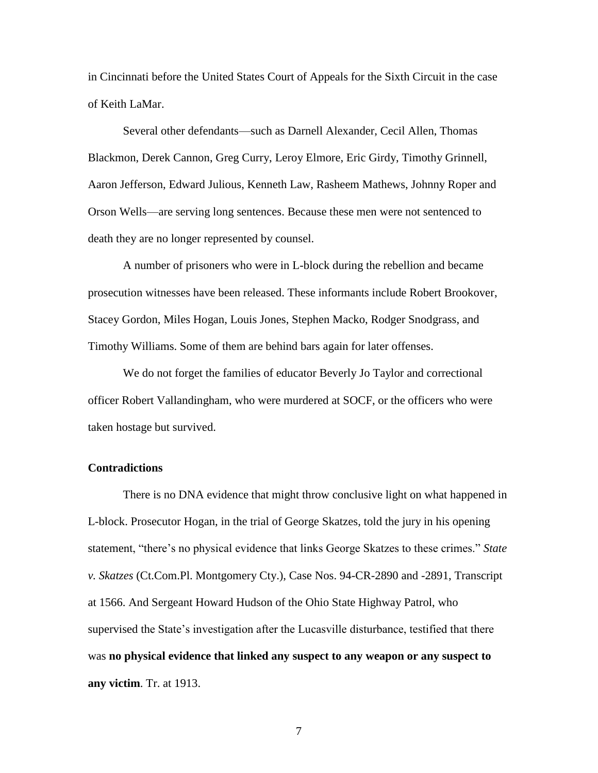in Cincinnati before the United States Court of Appeals for the Sixth Circuit in the case of Keith LaMar.

Several other defendants—such as Darnell Alexander, Cecil Allen, Thomas Blackmon, Derek Cannon, Greg Curry, Leroy Elmore, Eric Girdy, Timothy Grinnell, Aaron Jefferson, Edward Julious, Kenneth Law, Rasheem Mathews, Johnny Roper and Orson Wells—are serving long sentences. Because these men were not sentenced to death they are no longer represented by counsel.

A number of prisoners who were in L-block during the rebellion and became prosecution witnesses have been released. These informants include Robert Brookover, Stacey Gordon, Miles Hogan, Louis Jones, Stephen Macko, Rodger Snodgrass, and Timothy Williams. Some of them are behind bars again for later offenses.

We do not forget the families of educator Beverly Jo Taylor and correctional officer Robert Vallandingham, who were murdered at SOCF, or the officers who were taken hostage but survived.

# **Contradictions**

There is no DNA evidence that might throw conclusive light on what happened in L-block. Prosecutor Hogan, in the trial of George Skatzes, told the jury in his opening statement, "there's no physical evidence that links George Skatzes to these crimes." *State v. Skatzes* (Ct.Com.Pl. Montgomery Cty.), Case Nos. 94-CR-2890 and -2891, Transcript at 1566. And Sergeant Howard Hudson of the Ohio State Highway Patrol, who supervised the State's investigation after the Lucasville disturbance, testified that there was **no physical evidence that linked any suspect to any weapon or any suspect to any victim**. Tr. at 1913.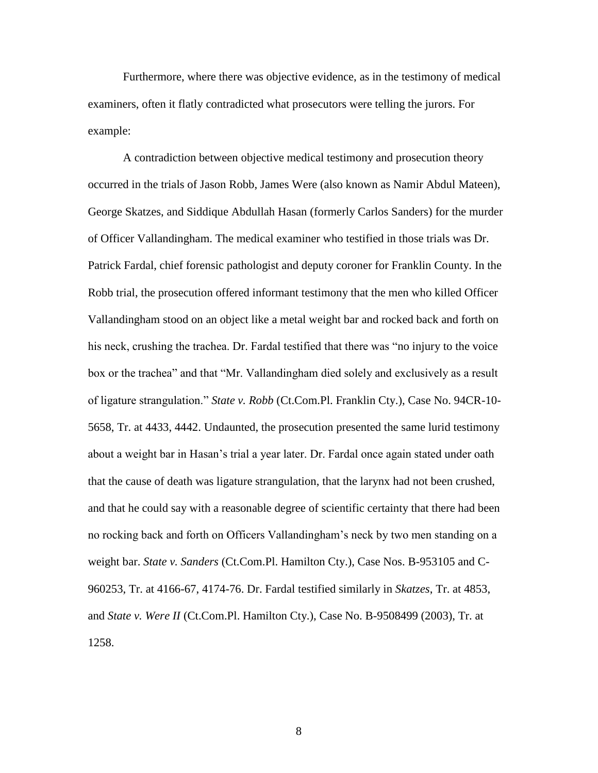Furthermore, where there was objective evidence, as in the testimony of medical examiners, often it flatly contradicted what prosecutors were telling the jurors. For example:

A contradiction between objective medical testimony and prosecution theory occurred in the trials of Jason Robb, James Were (also known as Namir Abdul Mateen), George Skatzes, and Siddique Abdullah Hasan (formerly Carlos Sanders) for the murder of Officer Vallandingham. The medical examiner who testified in those trials was Dr. Patrick Fardal, chief forensic pathologist and deputy coroner for Franklin County. In the Robb trial, the prosecution offered informant testimony that the men who killed Officer Vallandingham stood on an object like a metal weight bar and rocked back and forth on his neck, crushing the trachea. Dr. Fardal testified that there was "no injury to the voice box or the trachea" and that "Mr. Vallandingham died solely and exclusively as a result of ligature strangulation." *State v. Robb* (Ct.Com.Pl. Franklin Cty.), Case No. 94CR-10- 5658, Tr. at 4433, 4442. Undaunted, the prosecution presented the same lurid testimony about a weight bar in Hasan's trial a year later. Dr. Fardal once again stated under oath that the cause of death was ligature strangulation, that the larynx had not been crushed, and that he could say with a reasonable degree of scientific certainty that there had been no rocking back and forth on Officers Vallandingham's neck by two men standing on a weight bar. *State v. Sanders* (Ct.Com.Pl. Hamilton Cty.), Case Nos. B-953105 and C-960253, Tr. at 4166-67, 4174-76. Dr. Fardal testified similarly in *Skatzes*, Tr. at 4853, and *State v. Were II* (Ct.Com.Pl. Hamilton Cty.), Case No. B-9508499 (2003), Tr. at 1258.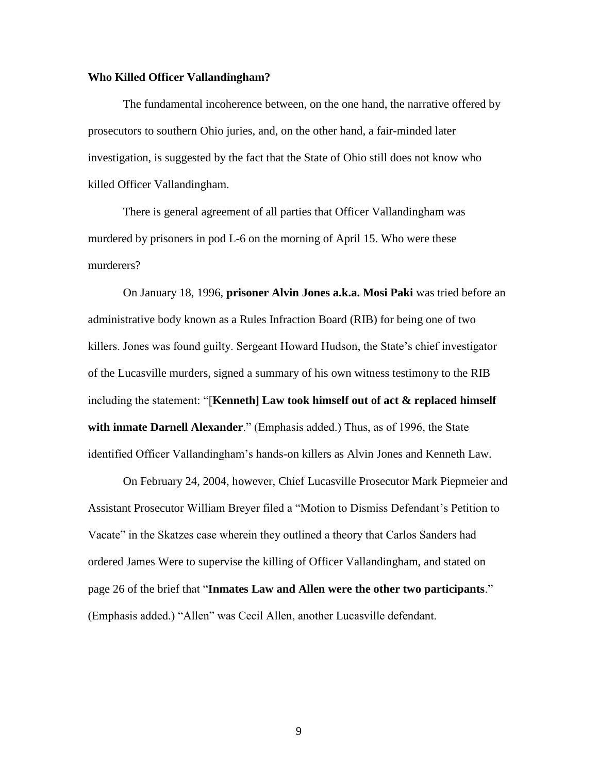#### **Who Killed Officer Vallandingham?**

The fundamental incoherence between, on the one hand, the narrative offered by prosecutors to southern Ohio juries, and, on the other hand, a fair-minded later investigation, is suggested by the fact that the State of Ohio still does not know who killed Officer Vallandingham.

There is general agreement of all parties that Officer Vallandingham was murdered by prisoners in pod L-6 on the morning of April 15. Who were these murderers?

On January 18, 1996, **prisoner Alvin Jones a.k.a. Mosi Paki** was tried before an administrative body known as a Rules Infraction Board (RIB) for being one of two killers. Jones was found guilty. Sergeant Howard Hudson, the State's chief investigator of the Lucasville murders, signed a summary of his own witness testimony to the RIB including the statement: "[**Kenneth] Law took himself out of act & replaced himself with inmate Darnell Alexander**." (Emphasis added.) Thus, as of 1996, the State identified Officer Vallandingham's hands-on killers as Alvin Jones and Kenneth Law.

On February 24, 2004, however, Chief Lucasville Prosecutor Mark Piepmeier and Assistant Prosecutor William Breyer filed a "Motion to Dismiss Defendant's Petition to Vacate" in the Skatzes case wherein they outlined a theory that Carlos Sanders had ordered James Were to supervise the killing of Officer Vallandingham, and stated on page 26 of the brief that "**Inmates Law and Allen were the other two participants**." (Emphasis added.) "Allen" was Cecil Allen, another Lucasville defendant.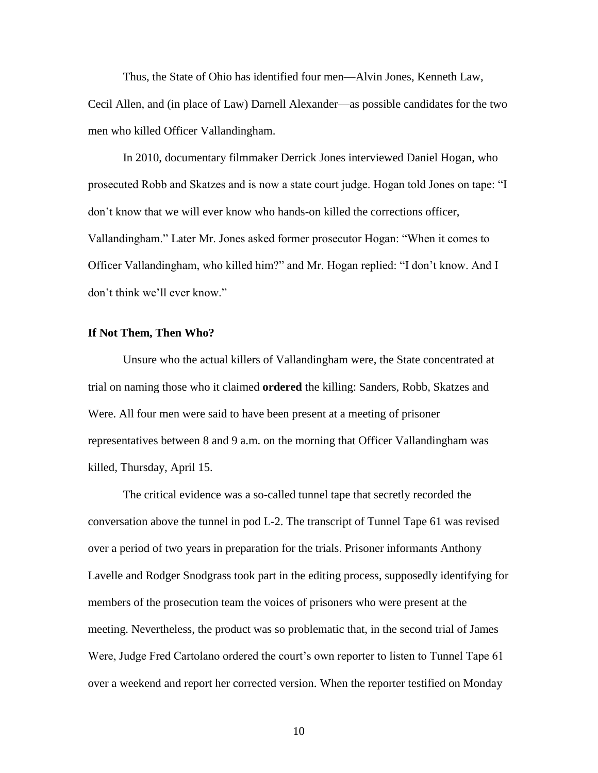Thus, the State of Ohio has identified four men—Alvin Jones, Kenneth Law, Cecil Allen, and (in place of Law) Darnell Alexander—as possible candidates for the two men who killed Officer Vallandingham.

In 2010, documentary filmmaker Derrick Jones interviewed Daniel Hogan, who prosecuted Robb and Skatzes and is now a state court judge. Hogan told Jones on tape: "I don't know that we will ever know who hands-on killed the corrections officer, Vallandingham." Later Mr. Jones asked former prosecutor Hogan: "When it comes to Officer Vallandingham, who killed him?" and Mr. Hogan replied: "I don't know. And I don't think we'll ever know."

## **If Not Them, Then Who?**

Unsure who the actual killers of Vallandingham were, the State concentrated at trial on naming those who it claimed **ordered** the killing: Sanders, Robb, Skatzes and Were. All four men were said to have been present at a meeting of prisoner representatives between 8 and 9 a.m. on the morning that Officer Vallandingham was killed, Thursday, April 15.

The critical evidence was a so-called tunnel tape that secretly recorded the conversation above the tunnel in pod L-2. The transcript of Tunnel Tape 61 was revised over a period of two years in preparation for the trials. Prisoner informants Anthony Lavelle and Rodger Snodgrass took part in the editing process, supposedly identifying for members of the prosecution team the voices of prisoners who were present at the meeting. Nevertheless, the product was so problematic that, in the second trial of James Were, Judge Fred Cartolano ordered the court's own reporter to listen to Tunnel Tape 61 over a weekend and report her corrected version. When the reporter testified on Monday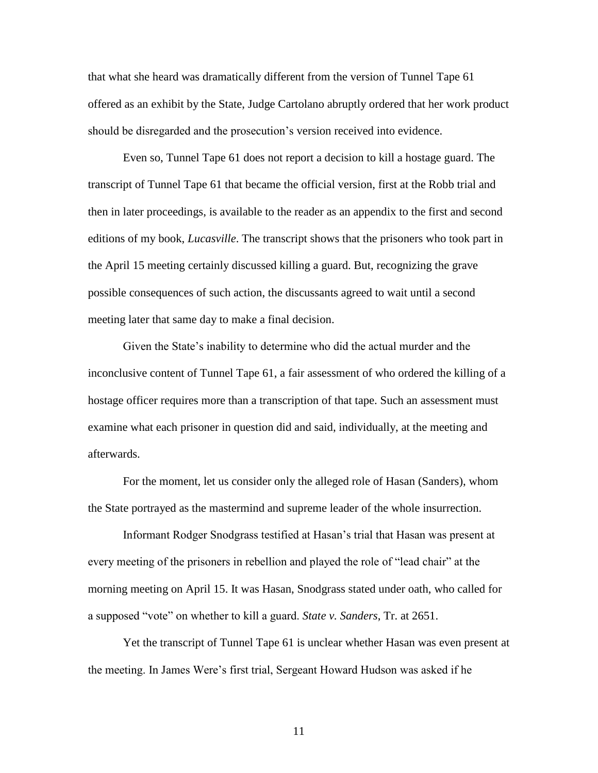that what she heard was dramatically different from the version of Tunnel Tape 61 offered as an exhibit by the State, Judge Cartolano abruptly ordered that her work product should be disregarded and the prosecution's version received into evidence.

Even so, Tunnel Tape 61 does not report a decision to kill a hostage guard. The transcript of Tunnel Tape 61 that became the official version, first at the Robb trial and then in later proceedings, is available to the reader as an appendix to the first and second editions of my book, *Lucasville*. The transcript shows that the prisoners who took part in the April 15 meeting certainly discussed killing a guard. But, recognizing the grave possible consequences of such action, the discussants agreed to wait until a second meeting later that same day to make a final decision.

Given the State's inability to determine who did the actual murder and the inconclusive content of Tunnel Tape 61, a fair assessment of who ordered the killing of a hostage officer requires more than a transcription of that tape. Such an assessment must examine what each prisoner in question did and said, individually, at the meeting and afterwards.

For the moment, let us consider only the alleged role of Hasan (Sanders), whom the State portrayed as the mastermind and supreme leader of the whole insurrection.

Informant Rodger Snodgrass testified at Hasan's trial that Hasan was present at every meeting of the prisoners in rebellion and played the role of "lead chair" at the morning meeting on April 15. It was Hasan, Snodgrass stated under oath, who called for a supposed "vote" on whether to kill a guard. *State v. Sanders*, Tr. at 2651.

Yet the transcript of Tunnel Tape 61 is unclear whether Hasan was even present at the meeting. In James Were's first trial, Sergeant Howard Hudson was asked if he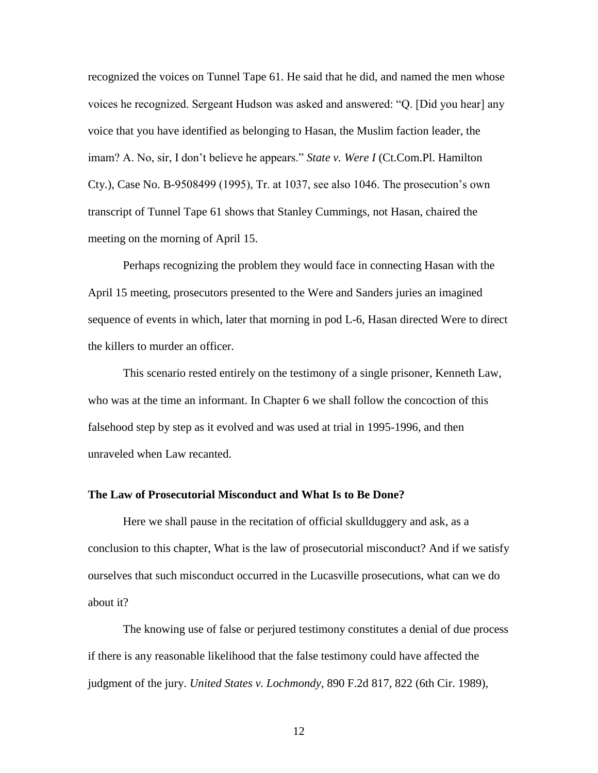recognized the voices on Tunnel Tape 61. He said that he did, and named the men whose voices he recognized. Sergeant Hudson was asked and answered: "Q. [Did you hear] any voice that you have identified as belonging to Hasan, the Muslim faction leader, the imam? A. No, sir, I don't believe he appears." *State v. Were I* (Ct.Com.Pl. Hamilton Cty.), Case No. B-9508499 (1995), Tr. at 1037, see also 1046. The prosecution's own transcript of Tunnel Tape 61 shows that Stanley Cummings, not Hasan, chaired the meeting on the morning of April 15.

Perhaps recognizing the problem they would face in connecting Hasan with the April 15 meeting, prosecutors presented to the Were and Sanders juries an imagined sequence of events in which, later that morning in pod L-6, Hasan directed Were to direct the killers to murder an officer.

This scenario rested entirely on the testimony of a single prisoner, Kenneth Law, who was at the time an informant. In Chapter 6 we shall follow the concoction of this falsehood step by step as it evolved and was used at trial in 1995-1996, and then unraveled when Law recanted.

#### **The Law of Prosecutorial Misconduct and What Is to Be Done?**

Here we shall pause in the recitation of official skullduggery and ask, as a conclusion to this chapter, What is the law of prosecutorial misconduct? And if we satisfy ourselves that such misconduct occurred in the Lucasville prosecutions, what can we do about it?

The knowing use of false or perjured testimony constitutes a denial of due process if there is any reasonable likelihood that the false testimony could have affected the judgment of the jury. *United States v. Lochmondy*, 890 F.2d 817, 822 (6th Cir. 1989),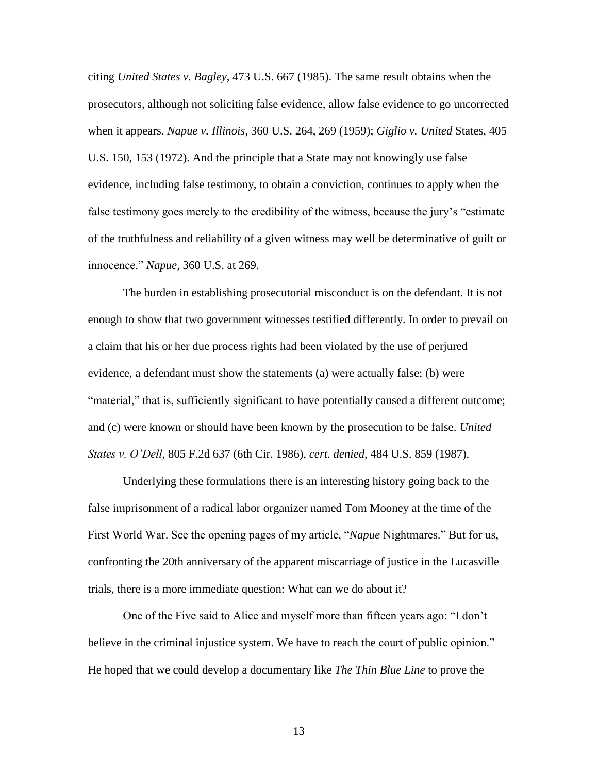citing *United States v. Bagley*, 473 U.S. 667 (1985). The same result obtains when the prosecutors, although not soliciting false evidence, allow false evidence to go uncorrected when it appears. *Napue v. Illinois*, 360 U.S. 264, 269 (1959); *Giglio v. United* States, 405 U.S. 150, 153 (1972). And the principle that a State may not knowingly use false evidence, including false testimony, to obtain a conviction, continues to apply when the false testimony goes merely to the credibility of the witness, because the jury's "estimate of the truthfulness and reliability of a given witness may well be determinative of guilt or innocence." *Napue*, 360 U.S. at 269.

The burden in establishing prosecutorial misconduct is on the defendant. It is not enough to show that two government witnesses testified differently. In order to prevail on a claim that his or her due process rights had been violated by the use of perjured evidence, a defendant must show the statements (a) were actually false; (b) were "material," that is, sufficiently significant to have potentially caused a different outcome; and (c) were known or should have been known by the prosecution to be false. *United States v. O'Dell*, 805 F.2d 637 (6th Cir. 1986), *cert. denied*, 484 U.S. 859 (1987).

Underlying these formulations there is an interesting history going back to the false imprisonment of a radical labor organizer named Tom Mooney at the time of the First World War. See the opening pages of my article, "*Napue* Nightmares." But for us, confronting the 20th anniversary of the apparent miscarriage of justice in the Lucasville trials, there is a more immediate question: What can we do about it?

One of the Five said to Alice and myself more than fifteen years ago: "I don't believe in the criminal injustice system. We have to reach the court of public opinion." He hoped that we could develop a documentary like *The Thin Blue Line* to prove the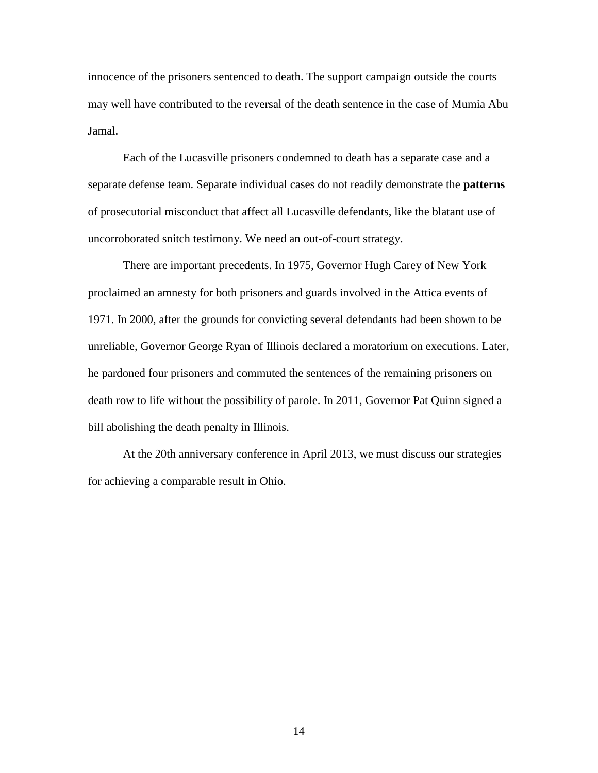innocence of the prisoners sentenced to death. The support campaign outside the courts may well have contributed to the reversal of the death sentence in the case of Mumia Abu Jamal.

Each of the Lucasville prisoners condemned to death has a separate case and a separate defense team. Separate individual cases do not readily demonstrate the **patterns** of prosecutorial misconduct that affect all Lucasville defendants, like the blatant use of uncorroborated snitch testimony. We need an out-of-court strategy.

There are important precedents. In 1975, Governor Hugh Carey of New York proclaimed an amnesty for both prisoners and guards involved in the Attica events of 1971. In 2000, after the grounds for convicting several defendants had been shown to be unreliable, Governor George Ryan of Illinois declared a moratorium on executions. Later, he pardoned four prisoners and commuted the sentences of the remaining prisoners on death row to life without the possibility of parole. In 2011, Governor Pat Quinn signed a bill abolishing the death penalty in Illinois.

At the 20th anniversary conference in April 2013, we must discuss our strategies for achieving a comparable result in Ohio.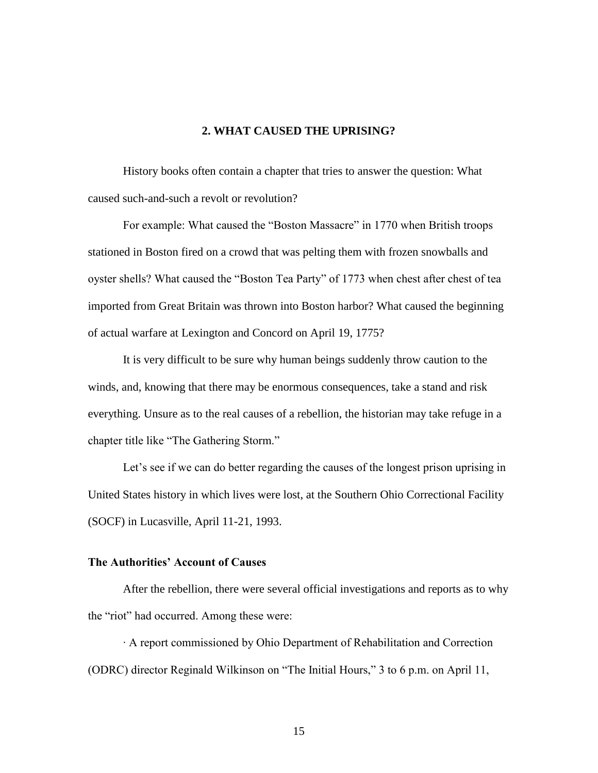# **2. WHAT CAUSED THE UPRISING?**

History books often contain a chapter that tries to answer the question: What caused such-and-such a revolt or revolution?

For example: What caused the "Boston Massacre" in 1770 when British troops stationed in Boston fired on a crowd that was pelting them with frozen snowballs and oyster shells? What caused the "Boston Tea Party" of 1773 when chest after chest of tea imported from Great Britain was thrown into Boston harbor? What caused the beginning of actual warfare at Lexington and Concord on April 19, 1775?

It is very difficult to be sure why human beings suddenly throw caution to the winds, and, knowing that there may be enormous consequences, take a stand and risk everything. Unsure as to the real causes of a rebellion, the historian may take refuge in a chapter title like "The Gathering Storm."

Let's see if we can do better regarding the causes of the longest prison uprising in United States history in which lives were lost, at the Southern Ohio Correctional Facility (SOCF) in Lucasville, April 11-21, 1993.

#### **The Authorities' Account of Causes**

After the rebellion, there were several official investigations and reports as to why the "riot" had occurred. Among these were:

∙ A report commissioned by Ohio Department of Rehabilitation and Correction (ODRC) director Reginald Wilkinson on "The Initial Hours," 3 to 6 p.m. on April 11,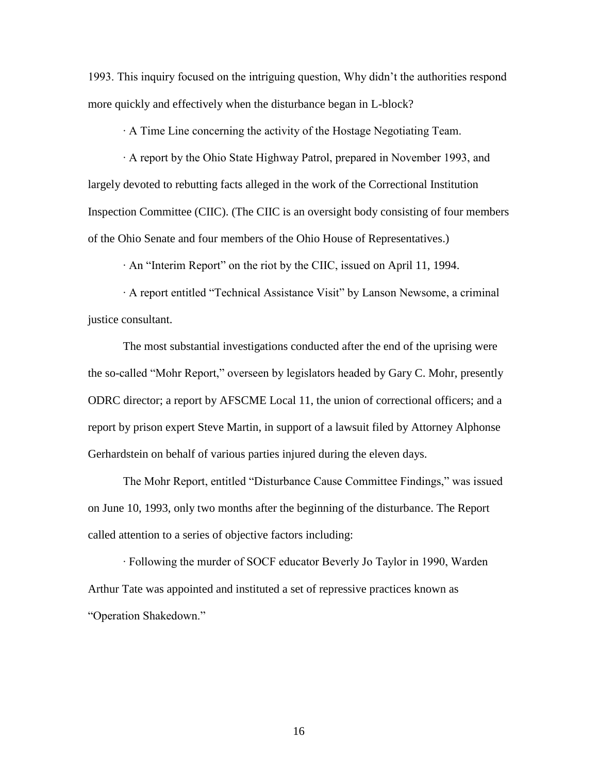1993. This inquiry focused on the intriguing question, Why didn't the authorities respond more quickly and effectively when the disturbance began in L-block?

∙ A Time Line concerning the activity of the Hostage Negotiating Team.

∙ A report by the Ohio State Highway Patrol, prepared in November 1993, and largely devoted to rebutting facts alleged in the work of the Correctional Institution Inspection Committee (CIIC). (The CIIC is an oversight body consisting of four members of the Ohio Senate and four members of the Ohio House of Representatives.)

∙ An "Interim Report" on the riot by the CIIC, issued on April 11, 1994.

∙ A report entitled "Technical Assistance Visit" by Lanson Newsome, a criminal justice consultant.

The most substantial investigations conducted after the end of the uprising were the so-called "Mohr Report," overseen by legislators headed by Gary C. Mohr, presently ODRC director; a report by AFSCME Local 11, the union of correctional officers; and a report by prison expert Steve Martin, in support of a lawsuit filed by Attorney Alphonse Gerhardstein on behalf of various parties injured during the eleven days.

The Mohr Report, entitled "Disturbance Cause Committee Findings," was issued on June 10, 1993, only two months after the beginning of the disturbance. The Report called attention to a series of objective factors including:

∙ Following the murder of SOCF educator Beverly Jo Taylor in 1990, Warden Arthur Tate was appointed and instituted a set of repressive practices known as "Operation Shakedown."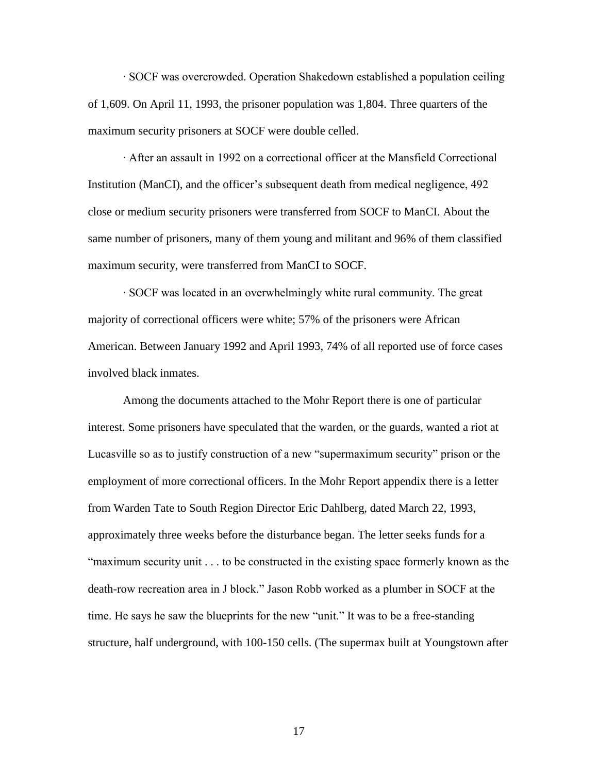∙ SOCF was overcrowded. Operation Shakedown established a population ceiling of 1,609. On April 11, 1993, the prisoner population was 1,804. Three quarters of the maximum security prisoners at SOCF were double celled.

∙ After an assault in 1992 on a correctional officer at the Mansfield Correctional Institution (ManCI), and the officer's subsequent death from medical negligence, 492 close or medium security prisoners were transferred from SOCF to ManCI. About the same number of prisoners, many of them young and militant and 96% of them classified maximum security, were transferred from ManCI to SOCF.

∙ SOCF was located in an overwhelmingly white rural community. The great majority of correctional officers were white; 57% of the prisoners were African American. Between January 1992 and April 1993, 74% of all reported use of force cases involved black inmates.

Among the documents attached to the Mohr Report there is one of particular interest. Some prisoners have speculated that the warden, or the guards, wanted a riot at Lucasville so as to justify construction of a new "supermaximum security" prison or the employment of more correctional officers. In the Mohr Report appendix there is a letter from Warden Tate to South Region Director Eric Dahlberg, dated March 22, 1993, approximately three weeks before the disturbance began. The letter seeks funds for a "maximum security unit . . . to be constructed in the existing space formerly known as the death-row recreation area in J block." Jason Robb worked as a plumber in SOCF at the time. He says he saw the blueprints for the new "unit." It was to be a free-standing structure, half underground, with 100-150 cells. (The supermax built at Youngstown after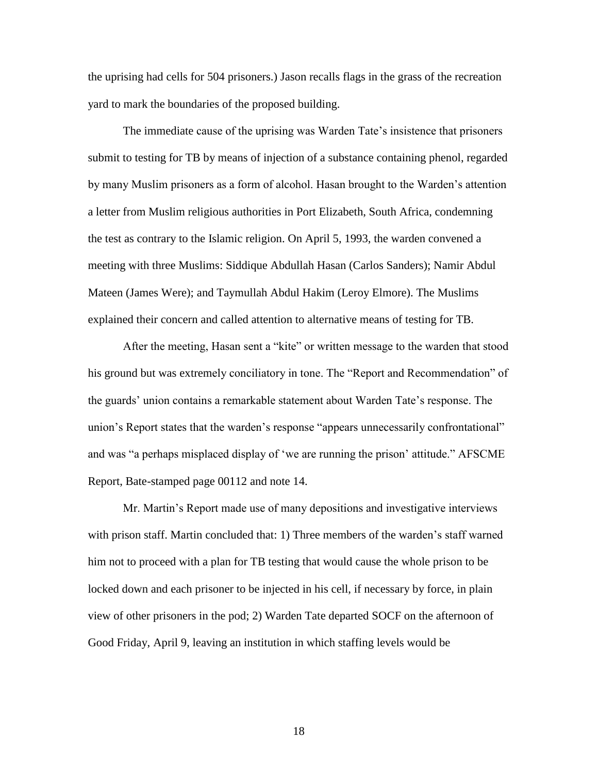the uprising had cells for 504 prisoners.) Jason recalls flags in the grass of the recreation yard to mark the boundaries of the proposed building.

The immediate cause of the uprising was Warden Tate's insistence that prisoners submit to testing for TB by means of injection of a substance containing phenol, regarded by many Muslim prisoners as a form of alcohol. Hasan brought to the Warden's attention a letter from Muslim religious authorities in Port Elizabeth, South Africa, condemning the test as contrary to the Islamic religion. On April 5, 1993, the warden convened a meeting with three Muslims: Siddique Abdullah Hasan (Carlos Sanders); Namir Abdul Mateen (James Were); and Taymullah Abdul Hakim (Leroy Elmore). The Muslims explained their concern and called attention to alternative means of testing for TB.

After the meeting, Hasan sent a "kite" or written message to the warden that stood his ground but was extremely conciliatory in tone. The "Report and Recommendation" of the guards' union contains a remarkable statement about Warden Tate's response. The union's Report states that the warden's response "appears unnecessarily confrontational" and was "a perhaps misplaced display of 'we are running the prison' attitude." AFSCME Report, Bate-stamped page 00112 and note 14.

Mr. Martin's Report made use of many depositions and investigative interviews with prison staff. Martin concluded that: 1) Three members of the warden's staff warned him not to proceed with a plan for TB testing that would cause the whole prison to be locked down and each prisoner to be injected in his cell, if necessary by force, in plain view of other prisoners in the pod; 2) Warden Tate departed SOCF on the afternoon of Good Friday, April 9, leaving an institution in which staffing levels would be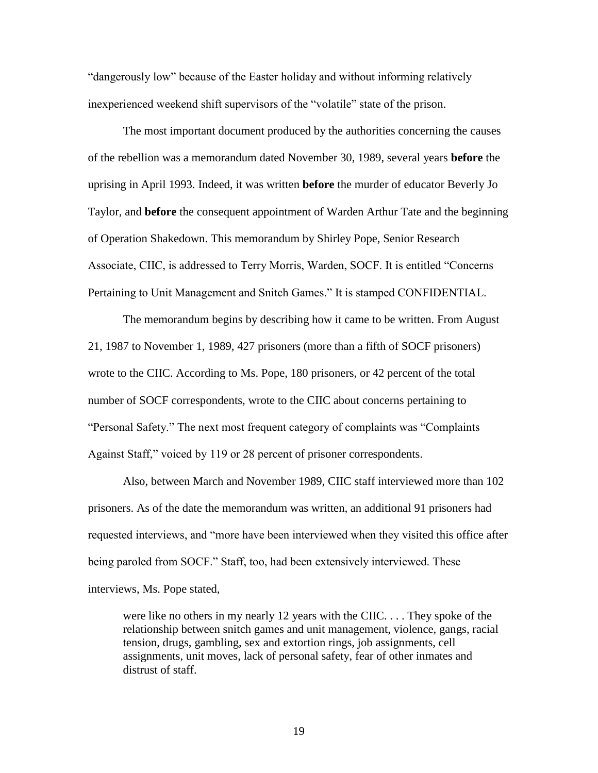"dangerously low" because of the Easter holiday and without informing relatively inexperienced weekend shift supervisors of the "volatile" state of the prison.

The most important document produced by the authorities concerning the causes of the rebellion was a memorandum dated November 30, 1989, several years **before** the uprising in April 1993. Indeed, it was written **before** the murder of educator Beverly Jo Taylor, and **before** the consequent appointment of Warden Arthur Tate and the beginning of Operation Shakedown. This memorandum by Shirley Pope, Senior Research Associate, CIIC, is addressed to Terry Morris, Warden, SOCF. It is entitled "Concerns Pertaining to Unit Management and Snitch Games." It is stamped CONFIDENTIAL.

The memorandum begins by describing how it came to be written. From August 21, 1987 to November 1, 1989, 427 prisoners (more than a fifth of SOCF prisoners) wrote to the CIIC. According to Ms. Pope, 180 prisoners, or 42 percent of the total number of SOCF correspondents, wrote to the CIIC about concerns pertaining to "Personal Safety." The next most frequent category of complaints was "Complaints Against Staff," voiced by 119 or 28 percent of prisoner correspondents.

Also, between March and November 1989, CIIC staff interviewed more than 102 prisoners. As of the date the memorandum was written, an additional 91 prisoners had requested interviews, and "more have been interviewed when they visited this office after being paroled from SOCF." Staff, too, had been extensively interviewed. These interviews, Ms. Pope stated,

were like no others in my nearly 12 years with the CIIC. . . . They spoke of the relationship between snitch games and unit management, violence, gangs, racial tension, drugs, gambling, sex and extortion rings, job assignments, cell assignments, unit moves, lack of personal safety, fear of other inmates and distrust of staff.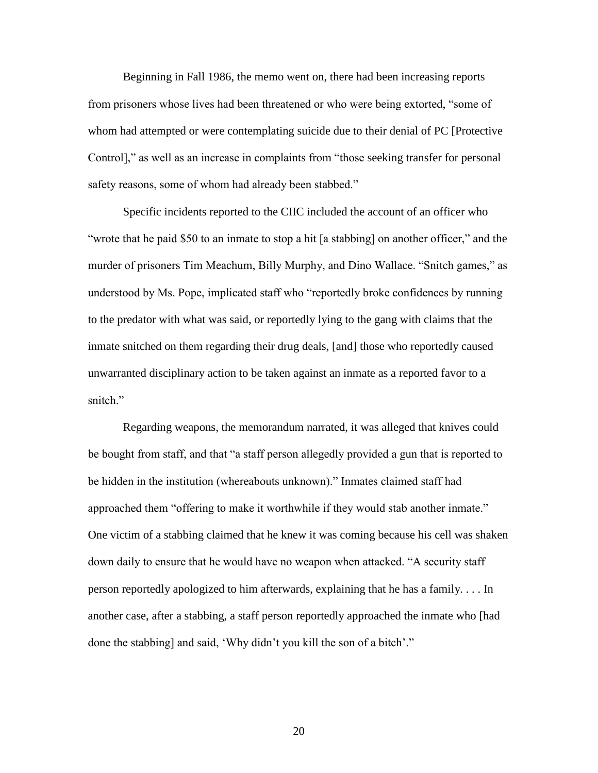Beginning in Fall 1986, the memo went on, there had been increasing reports from prisoners whose lives had been threatened or who were being extorted, "some of whom had attempted or were contemplating suicide due to their denial of PC [Protective Control]," as well as an increase in complaints from "those seeking transfer for personal safety reasons, some of whom had already been stabbed."

Specific incidents reported to the CIIC included the account of an officer who "wrote that he paid \$50 to an inmate to stop a hit [a stabbing] on another officer," and the murder of prisoners Tim Meachum, Billy Murphy, and Dino Wallace. "Snitch games," as understood by Ms. Pope, implicated staff who "reportedly broke confidences by running to the predator with what was said, or reportedly lying to the gang with claims that the inmate snitched on them regarding their drug deals, [and] those who reportedly caused unwarranted disciplinary action to be taken against an inmate as a reported favor to a snitch."

Regarding weapons, the memorandum narrated, it was alleged that knives could be bought from staff, and that "a staff person allegedly provided a gun that is reported to be hidden in the institution (whereabouts unknown)." Inmates claimed staff had approached them "offering to make it worthwhile if they would stab another inmate." One victim of a stabbing claimed that he knew it was coming because his cell was shaken down daily to ensure that he would have no weapon when attacked. "A security staff person reportedly apologized to him afterwards, explaining that he has a family. . . . In another case, after a stabbing, a staff person reportedly approached the inmate who [had done the stabbing] and said, 'Why didn't you kill the son of a bitch'."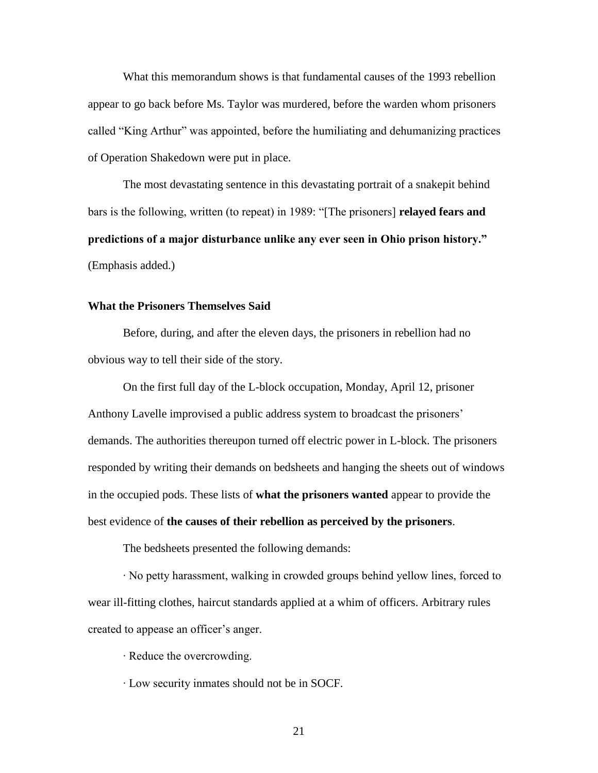What this memorandum shows is that fundamental causes of the 1993 rebellion appear to go back before Ms. Taylor was murdered, before the warden whom prisoners called "King Arthur" was appointed, before the humiliating and dehumanizing practices of Operation Shakedown were put in place.

The most devastating sentence in this devastating portrait of a snakepit behind bars is the following, written (to repeat) in 1989: "[The prisoners] **relayed fears and predictions of a major disturbance unlike any ever seen in Ohio prison history."** (Emphasis added.)

## **What the Prisoners Themselves Said**

Before, during, and after the eleven days, the prisoners in rebellion had no obvious way to tell their side of the story.

On the first full day of the L-block occupation, Monday, April 12, prisoner Anthony Lavelle improvised a public address system to broadcast the prisoners' demands. The authorities thereupon turned off electric power in L-block. The prisoners responded by writing their demands on bedsheets and hanging the sheets out of windows in the occupied pods. These lists of **what the prisoners wanted** appear to provide the best evidence of **the causes of their rebellion as perceived by the prisoners**.

The bedsheets presented the following demands:

∙ No petty harassment, walking in crowded groups behind yellow lines, forced to wear ill-fitting clothes, haircut standards applied at a whim of officers. Arbitrary rules created to appease an officer's anger.

∙ Reduce the overcrowding.

∙ Low security inmates should not be in SOCF.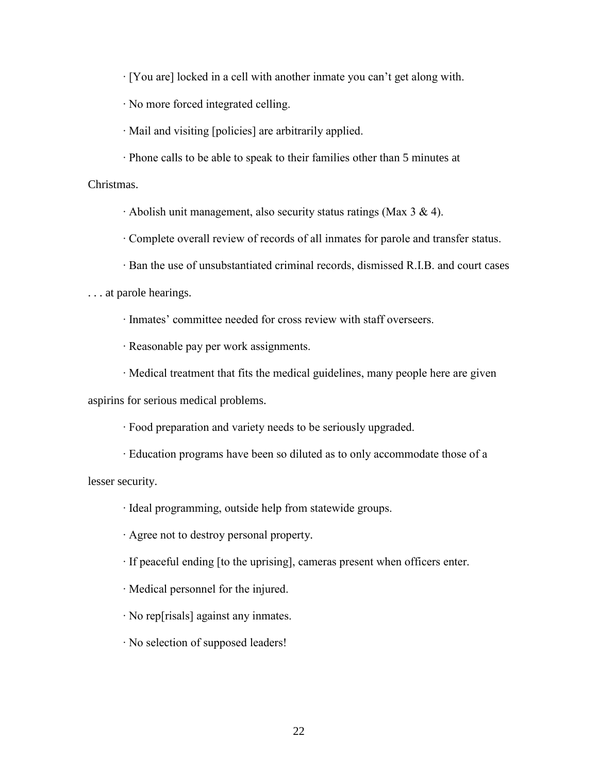∙ [You are] locked in a cell with another inmate you can't get along with.

∙ No more forced integrated celling.

∙ Mail and visiting [policies] are arbitrarily applied.

∙ Phone calls to be able to speak to their families other than 5 minutes at Christmas.

∙ Abolish unit management, also security status ratings (Max 3 & 4).

∙ Complete overall review of records of all inmates for parole and transfer status.

∙ Ban the use of unsubstantiated criminal records, dismissed R.I.B. and court cases

. . . at parole hearings.

∙ Inmates' committee needed for cross review with staff overseers.

∙ Reasonable pay per work assignments.

∙ Medical treatment that fits the medical guidelines, many people here are given

aspirins for serious medical problems.

∙ Food preparation and variety needs to be seriously upgraded.

∙ Education programs have been so diluted as to only accommodate those of a lesser security.

∙ Ideal programming, outside help from statewide groups.

∙ Agree not to destroy personal property.

∙ If peaceful ending [to the uprising], cameras present when officers enter.

∙ Medical personnel for the injured.

∙ No rep[risals] against any inmates.

∙ No selection of supposed leaders!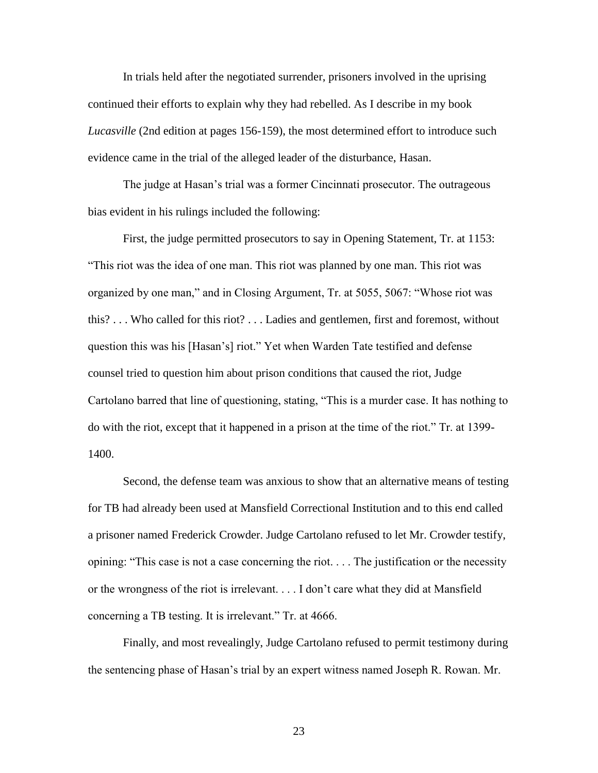In trials held after the negotiated surrender, prisoners involved in the uprising continued their efforts to explain why they had rebelled. As I describe in my book *Lucasville* (2nd edition at pages 156-159), the most determined effort to introduce such evidence came in the trial of the alleged leader of the disturbance, Hasan.

The judge at Hasan's trial was a former Cincinnati prosecutor. The outrageous bias evident in his rulings included the following:

First, the judge permitted prosecutors to say in Opening Statement, Tr. at 1153: "This riot was the idea of one man. This riot was planned by one man. This riot was organized by one man," and in Closing Argument, Tr. at 5055, 5067: "Whose riot was this? . . . Who called for this riot? . . . Ladies and gentlemen, first and foremost, without question this was his [Hasan's] riot." Yet when Warden Tate testified and defense counsel tried to question him about prison conditions that caused the riot, Judge Cartolano barred that line of questioning, stating, "This is a murder case. It has nothing to do with the riot, except that it happened in a prison at the time of the riot." Tr. at 1399- 1400.

Second, the defense team was anxious to show that an alternative means of testing for TB had already been used at Mansfield Correctional Institution and to this end called a prisoner named Frederick Crowder. Judge Cartolano refused to let Mr. Crowder testify, opining: "This case is not a case concerning the riot. . . . The justification or the necessity or the wrongness of the riot is irrelevant. . . . I don't care what they did at Mansfield concerning a TB testing. It is irrelevant." Tr. at 4666.

Finally, and most revealingly, Judge Cartolano refused to permit testimony during the sentencing phase of Hasan's trial by an expert witness named Joseph R. Rowan. Mr.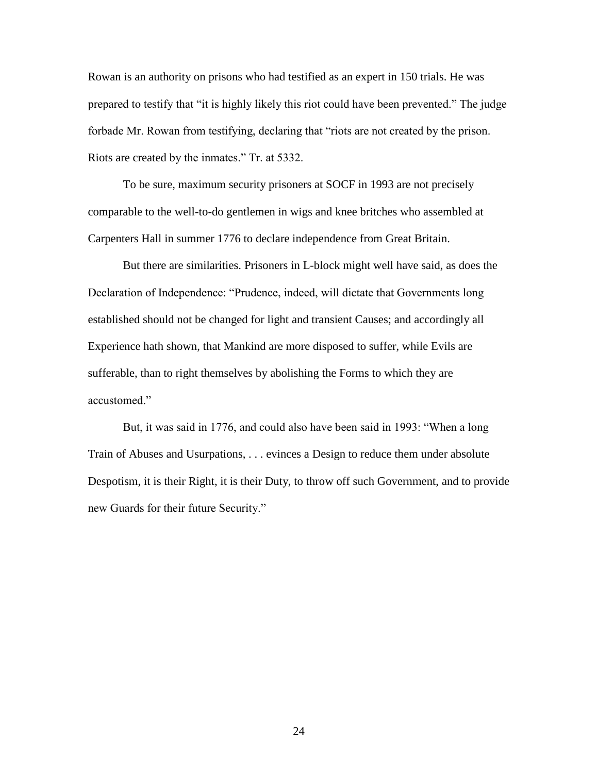Rowan is an authority on prisons who had testified as an expert in 150 trials. He was prepared to testify that "it is highly likely this riot could have been prevented." The judge forbade Mr. Rowan from testifying, declaring that "riots are not created by the prison. Riots are created by the inmates." Tr. at 5332.

To be sure, maximum security prisoners at SOCF in 1993 are not precisely comparable to the well-to-do gentlemen in wigs and knee britches who assembled at Carpenters Hall in summer 1776 to declare independence from Great Britain.

But there are similarities. Prisoners in L-block might well have said, as does the Declaration of Independence: "Prudence, indeed, will dictate that Governments long established should not be changed for light and transient Causes; and accordingly all Experience hath shown, that Mankind are more disposed to suffer, while Evils are sufferable, than to right themselves by abolishing the Forms to which they are accustomed."

But, it was said in 1776, and could also have been said in 1993: "When a long Train of Abuses and Usurpations, . . . evinces a Design to reduce them under absolute Despotism, it is their Right, it is their Duty, to throw off such Government, and to provide new Guards for their future Security."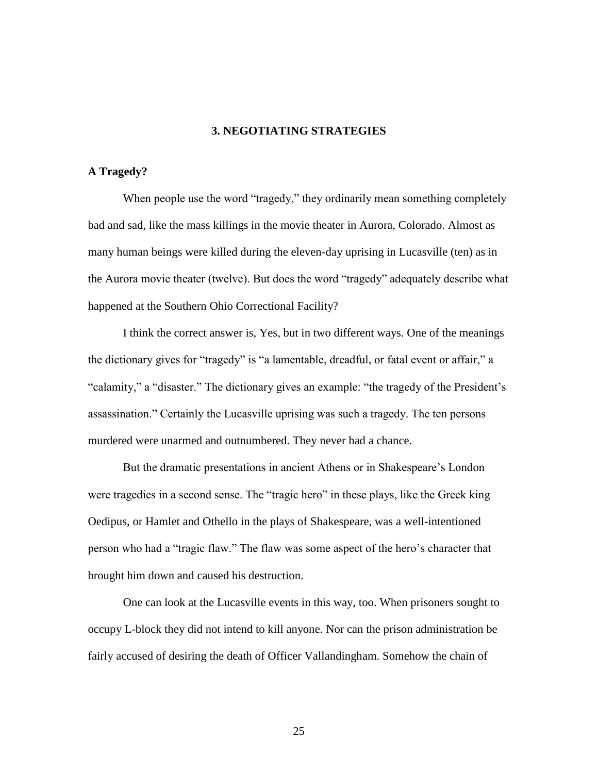# **3. NEGOTIATING STRATEGIES**

# **A Tragedy?**

When people use the word "tragedy," they ordinarily mean something completely bad and sad, like the mass killings in the movie theater in Aurora, Colorado. Almost as many human beings were killed during the eleven-day uprising in Lucasville (ten) as in the Aurora movie theater (twelve). But does the word "tragedy" adequately describe what happened at the Southern Ohio Correctional Facility?

I think the correct answer is, Yes, but in two different ways. One of the meanings the dictionary gives for "tragedy" is "a lamentable, dreadful, or fatal event or affair," a "calamity," a "disaster." The dictionary gives an example: "the tragedy of the President's assassination." Certainly the Lucasville uprising was such a tragedy. The ten persons murdered were unarmed and outnumbered. They never had a chance.

But the dramatic presentations in ancient Athens or in Shakespeare's London were tragedies in a second sense. The "tragic hero" in these plays, like the Greek king Oedipus, or Hamlet and Othello in the plays of Shakespeare, was a well-intentioned person who had a "tragic flaw." The flaw was some aspect of the hero's character that brought him down and caused his destruction.

One can look at the Lucasville events in this way, too. When prisoners sought to occupy L-block they did not intend to kill anyone. Nor can the prison administration be fairly accused of desiring the death of Officer Vallandingham. Somehow the chain of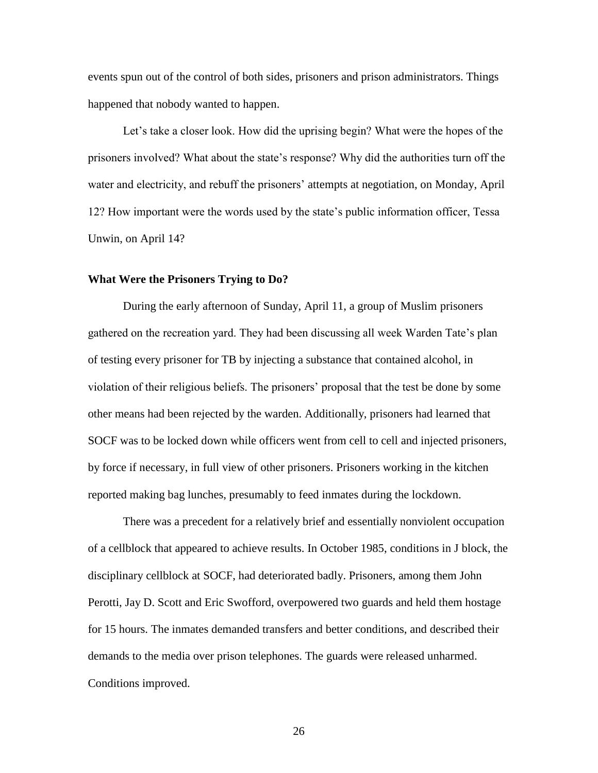events spun out of the control of both sides, prisoners and prison administrators. Things happened that nobody wanted to happen.

Let's take a closer look. How did the uprising begin? What were the hopes of the prisoners involved? What about the state's response? Why did the authorities turn off the water and electricity, and rebuff the prisoners' attempts at negotiation, on Monday, April 12? How important were the words used by the state's public information officer, Tessa Unwin, on April 14?

# **What Were the Prisoners Trying to Do?**

During the early afternoon of Sunday, April 11, a group of Muslim prisoners gathered on the recreation yard. They had been discussing all week Warden Tate's plan of testing every prisoner for TB by injecting a substance that contained alcohol, in violation of their religious beliefs. The prisoners' proposal that the test be done by some other means had been rejected by the warden. Additionally, prisoners had learned that SOCF was to be locked down while officers went from cell to cell and injected prisoners, by force if necessary, in full view of other prisoners. Prisoners working in the kitchen reported making bag lunches, presumably to feed inmates during the lockdown.

There was a precedent for a relatively brief and essentially nonviolent occupation of a cellblock that appeared to achieve results. In October 1985, conditions in J block, the disciplinary cellblock at SOCF, had deteriorated badly. Prisoners, among them John Perotti, Jay D. Scott and Eric Swofford, overpowered two guards and held them hostage for 15 hours. The inmates demanded transfers and better conditions, and described their demands to the media over prison telephones. The guards were released unharmed. Conditions improved.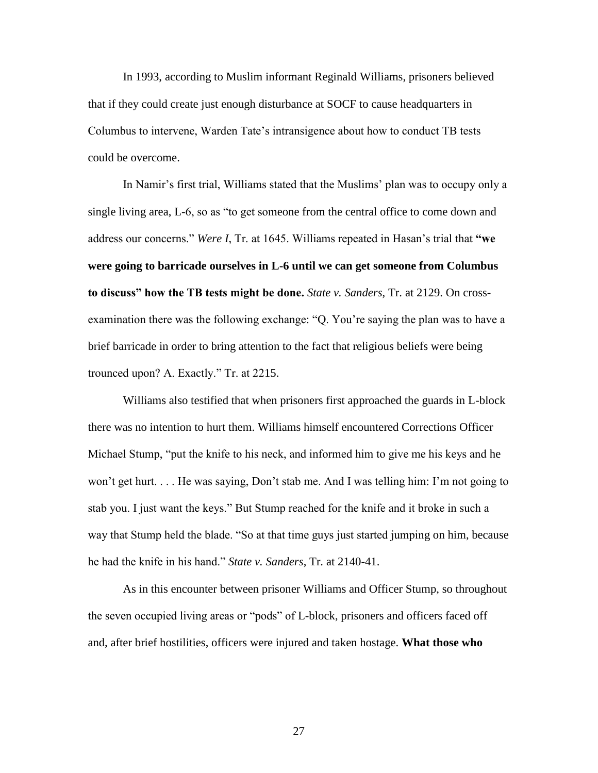In 1993, according to Muslim informant Reginald Williams, prisoners believed that if they could create just enough disturbance at SOCF to cause headquarters in Columbus to intervene, Warden Tate's intransigence about how to conduct TB tests could be overcome.

In Namir's first trial, Williams stated that the Muslims' plan was to occupy only a single living area, L-6, so as "to get someone from the central office to come down and address our concerns." *Were I*, Tr. at 1645. Williams repeated in Hasan's trial that **"we were going to barricade ourselves in L-6 until we can get someone from Columbus to discuss" how the TB tests might be done.** *State v. Sanders*, Tr. at 2129. On crossexamination there was the following exchange: "Q. You're saying the plan was to have a brief barricade in order to bring attention to the fact that religious beliefs were being trounced upon? A. Exactly." Tr. at 2215.

Williams also testified that when prisoners first approached the guards in L-block there was no intention to hurt them. Williams himself encountered Corrections Officer Michael Stump, "put the knife to his neck, and informed him to give me his keys and he won't get hurt. . . . He was saying, Don't stab me. And I was telling him: I'm not going to stab you. I just want the keys." But Stump reached for the knife and it broke in such a way that Stump held the blade. "So at that time guys just started jumping on him, because he had the knife in his hand." *State v. Sanders*, Tr. at 2140-41.

As in this encounter between prisoner Williams and Officer Stump, so throughout the seven occupied living areas or "pods" of L-block, prisoners and officers faced off and, after brief hostilities, officers were injured and taken hostage. **What those who**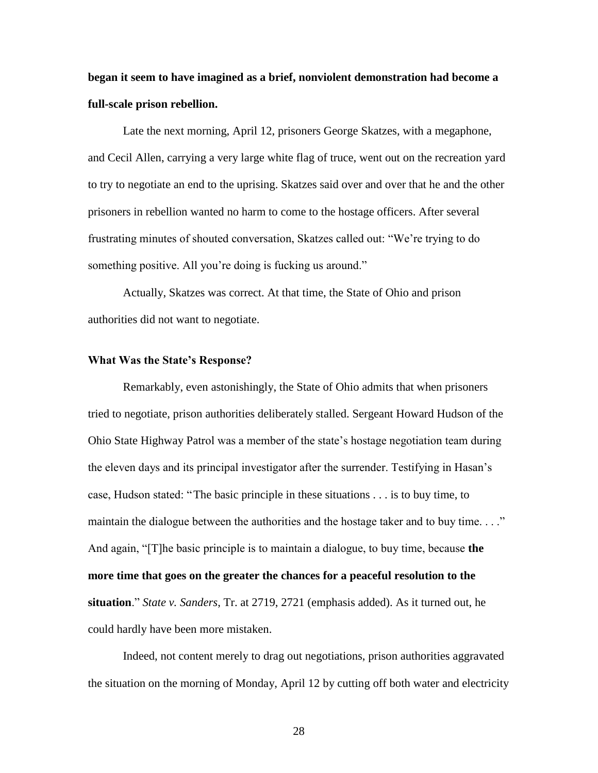# **began it seem to have imagined as a brief, nonviolent demonstration had become a full-scale prison rebellion.**

Late the next morning, April 12, prisoners George Skatzes, with a megaphone, and Cecil Allen, carrying a very large white flag of truce, went out on the recreation yard to try to negotiate an end to the uprising. Skatzes said over and over that he and the other prisoners in rebellion wanted no harm to come to the hostage officers. After several frustrating minutes of shouted conversation, Skatzes called out: "We're trying to do something positive. All you're doing is fucking us around."

Actually, Skatzes was correct. At that time, the State of Ohio and prison authorities did not want to negotiate.

## **What Was the State's Response?**

Remarkably, even astonishingly, the State of Ohio admits that when prisoners tried to negotiate, prison authorities deliberately stalled. Sergeant Howard Hudson of the Ohio State Highway Patrol was a member of the state's hostage negotiation team during the eleven days and its principal investigator after the surrender. Testifying in Hasan's case, Hudson stated: "The basic principle in these situations . . . is to buy time, to maintain the dialogue between the authorities and the hostage taker and to buy time. . . ." And again, "[T]he basic principle is to maintain a dialogue, to buy time, because **the more time that goes on the greater the chances for a peaceful resolution to the situation**." *State v. Sanders*, Tr. at 2719, 2721 (emphasis added). As it turned out, he could hardly have been more mistaken.

Indeed, not content merely to drag out negotiations, prison authorities aggravated the situation on the morning of Monday, April 12 by cutting off both water and electricity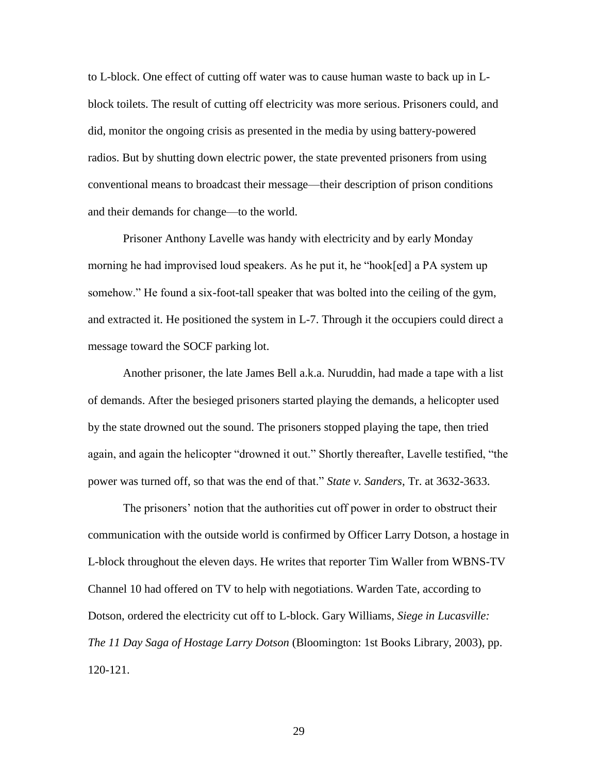to L-block. One effect of cutting off water was to cause human waste to back up in Lblock toilets. The result of cutting off electricity was more serious. Prisoners could, and did, monitor the ongoing crisis as presented in the media by using battery-powered radios. But by shutting down electric power, the state prevented prisoners from using conventional means to broadcast their message—their description of prison conditions and their demands for change—to the world.

Prisoner Anthony Lavelle was handy with electricity and by early Monday morning he had improvised loud speakers. As he put it, he "hook[ed] a PA system up somehow." He found a six-foot-tall speaker that was bolted into the ceiling of the gym, and extracted it. He positioned the system in L-7. Through it the occupiers could direct a message toward the SOCF parking lot.

Another prisoner, the late James Bell a.k.a. Nuruddin, had made a tape with a list of demands. After the besieged prisoners started playing the demands, a helicopter used by the state drowned out the sound. The prisoners stopped playing the tape, then tried again, and again the helicopter "drowned it out." Shortly thereafter, Lavelle testified, "the power was turned off, so that was the end of that." *State v. Sanders*, Tr. at 3632-3633.

The prisoners' notion that the authorities cut off power in order to obstruct their communication with the outside world is confirmed by Officer Larry Dotson, a hostage in L-block throughout the eleven days. He writes that reporter Tim Waller from WBNS-TV Channel 10 had offered on TV to help with negotiations. Warden Tate, according to Dotson, ordered the electricity cut off to L-block. Gary Williams, *Siege in Lucasville: The 11 Day Saga of Hostage Larry Dotson* (Bloomington: 1st Books Library, 2003), pp. 120-121.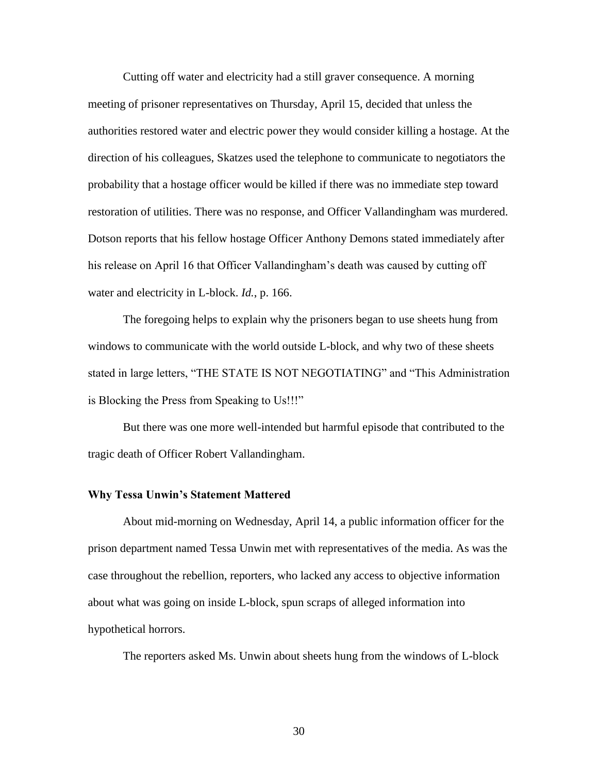Cutting off water and electricity had a still graver consequence. A morning meeting of prisoner representatives on Thursday, April 15, decided that unless the authorities restored water and electric power they would consider killing a hostage. At the direction of his colleagues, Skatzes used the telephone to communicate to negotiators the probability that a hostage officer would be killed if there was no immediate step toward restoration of utilities. There was no response, and Officer Vallandingham was murdered. Dotson reports that his fellow hostage Officer Anthony Demons stated immediately after his release on April 16 that Officer Vallandingham's death was caused by cutting off water and electricity in L-block. *Id.*, p. 166.

The foregoing helps to explain why the prisoners began to use sheets hung from windows to communicate with the world outside L-block, and why two of these sheets stated in large letters, "THE STATE IS NOT NEGOTIATING" and "This Administration is Blocking the Press from Speaking to Us!!!"

But there was one more well-intended but harmful episode that contributed to the tragic death of Officer Robert Vallandingham.

## **Why Tessa Unwin's Statement Mattered**

About mid-morning on Wednesday, April 14, a public information officer for the prison department named Tessa Unwin met with representatives of the media. As was the case throughout the rebellion, reporters, who lacked any access to objective information about what was going on inside L-block, spun scraps of alleged information into hypothetical horrors.

The reporters asked Ms. Unwin about sheets hung from the windows of L-block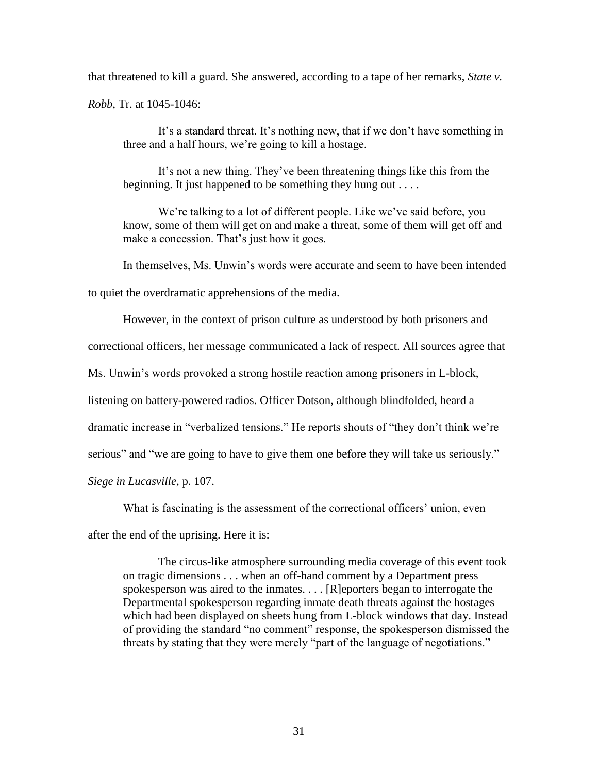that threatened to kill a guard. She answered, according to a tape of her remarks, *State v.* 

*Robb*, Tr. at 1045-1046:

It's a standard threat. It's nothing new, that if we don't have something in three and a half hours, we're going to kill a hostage.

It's not a new thing. They've been threatening things like this from the beginning. It just happened to be something they hung out . . . .

We're talking to a lot of different people. Like we've said before, you know, some of them will get on and make a threat, some of them will get off and make a concession. That's just how it goes.

In themselves, Ms. Unwin's words were accurate and seem to have been intended

to quiet the overdramatic apprehensions of the media.

However, in the context of prison culture as understood by both prisoners and

correctional officers, her message communicated a lack of respect. All sources agree that

Ms. Unwin's words provoked a strong hostile reaction among prisoners in L-block,

listening on battery-powered radios. Officer Dotson, although blindfolded, heard a

dramatic increase in "verbalized tensions." He reports shouts of "they don't think we're

serious" and "we are going to have to give them one before they will take us seriously."

*Siege in Lucasville*, p. 107.

What is fascinating is the assessment of the correctional officers' union, even

after the end of the uprising. Here it is:

The circus-like atmosphere surrounding media coverage of this event took on tragic dimensions . . . when an off-hand comment by a Department press spokesperson was aired to the inmates. . . . [R]eporters began to interrogate the Departmental spokesperson regarding inmate death threats against the hostages which had been displayed on sheets hung from L-block windows that day. Instead of providing the standard "no comment" response, the spokesperson dismissed the threats by stating that they were merely "part of the language of negotiations."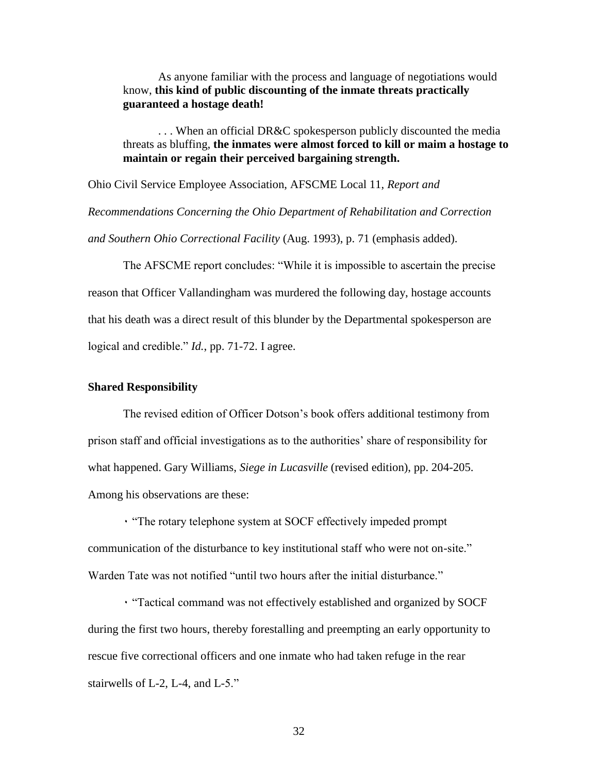As anyone familiar with the process and language of negotiations would know, **this kind of public discounting of the inmate threats practically guaranteed a hostage death!**

... When an official DR&C spokesperson publicly discounted the media threats as bluffing, **the inmates were almost forced to kill or maim a hostage to maintain or regain their perceived bargaining strength.**

Ohio Civil Service Employee Association, AFSCME Local 11, *Report and* 

*Recommendations Concerning the Ohio Department of Rehabilitation and Correction and Southern Ohio Correctional Facility* (Aug. 1993), p. 71 (emphasis added).

The AFSCME report concludes: "While it is impossible to ascertain the precise reason that Officer Vallandingham was murdered the following day, hostage accounts that his death was a direct result of this blunder by the Departmental spokesperson are logical and credible." *Id.*, pp. 71-72. I agree.

#### **Shared Responsibility**

The revised edition of Officer Dotson's book offers additional testimony from prison staff and official investigations as to the authorities' share of responsibility for what happened. Gary Williams, *Siege in Lucasville* (revised edition), pp. 204-205. Among his observations are these:

۰ "The rotary telephone system at SOCF effectively impeded prompt communication of the disturbance to key institutional staff who were not on-site." Warden Tate was not notified "until two hours after the initial disturbance."

۰ "Tactical command was not effectively established and organized by SOCF during the first two hours, thereby forestalling and preempting an early opportunity to rescue five correctional officers and one inmate who had taken refuge in the rear stairwells of L-2, L-4, and L-5."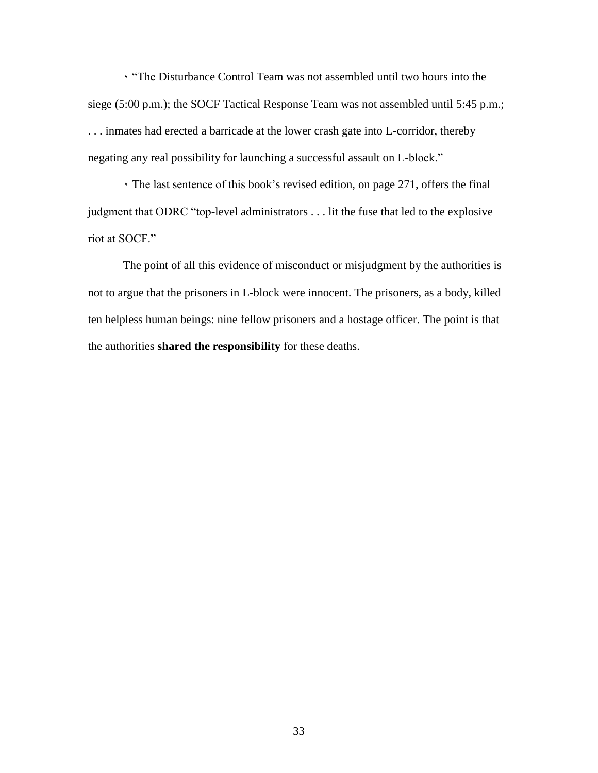۰ "The Disturbance Control Team was not assembled until two hours into the siege (5:00 p.m.); the SOCF Tactical Response Team was not assembled until 5:45 p.m.; . . . inmates had erected a barricade at the lower crash gate into L-corridor, thereby negating any real possibility for launching a successful assault on L-block."

۰ The last sentence of this book's revised edition, on page 271, offers the final judgment that ODRC "top-level administrators . . . lit the fuse that led to the explosive riot at SOCF."

The point of all this evidence of misconduct or misjudgment by the authorities is not to argue that the prisoners in L-block were innocent. The prisoners, as a body, killed ten helpless human beings: nine fellow prisoners and a hostage officer. The point is that the authorities **shared the responsibility** for these deaths.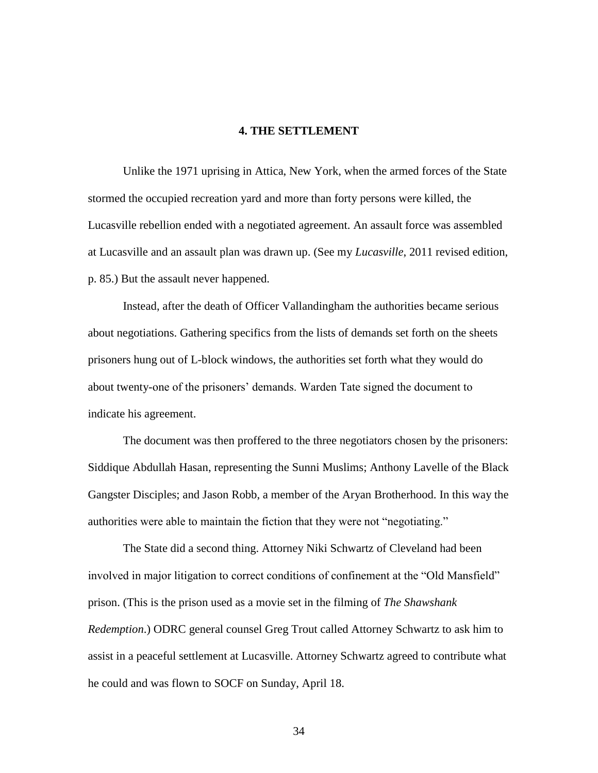# **4. THE SETTLEMENT**

Unlike the 1971 uprising in Attica, New York, when the armed forces of the State stormed the occupied recreation yard and more than forty persons were killed, the Lucasville rebellion ended with a negotiated agreement. An assault force was assembled at Lucasville and an assault plan was drawn up. (See my *Lucasville*, 2011 revised edition, p. 85.) But the assault never happened.

Instead, after the death of Officer Vallandingham the authorities became serious about negotiations. Gathering specifics from the lists of demands set forth on the sheets prisoners hung out of L-block windows, the authorities set forth what they would do about twenty-one of the prisoners' demands. Warden Tate signed the document to indicate his agreement.

The document was then proffered to the three negotiators chosen by the prisoners: Siddique Abdullah Hasan, representing the Sunni Muslims; Anthony Lavelle of the Black Gangster Disciples; and Jason Robb, a member of the Aryan Brotherhood. In this way the authorities were able to maintain the fiction that they were not "negotiating."

The State did a second thing. Attorney Niki Schwartz of Cleveland had been involved in major litigation to correct conditions of confinement at the "Old Mansfield" prison. (This is the prison used as a movie set in the filming of *The Shawshank Redemption*.) ODRC general counsel Greg Trout called Attorney Schwartz to ask him to assist in a peaceful settlement at Lucasville. Attorney Schwartz agreed to contribute what he could and was flown to SOCF on Sunday, April 18.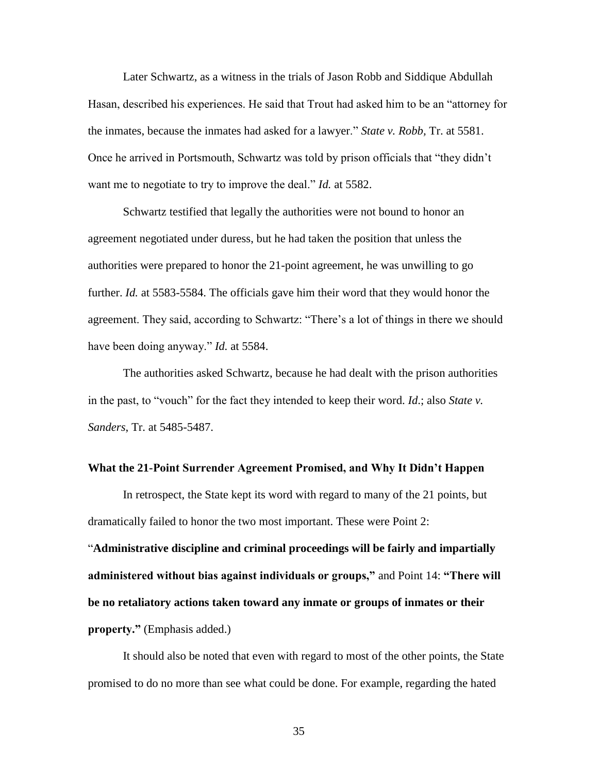Later Schwartz, as a witness in the trials of Jason Robb and Siddique Abdullah Hasan, described his experiences. He said that Trout had asked him to be an "attorney for the inmates, because the inmates had asked for a lawyer." *State v. Robb,* Tr. at 5581. Once he arrived in Portsmouth, Schwartz was told by prison officials that "they didn't want me to negotiate to try to improve the deal." *Id.* at 5582.

Schwartz testified that legally the authorities were not bound to honor an agreement negotiated under duress, but he had taken the position that unless the authorities were prepared to honor the 21-point agreement, he was unwilling to go further. *Id.* at 5583-5584. The officials gave him their word that they would honor the agreement. They said, according to Schwartz: "There's a lot of things in there we should have been doing anyway." *Id.* at 5584.

The authorities asked Schwartz, because he had dealt with the prison authorities in the past, to "vouch" for the fact they intended to keep their word. *Id*.; also *State v. Sanders*, Tr. at 5485-5487.

#### **What the 21-Point Surrender Agreement Promised, and Why It Didn't Happen**

In retrospect, the State kept its word with regard to many of the 21 points, but dramatically failed to honor the two most important. These were Point 2:

"**Administrative discipline and criminal proceedings will be fairly and impartially administered without bias against individuals or groups,"** and Point 14: **"There will be no retaliatory actions taken toward any inmate or groups of inmates or their property."** (Emphasis added.)

It should also be noted that even with regard to most of the other points, the State promised to do no more than see what could be done. For example, regarding the hated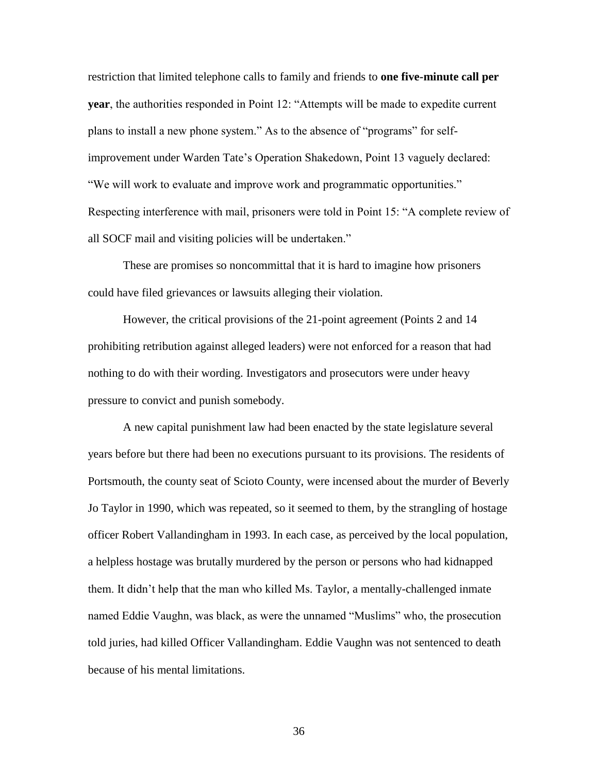restriction that limited telephone calls to family and friends to **one five-minute call per year**, the authorities responded in Point 12: "Attempts will be made to expedite current plans to install a new phone system." As to the absence of "programs" for selfimprovement under Warden Tate's Operation Shakedown, Point 13 vaguely declared: "We will work to evaluate and improve work and programmatic opportunities." Respecting interference with mail, prisoners were told in Point 15: "A complete review of all SOCF mail and visiting policies will be undertaken."

These are promises so noncommittal that it is hard to imagine how prisoners could have filed grievances or lawsuits alleging their violation.

However, the critical provisions of the 21-point agreement (Points 2 and 14 prohibiting retribution against alleged leaders) were not enforced for a reason that had nothing to do with their wording. Investigators and prosecutors were under heavy pressure to convict and punish somebody.

A new capital punishment law had been enacted by the state legislature several years before but there had been no executions pursuant to its provisions. The residents of Portsmouth, the county seat of Scioto County, were incensed about the murder of Beverly Jo Taylor in 1990, which was repeated, so it seemed to them, by the strangling of hostage officer Robert Vallandingham in 1993. In each case, as perceived by the local population, a helpless hostage was brutally murdered by the person or persons who had kidnapped them. It didn't help that the man who killed Ms. Taylor, a mentally-challenged inmate named Eddie Vaughn, was black, as were the unnamed "Muslims" who, the prosecution told juries, had killed Officer Vallandingham. Eddie Vaughn was not sentenced to death because of his mental limitations.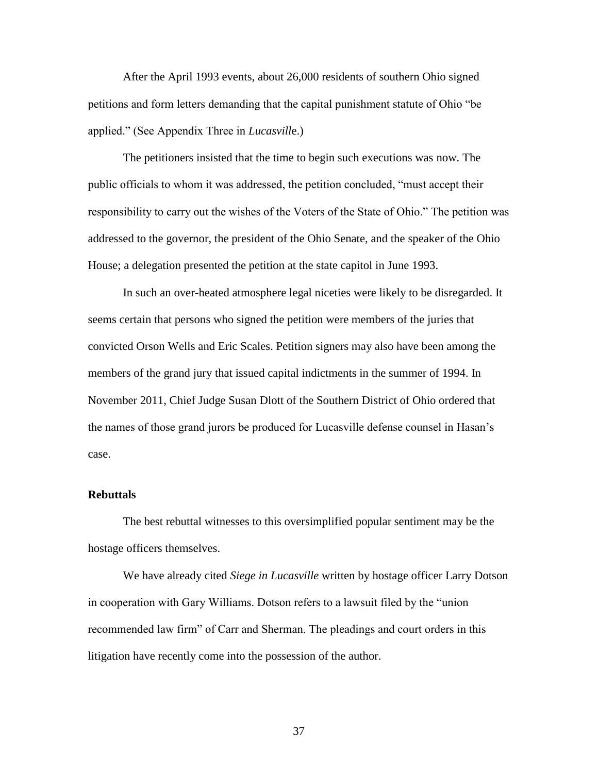After the April 1993 events, about 26,000 residents of southern Ohio signed petitions and form letters demanding that the capital punishment statute of Ohio "be applied." (See Appendix Three in *Lucasvill*e.)

The petitioners insisted that the time to begin such executions was now. The public officials to whom it was addressed, the petition concluded, "must accept their responsibility to carry out the wishes of the Voters of the State of Ohio." The petition was addressed to the governor, the president of the Ohio Senate, and the speaker of the Ohio House; a delegation presented the petition at the state capitol in June 1993.

In such an over-heated atmosphere legal niceties were likely to be disregarded. It seems certain that persons who signed the petition were members of the juries that convicted Orson Wells and Eric Scales. Petition signers may also have been among the members of the grand jury that issued capital indictments in the summer of 1994. In November 2011, Chief Judge Susan Dlott of the Southern District of Ohio ordered that the names of those grand jurors be produced for Lucasville defense counsel in Hasan's case.

#### **Rebuttals**

The best rebuttal witnesses to this oversimplified popular sentiment may be the hostage officers themselves.

We have already cited *Siege in Lucasville* written by hostage officer Larry Dotson in cooperation with Gary Williams. Dotson refers to a lawsuit filed by the "union recommended law firm" of Carr and Sherman. The pleadings and court orders in this litigation have recently come into the possession of the author.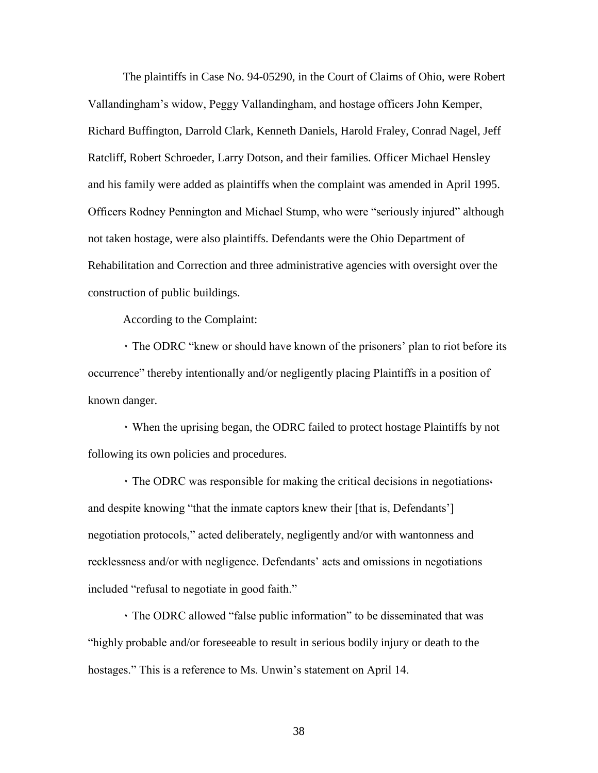The plaintiffs in Case No. 94-05290, in the Court of Claims of Ohio, were Robert Vallandingham's widow, Peggy Vallandingham, and hostage officers John Kemper, Richard Buffington, Darrold Clark, Kenneth Daniels, Harold Fraley, Conrad Nagel, Jeff Ratcliff, Robert Schroeder, Larry Dotson, and their families. Officer Michael Hensley and his family were added as plaintiffs when the complaint was amended in April 1995. Officers Rodney Pennington and Michael Stump, who were "seriously injured" although not taken hostage, were also plaintiffs. Defendants were the Ohio Department of Rehabilitation and Correction and three administrative agencies with oversight over the construction of public buildings.

According to the Complaint:

۰ The ODRC "knew or should have known of the prisoners' plan to riot before its occurrence" thereby intentionally and/or negligently placing Plaintiffs in a position of known danger.

۰ When the uprising began, the ODRC failed to protect hostage Plaintiffs by not following its own policies and procedures.

۰ The ODRC was responsible for making the critical decisions in negotiations, and despite knowing "that the inmate captors knew their [that is, Defendants'] negotiation protocols," acted deliberately, negligently and/or with wantonness and recklessness and/or with negligence. Defendants' acts and omissions in negotiations included "refusal to negotiate in good faith."

۰ The ODRC allowed "false public information" to be disseminated that was "highly probable and/or foreseeable to result in serious bodily injury or death to the hostages." This is a reference to Ms. Unwin's statement on April 14.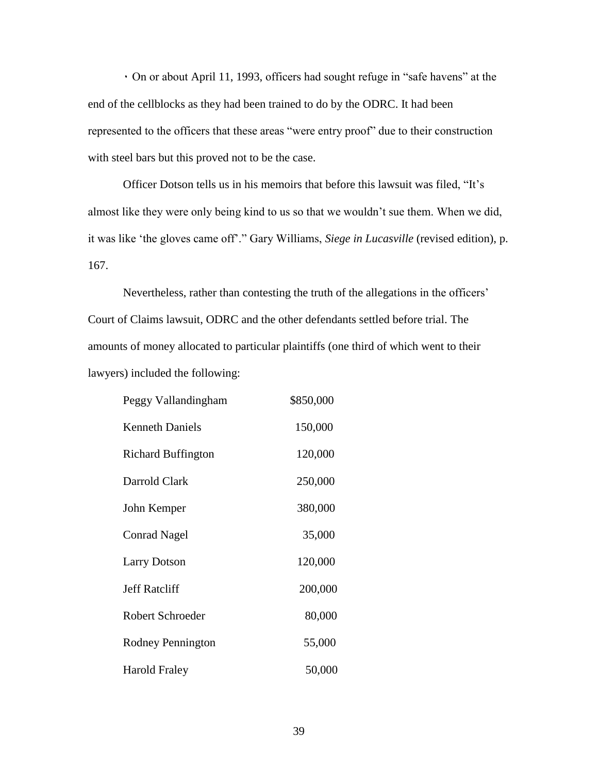۰ On or about April 11, 1993, officers had sought refuge in "safe havens" at the end of the cellblocks as they had been trained to do by the ODRC. It had been represented to the officers that these areas "were entry proof" due to their construction with steel bars but this proved not to be the case.

Officer Dotson tells us in his memoirs that before this lawsuit was filed, "It's almost like they were only being kind to us so that we wouldn't sue them. When we did, it was like 'the gloves came off'." Gary Williams, *Siege in Lucasville* (revised edition), p. 167.

Nevertheless, rather than contesting the truth of the allegations in the officers' Court of Claims lawsuit, ODRC and the other defendants settled before trial. The amounts of money allocated to particular plaintiffs (one third of which went to their lawyers) included the following:

| Peggy Vallandingham       | \$850,000 |
|---------------------------|-----------|
| <b>Kenneth Daniels</b>    | 150,000   |
| <b>Richard Buffington</b> | 120,000   |
| Darrold Clark             | 250,000   |
| John Kemper               | 380,000   |
| <b>Conrad Nagel</b>       | 35,000    |
| <b>Larry Dotson</b>       | 120,000   |
| <b>Jeff Ratcliff</b>      | 200,000   |
| <b>Robert Schroeder</b>   | 80,000    |
| <b>Rodney Pennington</b>  | 55,000    |
| <b>Harold Fraley</b>      | 50,000    |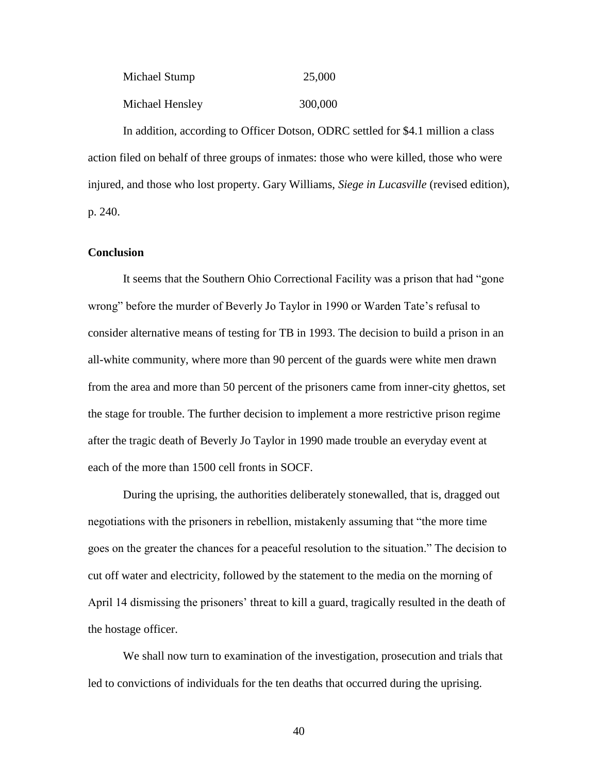| Michael Stump   | 25,000  |
|-----------------|---------|
| Michael Hensley | 300,000 |

In addition, according to Officer Dotson, ODRC settled for \$4.1 million a class action filed on behalf of three groups of inmates: those who were killed, those who were injured, and those who lost property. Gary Williams, *Siege in Lucasville* (revised edition), p. 240.

## **Conclusion**

It seems that the Southern Ohio Correctional Facility was a prison that had "gone wrong" before the murder of Beverly Jo Taylor in 1990 or Warden Tate's refusal to consider alternative means of testing for TB in 1993. The decision to build a prison in an all-white community, where more than 90 percent of the guards were white men drawn from the area and more than 50 percent of the prisoners came from inner-city ghettos, set the stage for trouble. The further decision to implement a more restrictive prison regime after the tragic death of Beverly Jo Taylor in 1990 made trouble an everyday event at each of the more than 1500 cell fronts in SOCF.

During the uprising, the authorities deliberately stonewalled, that is, dragged out negotiations with the prisoners in rebellion, mistakenly assuming that "the more time goes on the greater the chances for a peaceful resolution to the situation." The decision to cut off water and electricity, followed by the statement to the media on the morning of April 14 dismissing the prisoners' threat to kill a guard, tragically resulted in the death of the hostage officer.

We shall now turn to examination of the investigation, prosecution and trials that led to convictions of individuals for the ten deaths that occurred during the uprising.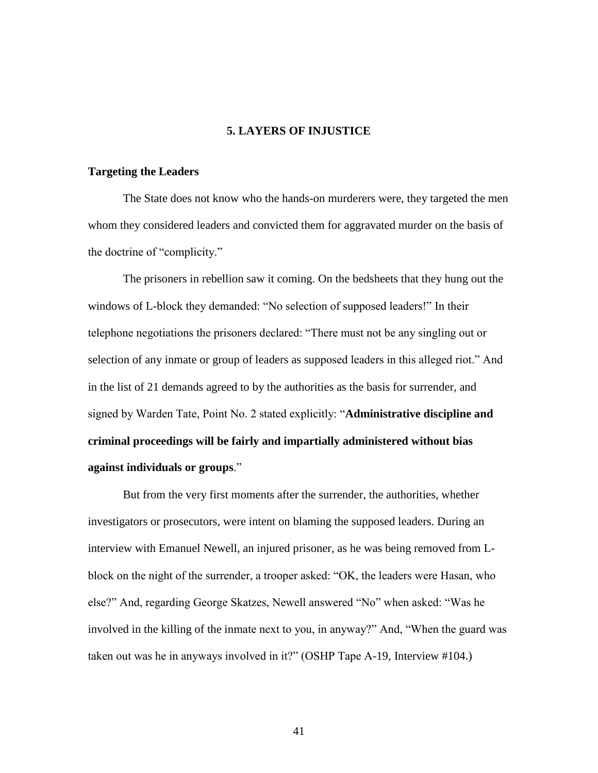## **5. LAYERS OF INJUSTICE**

## **Targeting the Leaders**

The State does not know who the hands-on murderers were, they targeted the men whom they considered leaders and convicted them for aggravated murder on the basis of the doctrine of "complicity."

The prisoners in rebellion saw it coming. On the bedsheets that they hung out the windows of L-block they demanded: "No selection of supposed leaders!" In their telephone negotiations the prisoners declared: "There must not be any singling out or selection of any inmate or group of leaders as supposed leaders in this alleged riot." And in the list of 21 demands agreed to by the authorities as the basis for surrender, and signed by Warden Tate, Point No. 2 stated explicitly: "**Administrative discipline and criminal proceedings will be fairly and impartially administered without bias against individuals or groups**."

But from the very first moments after the surrender, the authorities, whether investigators or prosecutors, were intent on blaming the supposed leaders. During an interview with Emanuel Newell, an injured prisoner, as he was being removed from Lblock on the night of the surrender, a trooper asked: "OK, the leaders were Hasan, who else?" And, regarding George Skatzes, Newell answered "No" when asked: "Was he involved in the killing of the inmate next to you, in anyway?" And, "When the guard was taken out was he in anyways involved in it?" (OSHP Tape A-19, Interview #104.)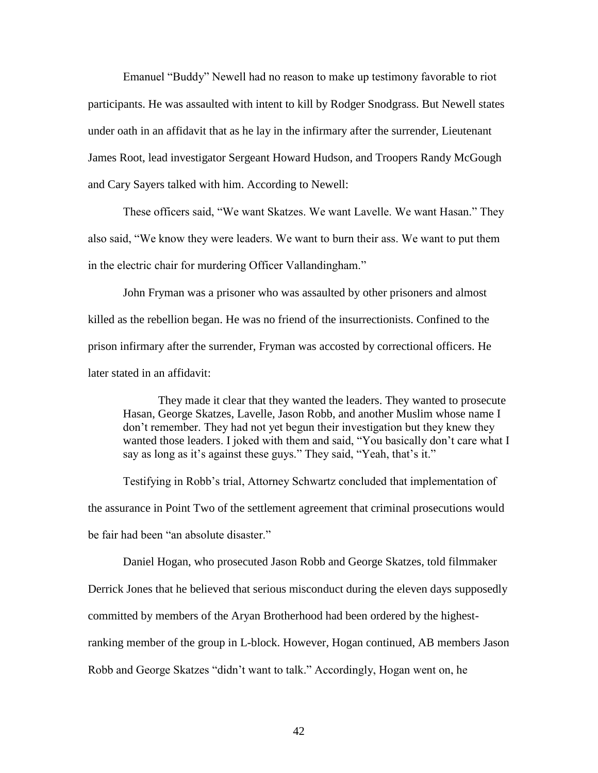Emanuel "Buddy" Newell had no reason to make up testimony favorable to riot participants. He was assaulted with intent to kill by Rodger Snodgrass. But Newell states under oath in an affidavit that as he lay in the infirmary after the surrender, Lieutenant James Root, lead investigator Sergeant Howard Hudson, and Troopers Randy McGough and Cary Sayers talked with him. According to Newell:

These officers said, "We want Skatzes. We want Lavelle. We want Hasan." They also said, "We know they were leaders. We want to burn their ass. We want to put them in the electric chair for murdering Officer Vallandingham."

John Fryman was a prisoner who was assaulted by other prisoners and almost killed as the rebellion began. He was no friend of the insurrectionists. Confined to the prison infirmary after the surrender, Fryman was accosted by correctional officers. He later stated in an affidavit:

They made it clear that they wanted the leaders. They wanted to prosecute Hasan, George Skatzes, Lavelle, Jason Robb, and another Muslim whose name I don't remember. They had not yet begun their investigation but they knew they wanted those leaders. I joked with them and said, "You basically don't care what I say as long as it's against these guys." They said, "Yeah, that's it."

Testifying in Robb's trial, Attorney Schwartz concluded that implementation of the assurance in Point Two of the settlement agreement that criminal prosecutions would be fair had been "an absolute disaster."

Daniel Hogan, who prosecuted Jason Robb and George Skatzes, told filmmaker Derrick Jones that he believed that serious misconduct during the eleven days supposedly committed by members of the Aryan Brotherhood had been ordered by the highestranking member of the group in L-block. However, Hogan continued, AB members Jason Robb and George Skatzes "didn't want to talk." Accordingly, Hogan went on, he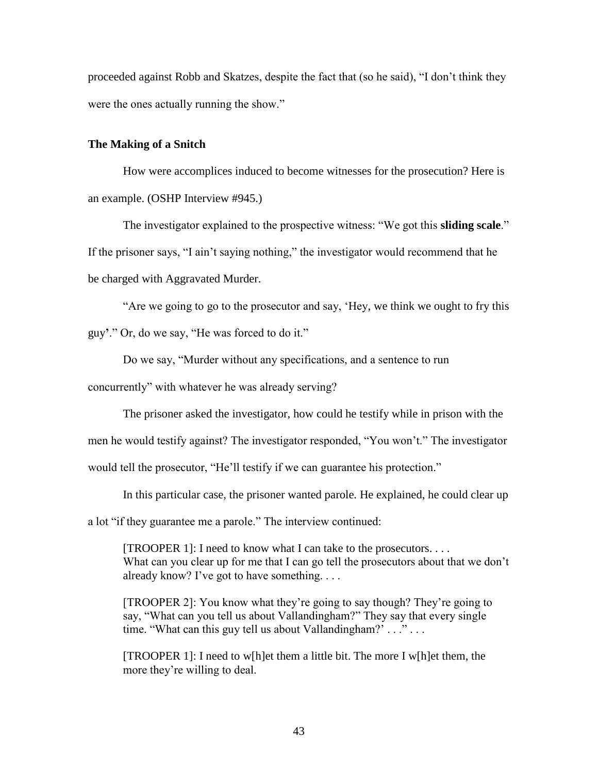proceeded against Robb and Skatzes, despite the fact that (so he said), "I don't think they were the ones actually running the show."

### **The Making of a Snitch**

How were accomplices induced to become witnesses for the prosecution? Here is an example. (OSHP Interview #945.)

The investigator explained to the prospective witness: "We got this **sliding scale**." If the prisoner says, "I ain't saying nothing," the investigator would recommend that he be charged with Aggravated Murder.

"Are we going to go to the prosecutor and say, 'Hey, we think we ought to fry this guy**'**." Or, do we say, "He was forced to do it."

Do we say, "Murder without any specifications, and a sentence to run

concurrently" with whatever he was already serving?

The prisoner asked the investigator, how could he testify while in prison with the

men he would testify against? The investigator responded, "You won't." The investigator

would tell the prosecutor, "He'll testify if we can guarantee his protection."

In this particular case, the prisoner wanted parole. He explained, he could clear up

a lot "if they guarantee me a parole." The interview continued:

[TROOPER 1]: I need to know what I can take to the prosecutors. . . . What can you clear up for me that I can go tell the prosecutors about that we don't already know? I've got to have something. . . .

[TROOPER 2]: You know what they're going to say though? They're going to say, "What can you tell us about Vallandingham?" They say that every single time. "What can this guy tell us about Vallanding ham?' . . ." . . .

[TROOPER 1]: I need to w[h]et them a little bit. The more I w[h]et them, the more they're willing to deal.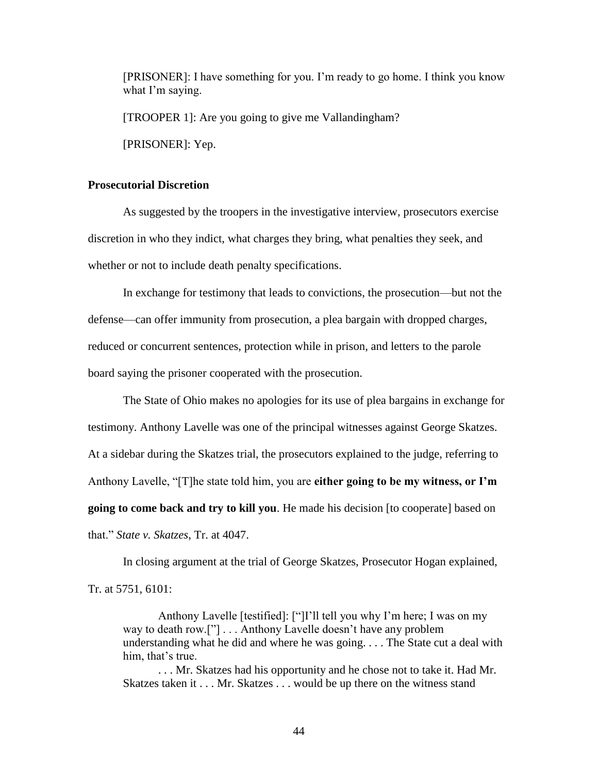[PRISONER]: I have something for you. I'm ready to go home. I think you know what I'm saying.

[TROOPER 1]: Are you going to give me Vallandingham?

[PRISONER]: Yep.

# **Prosecutorial Discretion**

As suggested by the troopers in the investigative interview, prosecutors exercise discretion in who they indict, what charges they bring, what penalties they seek, and whether or not to include death penalty specifications.

In exchange for testimony that leads to convictions, the prosecution—but not the defense—can offer immunity from prosecution, a plea bargain with dropped charges, reduced or concurrent sentences, protection while in prison, and letters to the parole board saying the prisoner cooperated with the prosecution.

The State of Ohio makes no apologies for its use of plea bargains in exchange for testimony. Anthony Lavelle was one of the principal witnesses against George Skatzes. At a sidebar during the Skatzes trial, the prosecutors explained to the judge, referring to Anthony Lavelle, "[T]he state told him, you are **either going to be my witness, or I'm going to come back and try to kill you**. He made his decision [to cooperate] based on that." *State v. Skatzes*, Tr. at 4047.

In closing argument at the trial of George Skatzes, Prosecutor Hogan explained, Tr. at 5751, 6101:

Anthony Lavelle [testified]: ["]I'll tell you why I'm here; I was on my way to death row.["] . . . Anthony Lavelle doesn't have any problem understanding what he did and where he was going. . . . The State cut a deal with him, that's true.

. . . Mr. Skatzes had his opportunity and he chose not to take it. Had Mr. Skatzes taken it . . . Mr. Skatzes . . . would be up there on the witness stand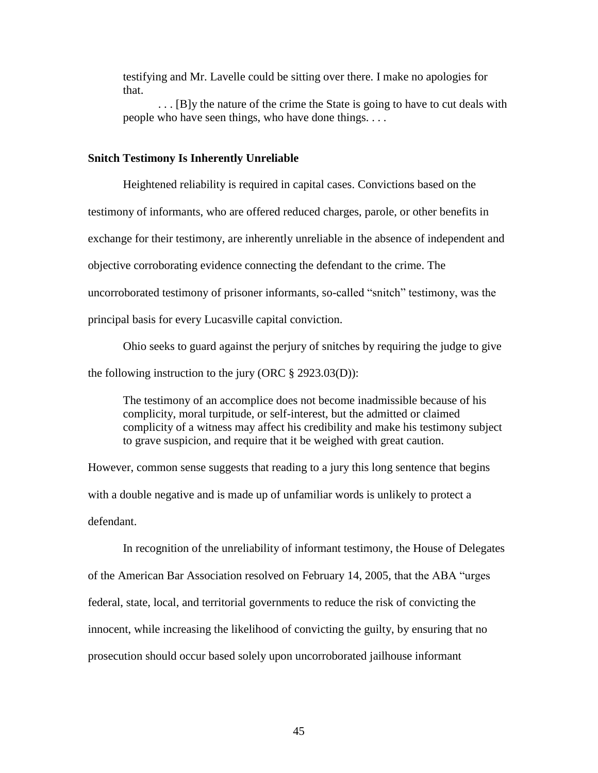testifying and Mr. Lavelle could be sitting over there. I make no apologies for that.

. . . [B]y the nature of the crime the State is going to have to cut deals with people who have seen things, who have done things. . . .

### **Snitch Testimony Is Inherently Unreliable**

Heightened reliability is required in capital cases. Convictions based on the testimony of informants, who are offered reduced charges, parole, or other benefits in exchange for their testimony, are inherently unreliable in the absence of independent and objective corroborating evidence connecting the defendant to the crime. The uncorroborated testimony of prisoner informants, so-called "snitch" testimony, was the principal basis for every Lucasville capital conviction.

Ohio seeks to guard against the perjury of snitches by requiring the judge to give the following instruction to the jury (ORC  $\S$  2923.03(D)):

The testimony of an accomplice does not become inadmissible because of his complicity, moral turpitude, or self-interest, but the admitted or claimed complicity of a witness may affect his credibility and make his testimony subject to grave suspicion, and require that it be weighed with great caution.

However, common sense suggests that reading to a jury this long sentence that begins with a double negative and is made up of unfamiliar words is unlikely to protect a defendant.

In recognition of the unreliability of informant testimony, the House of Delegates of the American Bar Association resolved on February 14, 2005, that the ABA "urges federal, state, local, and territorial governments to reduce the risk of convicting the innocent, while increasing the likelihood of convicting the guilty, by ensuring that no prosecution should occur based solely upon uncorroborated jailhouse informant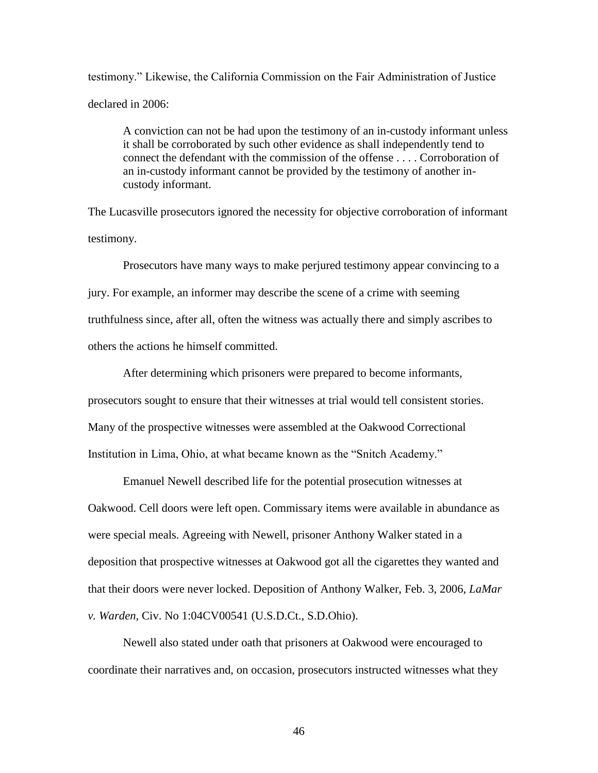testimony." Likewise, the California Commission on the Fair Administration of Justice declared in 2006:

A conviction can not be had upon the testimony of an in-custody informant unless it shall be corroborated by such other evidence as shall independently tend to connect the defendant with the commission of the offense . . . . Corroboration of an in-custody informant cannot be provided by the testimony of another incustody informant.

The Lucasville prosecutors ignored the necessity for objective corroboration of informant testimony.

Prosecutors have many ways to make perjured testimony appear convincing to a jury. For example, an informer may describe the scene of a crime with seeming truthfulness since, after all, often the witness was actually there and simply ascribes to others the actions he himself committed.

After determining which prisoners were prepared to become informants, prosecutors sought to ensure that their witnesses at trial would tell consistent stories. Many of the prospective witnesses were assembled at the Oakwood Correctional Institution in Lima, Ohio, at what became known as the "Snitch Academy."

Emanuel Newell described life for the potential prosecution witnesses at Oakwood. Cell doors were left open. Commissary items were available in abundance as were special meals. Agreeing with Newell, prisoner Anthony Walker stated in a deposition that prospective witnesses at Oakwood got all the cigarettes they wanted and that their doors were never locked. Deposition of Anthony Walker, Feb. 3, 2006, *LaMar v. Warden,* Civ. No 1:04CV00541 (U.S.D.Ct., S.D.Ohio).

Newell also stated under oath that prisoners at Oakwood were encouraged to coordinate their narratives and, on occasion, prosecutors instructed witnesses what they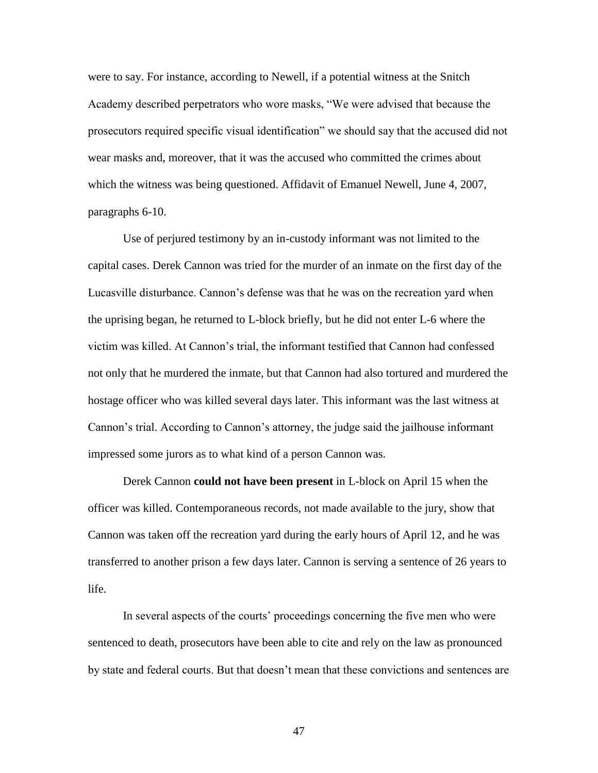were to say. For instance, according to Newell, if a potential witness at the Snitch Academy described perpetrators who wore masks, "We were advised that because the prosecutors required specific visual identification" we should say that the accused did not wear masks and, moreover, that it was the accused who committed the crimes about which the witness was being questioned. Affidavit of Emanuel Newell, June 4, 2007, paragraphs 6-10.

Use of perjured testimony by an in-custody informant was not limited to the capital cases. Derek Cannon was tried for the murder of an inmate on the first day of the Lucasville disturbance. Cannon's defense was that he was on the recreation yard when the uprising began, he returned to L-block briefly, but he did not enter L-6 where the victim was killed. At Cannon's trial, the informant testified that Cannon had confessed not only that he murdered the inmate, but that Cannon had also tortured and murdered the hostage officer who was killed several days later. This informant was the last witness at Cannon's trial. According to Cannon's attorney, the judge said the jailhouse informant impressed some jurors as to what kind of a person Cannon was.

Derek Cannon **could not have been present** in L-block on April 15 when the officer was killed. Contemporaneous records, not made available to the jury, show that Cannon was taken off the recreation yard during the early hours of April 12, and he was transferred to another prison a few days later. Cannon is serving a sentence of 26 years to life.

In several aspects of the courts' proceedings concerning the five men who were sentenced to death, prosecutors have been able to cite and rely on the law as pronounced by state and federal courts. But that doesn't mean that these convictions and sentences are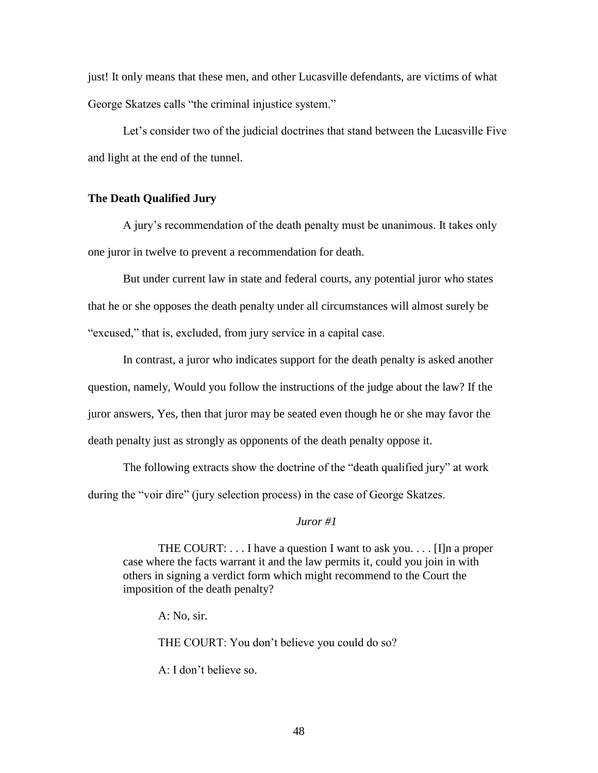just! It only means that these men, and other Lucasville defendants, are victims of what George Skatzes calls "the criminal injustice system."

Let's consider two of the judicial doctrines that stand between the Lucasville Five and light at the end of the tunnel.

### **The Death Qualified Jury**

A jury's recommendation of the death penalty must be unanimous. It takes only one juror in twelve to prevent a recommendation for death.

But under current law in state and federal courts, any potential juror who states that he or she opposes the death penalty under all circumstances will almost surely be "excused," that is, excluded, from jury service in a capital case.

In contrast, a juror who indicates support for the death penalty is asked another question, namely, Would you follow the instructions of the judge about the law? If the juror answers, Yes, then that juror may be seated even though he or she may favor the death penalty just as strongly as opponents of the death penalty oppose it.

The following extracts show the doctrine of the "death qualified jury" at work during the "voir dire" (jury selection process) in the case of George Skatzes.

## *Juror #1*

THE COURT: . . . I have a question I want to ask you. . . . [I]n a proper case where the facts warrant it and the law permits it, could you join in with others in signing a verdict form which might recommend to the Court the imposition of the death penalty?

A: No, sir.

THE COURT: You don't believe you could do so?

A: I don't believe so.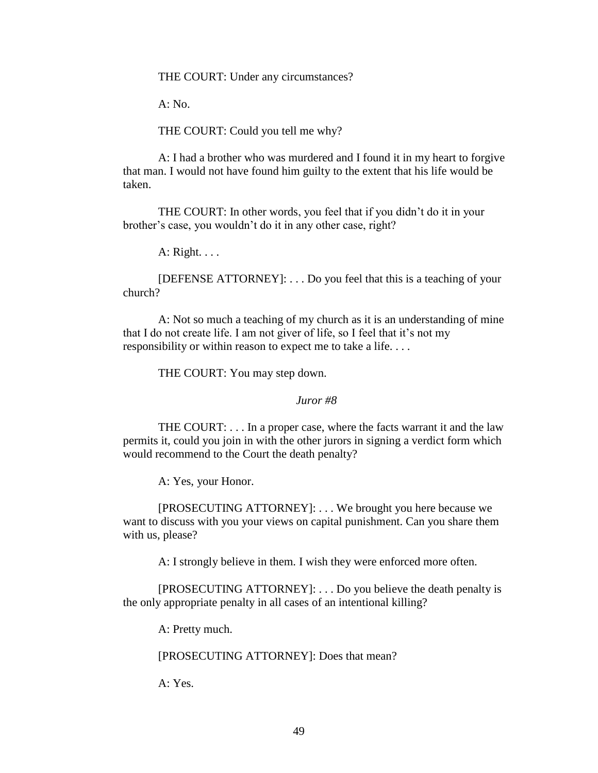THE COURT: Under any circumstances?

 $A: No.$ 

THE COURT: Could you tell me why?

A: I had a brother who was murdered and I found it in my heart to forgive that man. I would not have found him guilty to the extent that his life would be taken.

THE COURT: In other words, you feel that if you didn't do it in your brother's case, you wouldn't do it in any other case, right?

A: Right. . . .

[DEFENSE ATTORNEY]: . . . Do you feel that this is a teaching of your church?

A: Not so much a teaching of my church as it is an understanding of mine that I do not create life. I am not giver of life, so I feel that it's not my responsibility or within reason to expect me to take a life. . . .

THE COURT: You may step down.

*Juror #8*

THE COURT: . . . In a proper case, where the facts warrant it and the law permits it, could you join in with the other jurors in signing a verdict form which would recommend to the Court the death penalty?

A: Yes, your Honor.

[PROSECUTING ATTORNEY]: . . . We brought you here because we want to discuss with you your views on capital punishment. Can you share them with us, please?

A: I strongly believe in them. I wish they were enforced more often.

[PROSECUTING ATTORNEY]: . . . Do you believe the death penalty is the only appropriate penalty in all cases of an intentional killing?

A: Pretty much.

[PROSECUTING ATTORNEY]: Does that mean?

A: Yes.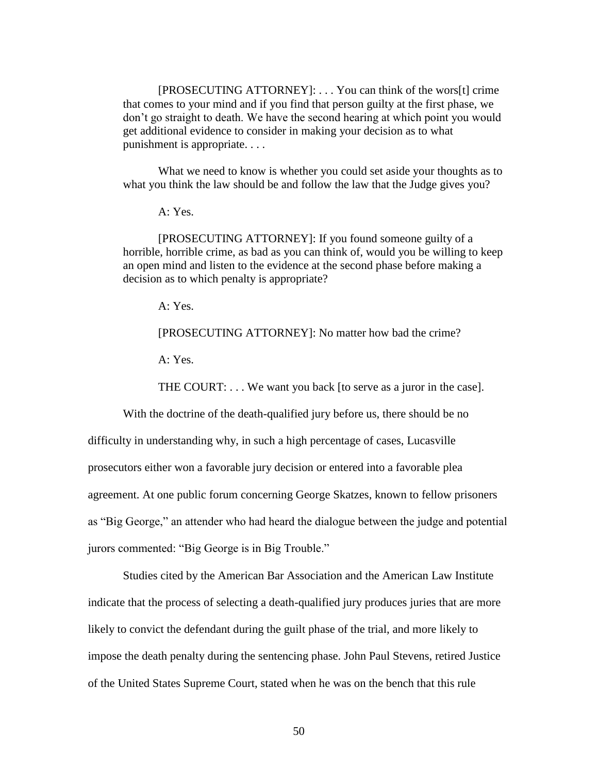[PROSECUTING ATTORNEY]: . . . You can think of the wors[t] crime that comes to your mind and if you find that person guilty at the first phase, we don't go straight to death. We have the second hearing at which point you would get additional evidence to consider in making your decision as to what punishment is appropriate. . . .

What we need to know is whether you could set aside your thoughts as to what you think the law should be and follow the law that the Judge gives you?

A: Yes.

[PROSECUTING ATTORNEY]: If you found someone guilty of a horrible, horrible crime, as bad as you can think of, would you be willing to keep an open mind and listen to the evidence at the second phase before making a decision as to which penalty is appropriate?

A: Yes.

[PROSECUTING ATTORNEY]: No matter how bad the crime?

A: Yes.

THE COURT: . . . We want you back [to serve as a juror in the case].

With the doctrine of the death-qualified jury before us, there should be no

difficulty in understanding why, in such a high percentage of cases, Lucasville prosecutors either won a favorable jury decision or entered into a favorable plea agreement. At one public forum concerning George Skatzes, known to fellow prisoners as "Big George," an attender who had heard the dialogue between the judge and potential jurors commented: "Big George is in Big Trouble."

Studies cited by the American Bar Association and the American Law Institute indicate that the process of selecting a death-qualified jury produces juries that are more likely to convict the defendant during the guilt phase of the trial, and more likely to impose the death penalty during the sentencing phase. John Paul Stevens, retired Justice of the United States Supreme Court, stated when he was on the bench that this rule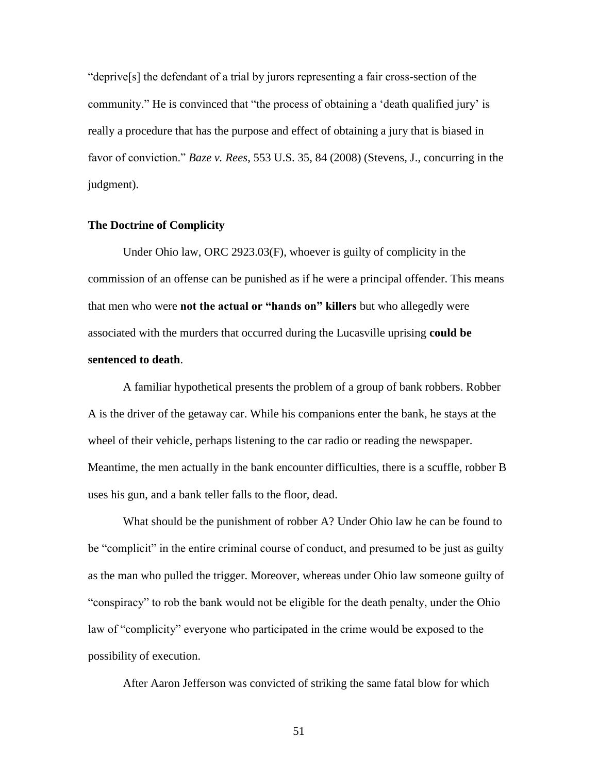"deprive[s] the defendant of a trial by jurors representing a fair cross-section of the community." He is convinced that "the process of obtaining a 'death qualified jury' is really a procedure that has the purpose and effect of obtaining a jury that is biased in favor of conviction." *Baze v. Rees*, 553 U.S. 35, 84 (2008) (Stevens, J., concurring in the judgment).

## **The Doctrine of Complicity**

Under Ohio law, ORC 2923.03(F), whoever is guilty of complicity in the commission of an offense can be punished as if he were a principal offender. This means that men who were **not the actual or "hands on" killers** but who allegedly were associated with the murders that occurred during the Lucasville uprising **could be sentenced to death**.

A familiar hypothetical presents the problem of a group of bank robbers. Robber A is the driver of the getaway car. While his companions enter the bank, he stays at the wheel of their vehicle, perhaps listening to the car radio or reading the newspaper. Meantime, the men actually in the bank encounter difficulties, there is a scuffle, robber B uses his gun, and a bank teller falls to the floor, dead.

What should be the punishment of robber A? Under Ohio law he can be found to be "complicit" in the entire criminal course of conduct, and presumed to be just as guilty as the man who pulled the trigger. Moreover, whereas under Ohio law someone guilty of "conspiracy" to rob the bank would not be eligible for the death penalty, under the Ohio law of "complicity" everyone who participated in the crime would be exposed to the possibility of execution.

After Aaron Jefferson was convicted of striking the same fatal blow for which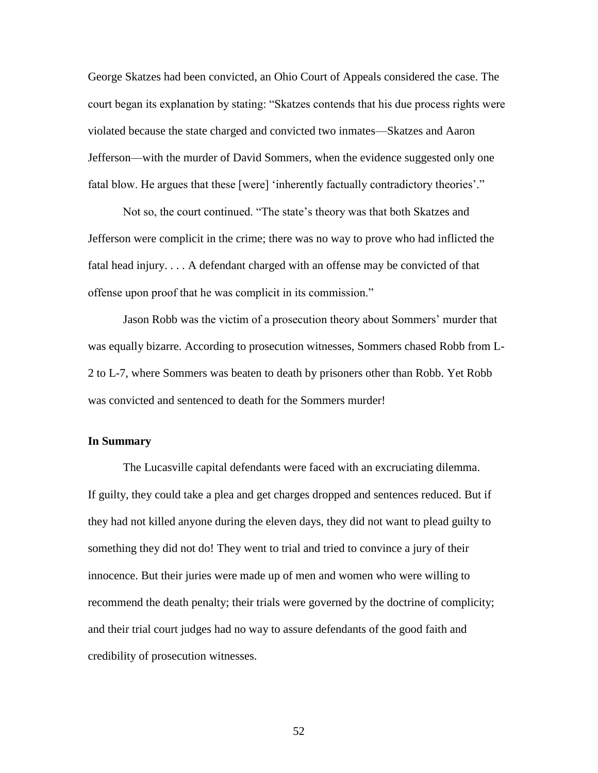George Skatzes had been convicted, an Ohio Court of Appeals considered the case. The court began its explanation by stating: "Skatzes contends that his due process rights were violated because the state charged and convicted two inmates—Skatzes and Aaron Jefferson—with the murder of David Sommers, when the evidence suggested only one fatal blow. He argues that these [were] 'inherently factually contradictory theories'."

Not so, the court continued. "The state's theory was that both Skatzes and Jefferson were complicit in the crime; there was no way to prove who had inflicted the fatal head injury. . . . A defendant charged with an offense may be convicted of that offense upon proof that he was complicit in its commission."

Jason Robb was the victim of a prosecution theory about Sommers' murder that was equally bizarre. According to prosecution witnesses, Sommers chased Robb from L-2 to L-7, where Sommers was beaten to death by prisoners other than Robb. Yet Robb was convicted and sentenced to death for the Sommers murder!

#### **In Summary**

The Lucasville capital defendants were faced with an excruciating dilemma. If guilty, they could take a plea and get charges dropped and sentences reduced. But if they had not killed anyone during the eleven days, they did not want to plead guilty to something they did not do! They went to trial and tried to convince a jury of their innocence. But their juries were made up of men and women who were willing to recommend the death penalty; their trials were governed by the doctrine of complicity; and their trial court judges had no way to assure defendants of the good faith and credibility of prosecution witnesses.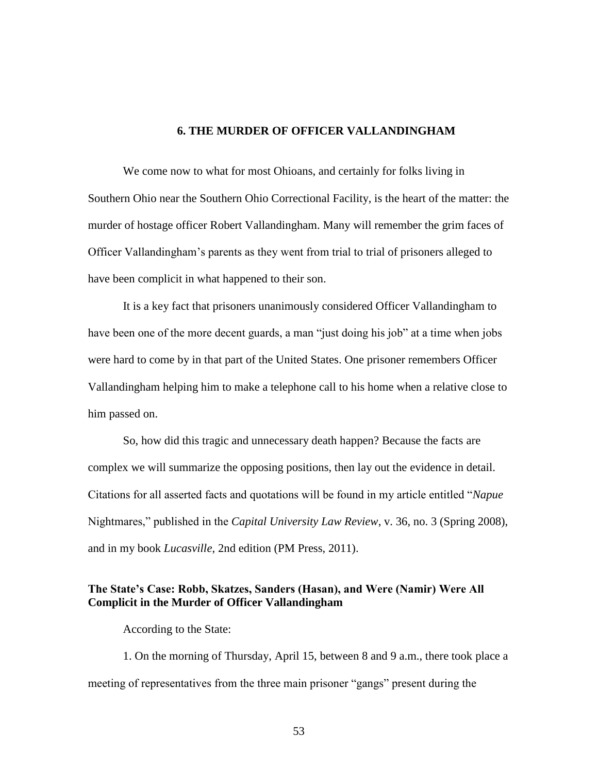### **6. THE MURDER OF OFFICER VALLANDINGHAM**

We come now to what for most Ohioans, and certainly for folks living in Southern Ohio near the Southern Ohio Correctional Facility, is the heart of the matter: the murder of hostage officer Robert Vallandingham. Many will remember the grim faces of Officer Vallandingham's parents as they went from trial to trial of prisoners alleged to have been complicit in what happened to their son.

It is a key fact that prisoners unanimously considered Officer Vallandingham to have been one of the more decent guards, a man "just doing his job" at a time when jobs were hard to come by in that part of the United States. One prisoner remembers Officer Vallandingham helping him to make a telephone call to his home when a relative close to him passed on.

So, how did this tragic and unnecessary death happen? Because the facts are complex we will summarize the opposing positions, then lay out the evidence in detail. Citations for all asserted facts and quotations will be found in my article entitled "*Napue* Nightmares," published in the *Capital University Law Review*, v. 36, no. 3 (Spring 2008), and in my book *Lucasville*, 2nd edition (PM Press, 2011).

## **The State's Case: Robb, Skatzes, Sanders (Hasan), and Were (Namir) Were All Complicit in the Murder of Officer Vallandingham**

According to the State:

1. On the morning of Thursday, April 15, between 8 and 9 a.m., there took place a meeting of representatives from the three main prisoner "gangs" present during the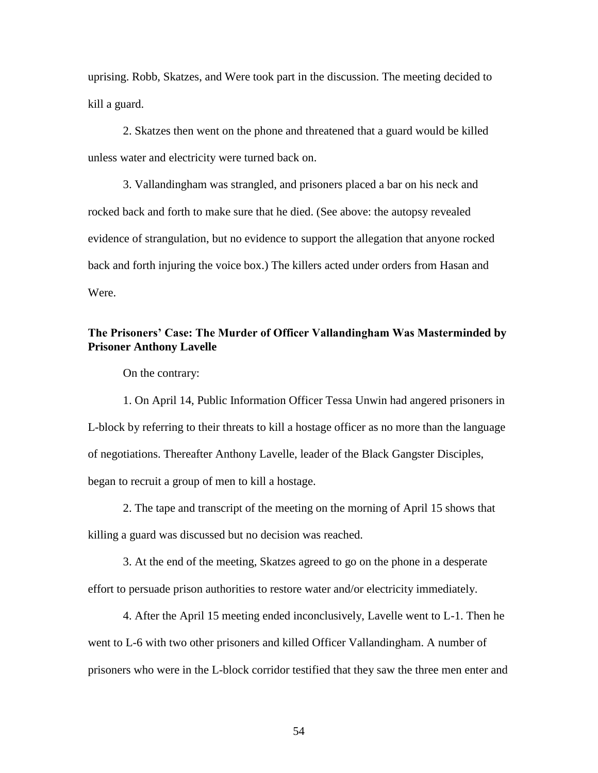uprising. Robb, Skatzes, and Were took part in the discussion. The meeting decided to kill a guard.

2. Skatzes then went on the phone and threatened that a guard would be killed unless water and electricity were turned back on.

3. Vallandingham was strangled, and prisoners placed a bar on his neck and rocked back and forth to make sure that he died. (See above: the autopsy revealed evidence of strangulation, but no evidence to support the allegation that anyone rocked back and forth injuring the voice box.) The killers acted under orders from Hasan and Were.

# **The Prisoners' Case: The Murder of Officer Vallandingham Was Masterminded by Prisoner Anthony Lavelle**

On the contrary:

1. On April 14, Public Information Officer Tessa Unwin had angered prisoners in L-block by referring to their threats to kill a hostage officer as no more than the language of negotiations. Thereafter Anthony Lavelle, leader of the Black Gangster Disciples, began to recruit a group of men to kill a hostage.

2. The tape and transcript of the meeting on the morning of April 15 shows that killing a guard was discussed but no decision was reached.

3. At the end of the meeting, Skatzes agreed to go on the phone in a desperate effort to persuade prison authorities to restore water and/or electricity immediately.

4. After the April 15 meeting ended inconclusively, Lavelle went to L-1. Then he went to L-6 with two other prisoners and killed Officer Vallandingham. A number of prisoners who were in the L-block corridor testified that they saw the three men enter and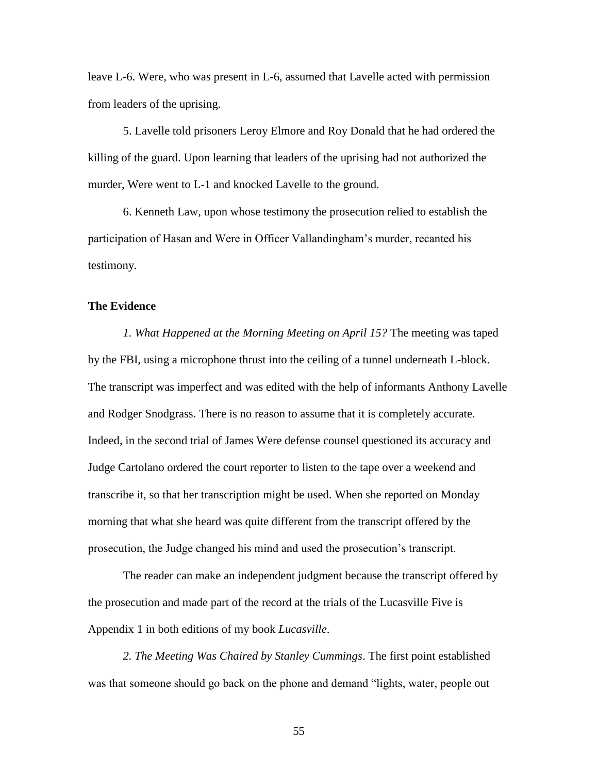leave L-6. Were, who was present in L-6, assumed that Lavelle acted with permission from leaders of the uprising.

5. Lavelle told prisoners Leroy Elmore and Roy Donald that he had ordered the killing of the guard. Upon learning that leaders of the uprising had not authorized the murder, Were went to L-1 and knocked Lavelle to the ground.

6. Kenneth Law, upon whose testimony the prosecution relied to establish the participation of Hasan and Were in Officer Vallandingham's murder, recanted his testimony.

#### **The Evidence**

*1. What Happened at the Morning Meeting on April 15?* The meeting was taped by the FBI, using a microphone thrust into the ceiling of a tunnel underneath L-block. The transcript was imperfect and was edited with the help of informants Anthony Lavelle and Rodger Snodgrass. There is no reason to assume that it is completely accurate. Indeed, in the second trial of James Were defense counsel questioned its accuracy and Judge Cartolano ordered the court reporter to listen to the tape over a weekend and transcribe it, so that her transcription might be used. When she reported on Monday morning that what she heard was quite different from the transcript offered by the prosecution, the Judge changed his mind and used the prosecution's transcript.

The reader can make an independent judgment because the transcript offered by the prosecution and made part of the record at the trials of the Lucasville Five is Appendix 1 in both editions of my book *Lucasville*.

*2. The Meeting Was Chaired by Stanley Cummings*. The first point established was that someone should go back on the phone and demand "lights, water, people out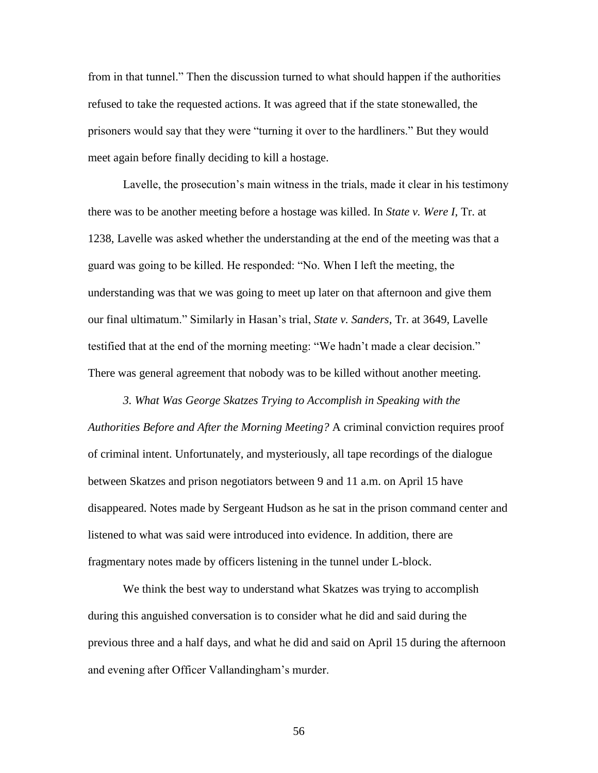from in that tunnel." Then the discussion turned to what should happen if the authorities refused to take the requested actions. It was agreed that if the state stonewalled, the prisoners would say that they were "turning it over to the hardliners." But they would meet again before finally deciding to kill a hostage.

Lavelle, the prosecution's main witness in the trials, made it clear in his testimony there was to be another meeting before a hostage was killed. In *State v. Were I*, Tr. at 1238, Lavelle was asked whether the understanding at the end of the meeting was that a guard was going to be killed. He responded: "No. When I left the meeting, the understanding was that we was going to meet up later on that afternoon and give them our final ultimatum." Similarly in Hasan's trial, *State v. Sanders*, Tr. at 3649, Lavelle testified that at the end of the morning meeting: "We hadn't made a clear decision." There was general agreement that nobody was to be killed without another meeting.

*3. What Was George Skatzes Trying to Accomplish in Speaking with the Authorities Before and After the Morning Meeting?* A criminal conviction requires proof of criminal intent. Unfortunately, and mysteriously, all tape recordings of the dialogue between Skatzes and prison negotiators between 9 and 11 a.m. on April 15 have disappeared. Notes made by Sergeant Hudson as he sat in the prison command center and listened to what was said were introduced into evidence. In addition, there are fragmentary notes made by officers listening in the tunnel under L-block.

We think the best way to understand what Skatzes was trying to accomplish during this anguished conversation is to consider what he did and said during the previous three and a half days, and what he did and said on April 15 during the afternoon and evening after Officer Vallandingham's murder.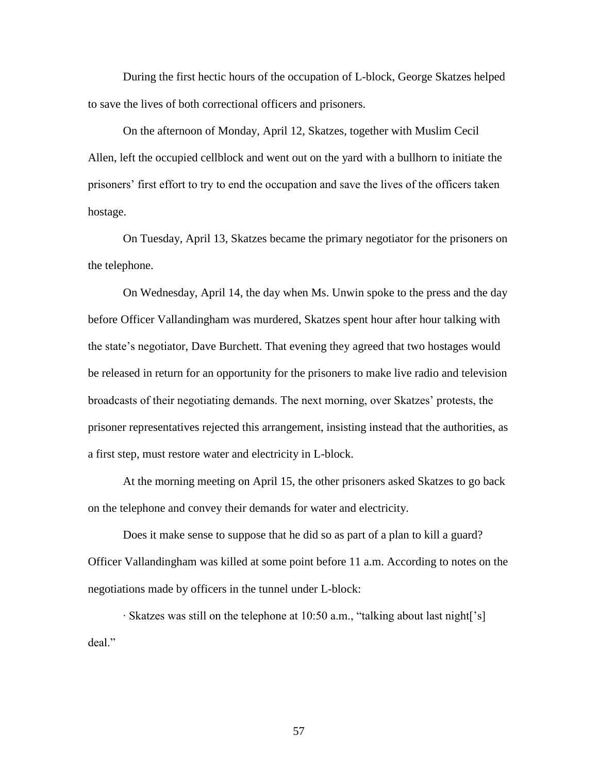During the first hectic hours of the occupation of L-block, George Skatzes helped to save the lives of both correctional officers and prisoners.

On the afternoon of Monday, April 12, Skatzes, together with Muslim Cecil Allen, left the occupied cellblock and went out on the yard with a bullhorn to initiate the prisoners' first effort to try to end the occupation and save the lives of the officers taken hostage.

On Tuesday, April 13, Skatzes became the primary negotiator for the prisoners on the telephone.

On Wednesday, April 14, the day when Ms. Unwin spoke to the press and the day before Officer Vallandingham was murdered, Skatzes spent hour after hour talking with the state's negotiator, Dave Burchett. That evening they agreed that two hostages would be released in return for an opportunity for the prisoners to make live radio and television broadcasts of their negotiating demands. The next morning, over Skatzes' protests, the prisoner representatives rejected this arrangement, insisting instead that the authorities, as a first step, must restore water and electricity in L-block.

At the morning meeting on April 15, the other prisoners asked Skatzes to go back on the telephone and convey their demands for water and electricity.

Does it make sense to suppose that he did so as part of a plan to kill a guard? Officer Vallandingham was killed at some point before 11 a.m. According to notes on the negotiations made by officers in the tunnel under L-block:

∙ Skatzes was still on the telephone at 10:50 a.m., "talking about last night['s] deal."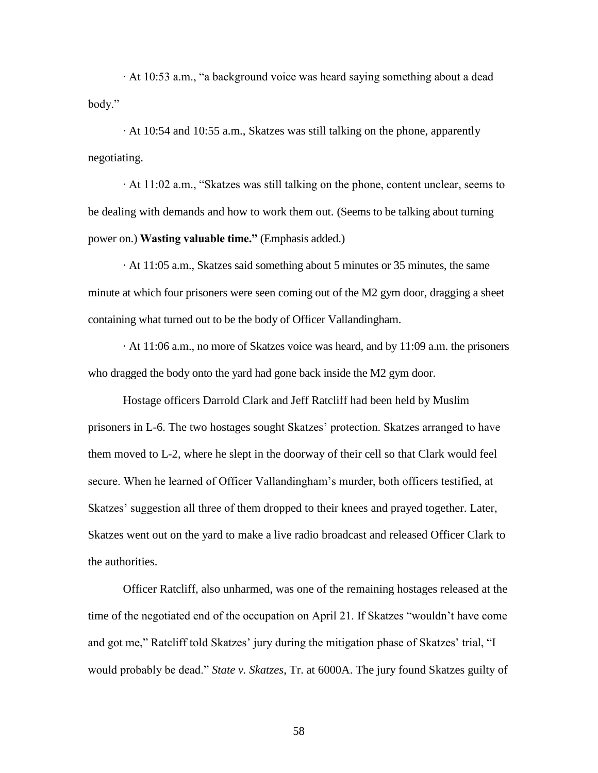∙ At 10:53 a.m., "a background voice was heard saying something about a dead body."

· At 10:54 and 10:55 a.m., Skatzes was still talking on the phone, apparently negotiating.

∙ At 11:02 a.m., "Skatzes was still talking on the phone, content unclear, seems to be dealing with demands and how to work them out. (Seems to be talking about turning power on.) **Wasting valuable time."** (Emphasis added.)

· At 11:05 a.m., Skatzes said something about 5 minutes or 35 minutes, the same minute at which four prisoners were seen coming out of the M2 gym door, dragging a sheet containing what turned out to be the body of Officer Vallandingham.

· At 11:06 a.m., no more of Skatzes voice was heard, and by 11:09 a.m. the prisoners who dragged the body onto the yard had gone back inside the M2 gym door.

Hostage officers Darrold Clark and Jeff Ratcliff had been held by Muslim prisoners in L-6. The two hostages sought Skatzes' protection. Skatzes arranged to have them moved to L-2, where he slept in the doorway of their cell so that Clark would feel secure. When he learned of Officer Vallandingham's murder, both officers testified, at Skatzes' suggestion all three of them dropped to their knees and prayed together. Later, Skatzes went out on the yard to make a live radio broadcast and released Officer Clark to the authorities.

Officer Ratcliff, also unharmed, was one of the remaining hostages released at the time of the negotiated end of the occupation on April 21. If Skatzes "wouldn't have come and got me," Ratcliff told Skatzes' jury during the mitigation phase of Skatzes' trial, "I would probably be dead." *State v. Skatzes*, Tr. at 6000A. The jury found Skatzes guilty of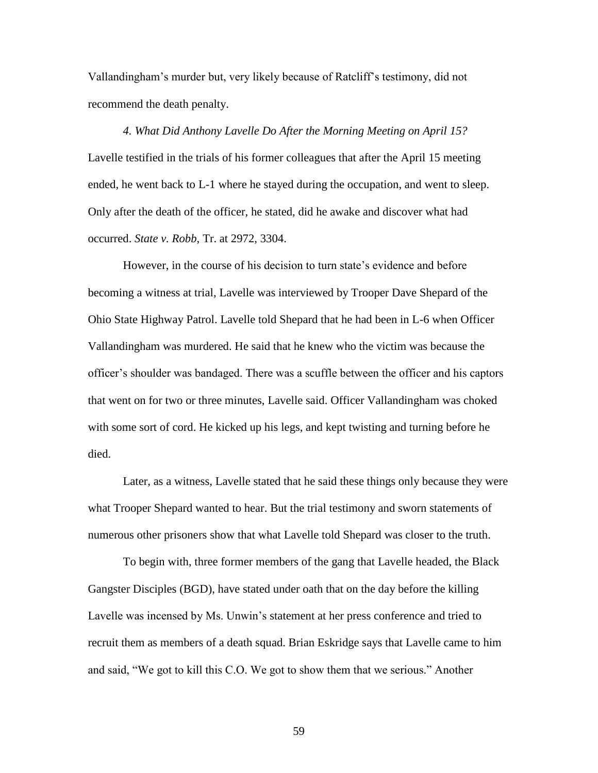Vallandingham's murder but, very likely because of Ratcliff's testimony, did not recommend the death penalty.

*4. What Did Anthony Lavelle Do After the Morning Meeting on April 15?*  Lavelle testified in the trials of his former colleagues that after the April 15 meeting ended, he went back to L-1 where he stayed during the occupation, and went to sleep. Only after the death of the officer, he stated, did he awake and discover what had occurred. *State v. Robb*, Tr. at 2972, 3304.

However, in the course of his decision to turn state's evidence and before becoming a witness at trial, Lavelle was interviewed by Trooper Dave Shepard of the Ohio State Highway Patrol. Lavelle told Shepard that he had been in L-6 when Officer Vallandingham was murdered. He said that he knew who the victim was because the officer's shoulder was bandaged. There was a scuffle between the officer and his captors that went on for two or three minutes, Lavelle said. Officer Vallandingham was choked with some sort of cord. He kicked up his legs, and kept twisting and turning before he died.

Later, as a witness, Lavelle stated that he said these things only because they were what Trooper Shepard wanted to hear. But the trial testimony and sworn statements of numerous other prisoners show that what Lavelle told Shepard was closer to the truth.

To begin with, three former members of the gang that Lavelle headed, the Black Gangster Disciples (BGD), have stated under oath that on the day before the killing Lavelle was incensed by Ms. Unwin's statement at her press conference and tried to recruit them as members of a death squad. Brian Eskridge says that Lavelle came to him and said, "We got to kill this C.O. We got to show them that we serious." Another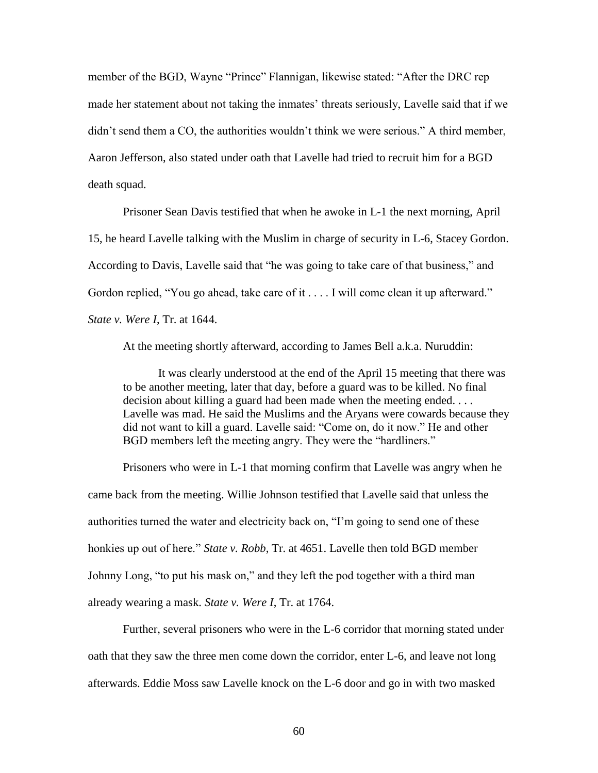member of the BGD, Wayne "Prince" Flannigan, likewise stated: "After the DRC rep made her statement about not taking the inmates' threats seriously, Lavelle said that if we didn't send them a CO, the authorities wouldn't think we were serious." A third member, Aaron Jefferson, also stated under oath that Lavelle had tried to recruit him for a BGD death squad.

Prisoner Sean Davis testified that when he awoke in L-1 the next morning, April 15, he heard Lavelle talking with the Muslim in charge of security in L-6, Stacey Gordon. According to Davis, Lavelle said that "he was going to take care of that business," and Gordon replied, "You go ahead, take care of it . . . . I will come clean it up afterward." *State v. Were I*, Tr. at 1644.

At the meeting shortly afterward, according to James Bell a.k.a. Nuruddin:

It was clearly understood at the end of the April 15 meeting that there was to be another meeting, later that day, before a guard was to be killed. No final decision about killing a guard had been made when the meeting ended. . . . Lavelle was mad. He said the Muslims and the Aryans were cowards because they did not want to kill a guard. Lavelle said: "Come on, do it now." He and other BGD members left the meeting angry. They were the "hardliners."

Prisoners who were in L-1 that morning confirm that Lavelle was angry when he came back from the meeting. Willie Johnson testified that Lavelle said that unless the authorities turned the water and electricity back on, "I'm going to send one of these honkies up out of here." *State v. Robb*, Tr. at 4651. Lavelle then told BGD member Johnny Long, "to put his mask on," and they left the pod together with a third man already wearing a mask. *State v. Were I*, Tr. at 1764.

Further, several prisoners who were in the L-6 corridor that morning stated under oath that they saw the three men come down the corridor, enter L-6, and leave not long afterwards. Eddie Moss saw Lavelle knock on the L-6 door and go in with two masked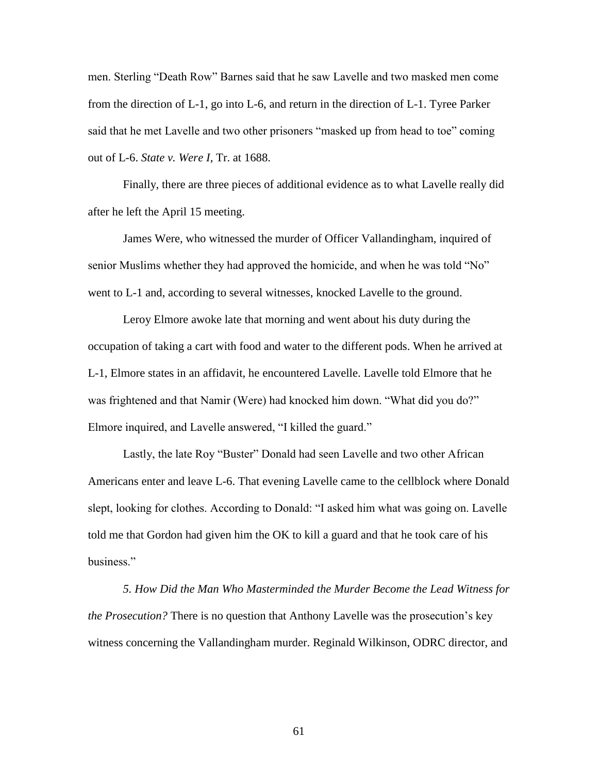men. Sterling "Death Row" Barnes said that he saw Lavelle and two masked men come from the direction of L-1, go into L-6, and return in the direction of L-1. Tyree Parker said that he met Lavelle and two other prisoners "masked up from head to toe" coming out of L-6. *State v. Were I*, Tr. at 1688.

Finally, there are three pieces of additional evidence as to what Lavelle really did after he left the April 15 meeting.

James Were, who witnessed the murder of Officer Vallandingham, inquired of senior Muslims whether they had approved the homicide, and when he was told "No" went to L-1 and, according to several witnesses, knocked Lavelle to the ground.

Leroy Elmore awoke late that morning and went about his duty during the occupation of taking a cart with food and water to the different pods. When he arrived at L-1, Elmore states in an affidavit, he encountered Lavelle. Lavelle told Elmore that he was frightened and that Namir (Were) had knocked him down. "What did you do?" Elmore inquired, and Lavelle answered, "I killed the guard."

Lastly, the late Roy "Buster" Donald had seen Lavelle and two other African Americans enter and leave L-6. That evening Lavelle came to the cellblock where Donald slept, looking for clothes. According to Donald: "I asked him what was going on. Lavelle told me that Gordon had given him the OK to kill a guard and that he took care of his business."

*5. How Did the Man Who Masterminded the Murder Become the Lead Witness for the Prosecution?* There is no question that Anthony Lavelle was the prosecution's key witness concerning the Vallandingham murder. Reginald Wilkinson, ODRC director, and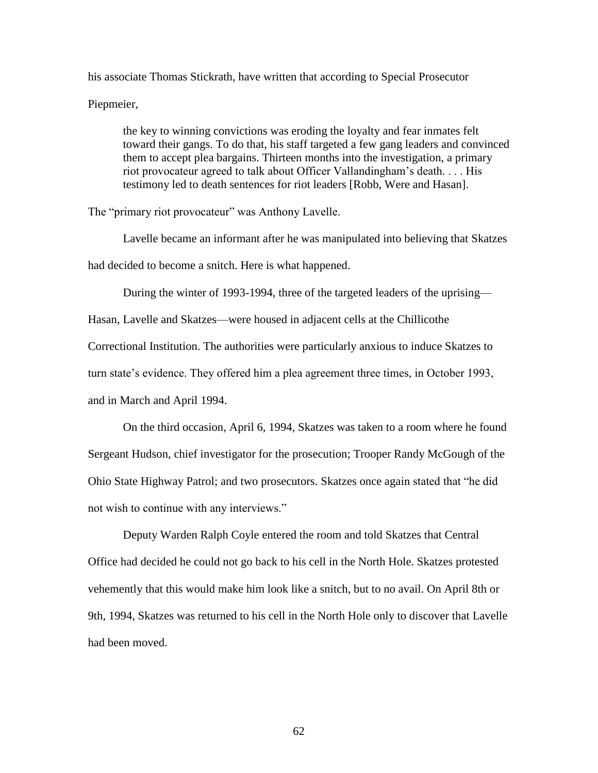his associate Thomas Stickrath, have written that according to Special Prosecutor Piepmeier,

the key to winning convictions was eroding the loyalty and fear inmates felt toward their gangs. To do that, his staff targeted a few gang leaders and convinced them to accept plea bargains. Thirteen months into the investigation, a primary riot provocateur agreed to talk about Officer Vallandingham's death. . . . His testimony led to death sentences for riot leaders [Robb, Were and Hasan].

The "primary riot provocateur" was Anthony Lavelle.

Lavelle became an informant after he was manipulated into believing that Skatzes had decided to become a snitch. Here is what happened.

During the winter of 1993-1994, three of the targeted leaders of the uprising—

Hasan, Lavelle and Skatzes—were housed in adjacent cells at the Chillicothe Correctional Institution. The authorities were particularly anxious to induce Skatzes to turn state's evidence. They offered him a plea agreement three times, in October 1993,

and in March and April 1994.

On the third occasion, April 6, 1994, Skatzes was taken to a room where he found Sergeant Hudson, chief investigator for the prosecution; Trooper Randy McGough of the Ohio State Highway Patrol; and two prosecutors. Skatzes once again stated that "he did not wish to continue with any interviews."

Deputy Warden Ralph Coyle entered the room and told Skatzes that Central Office had decided he could not go back to his cell in the North Hole. Skatzes protested vehemently that this would make him look like a snitch, but to no avail. On April 8th or 9th, 1994, Skatzes was returned to his cell in the North Hole only to discover that Lavelle had been moved.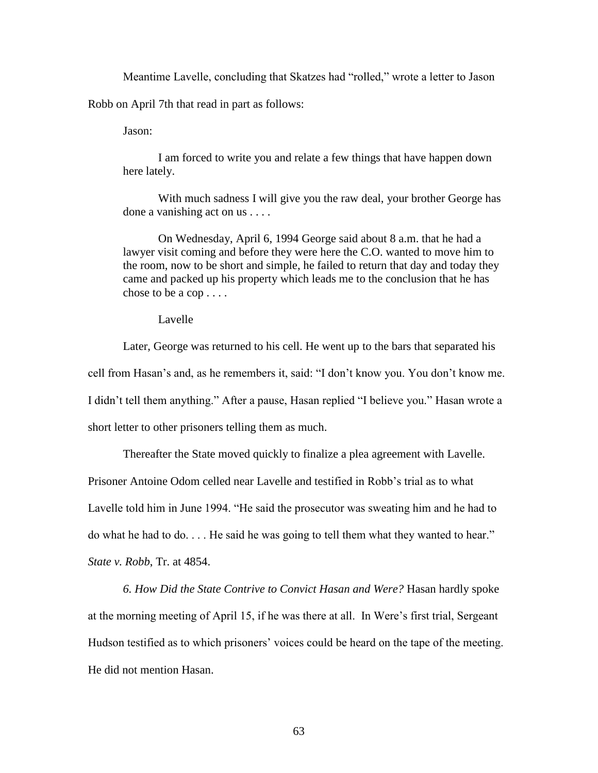Meantime Lavelle, concluding that Skatzes had "rolled," wrote a letter to Jason Robb on April 7th that read in part as follows:

Jason:

I am forced to write you and relate a few things that have happen down here lately.

With much sadness I will give you the raw deal, your brother George has done a vanishing act on us . . . .

On Wednesday, April 6, 1994 George said about 8 a.m. that he had a lawyer visit coming and before they were here the C.O. wanted to move him to the room, now to be short and simple, he failed to return that day and today they came and packed up his property which leads me to the conclusion that he has chose to be a cop . . . .

Lavelle

Later, George was returned to his cell. He went up to the bars that separated his cell from Hasan's and, as he remembers it, said: "I don't know you. You don't know me. I didn't tell them anything." After a pause, Hasan replied "I believe you." Hasan wrote a short letter to other prisoners telling them as much.

Thereafter the State moved quickly to finalize a plea agreement with Lavelle. Prisoner Antoine Odom celled near Lavelle and testified in Robb's trial as to what Lavelle told him in June 1994. "He said the prosecutor was sweating him and he had to do what he had to do. . . . He said he was going to tell them what they wanted to hear." *State v. Robb*, Tr. at 4854.

*6. How Did the State Contrive to Convict Hasan and Were?* Hasan hardly spoke at the morning meeting of April 15, if he was there at all. In Were's first trial, Sergeant Hudson testified as to which prisoners' voices could be heard on the tape of the meeting. He did not mention Hasan.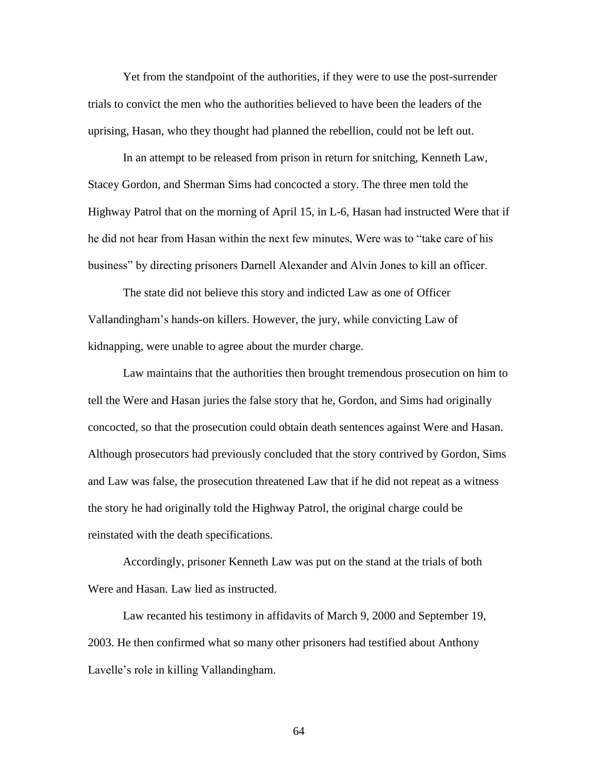Yet from the standpoint of the authorities, if they were to use the post-surrender trials to convict the men who the authorities believed to have been the leaders of the uprising, Hasan, who they thought had planned the rebellion, could not be left out.

In an attempt to be released from prison in return for snitching, Kenneth Law, Stacey Gordon, and Sherman Sims had concocted a story. The three men told the Highway Patrol that on the morning of April 15, in L-6, Hasan had instructed Were that if he did not hear from Hasan within the next few minutes, Were was to "take care of his business" by directing prisoners Darnell Alexander and Alvin Jones to kill an officer.

The state did not believe this story and indicted Law as one of Officer Vallandingham's hands-on killers. However, the jury, while convicting Law of kidnapping, were unable to agree about the murder charge.

Law maintains that the authorities then brought tremendous prosecution on him to tell the Were and Hasan juries the false story that he, Gordon, and Sims had originally concocted, so that the prosecution could obtain death sentences against Were and Hasan. Although prosecutors had previously concluded that the story contrived by Gordon, Sims and Law was false, the prosecution threatened Law that if he did not repeat as a witness the story he had originally told the Highway Patrol, the original charge could be reinstated with the death specifications.

Accordingly, prisoner Kenneth Law was put on the stand at the trials of both Were and Hasan. Law lied as instructed.

Law recanted his testimony in affidavits of March 9, 2000 and September 19, 2003. He then confirmed what so many other prisoners had testified about Anthony Lavelle's role in killing Vallandingham.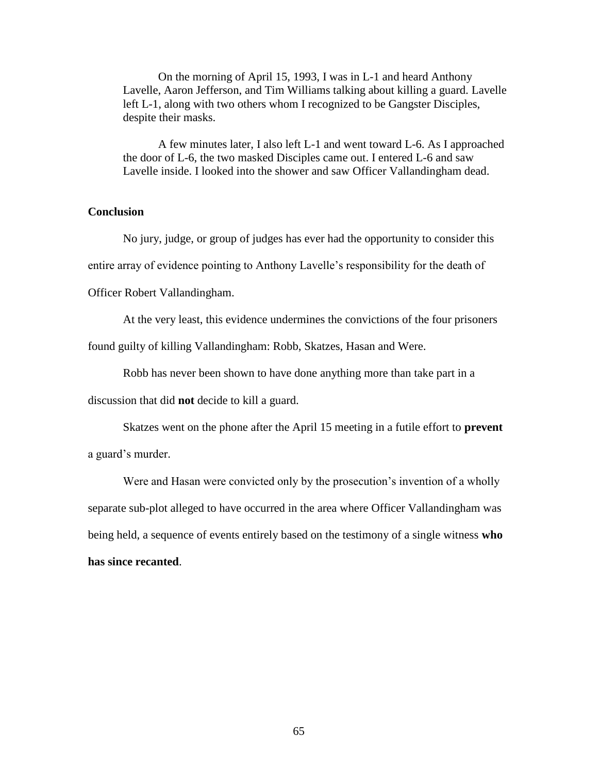On the morning of April 15, 1993, I was in L-1 and heard Anthony Lavelle, Aaron Jefferson, and Tim Williams talking about killing a guard. Lavelle left L-1, along with two others whom I recognized to be Gangster Disciples, despite their masks.

A few minutes later, I also left L-1 and went toward L-6. As I approached the door of L-6, the two masked Disciples came out. I entered L-6 and saw Lavelle inside. I looked into the shower and saw Officer Vallandingham dead.

## **Conclusion**

No jury, judge, or group of judges has ever had the opportunity to consider this entire array of evidence pointing to Anthony Lavelle's responsibility for the death of

Officer Robert Vallandingham.

At the very least, this evidence undermines the convictions of the four prisoners

found guilty of killing Vallandingham: Robb, Skatzes, Hasan and Were.

Robb has never been shown to have done anything more than take part in a

discussion that did **not** decide to kill a guard.

Skatzes went on the phone after the April 15 meeting in a futile effort to **prevent** a guard's murder.

Were and Hasan were convicted only by the prosecution's invention of a wholly separate sub-plot alleged to have occurred in the area where Officer Vallandingham was being held, a sequence of events entirely based on the testimony of a single witness **who has since recanted**.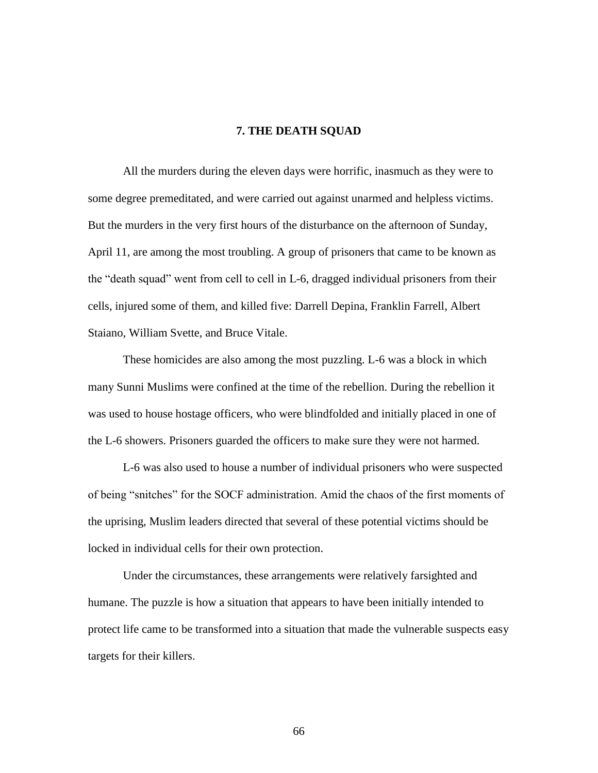### **7. THE DEATH SQUAD**

All the murders during the eleven days were horrific, inasmuch as they were to some degree premeditated, and were carried out against unarmed and helpless victims. But the murders in the very first hours of the disturbance on the afternoon of Sunday, April 11, are among the most troubling. A group of prisoners that came to be known as the "death squad" went from cell to cell in L-6, dragged individual prisoners from their cells, injured some of them, and killed five: Darrell Depina, Franklin Farrell, Albert Staiano, William Svette, and Bruce Vitale.

These homicides are also among the most puzzling. L-6 was a block in which many Sunni Muslims were confined at the time of the rebellion. During the rebellion it was used to house hostage officers, who were blindfolded and initially placed in one of the L-6 showers. Prisoners guarded the officers to make sure they were not harmed.

L-6 was also used to house a number of individual prisoners who were suspected of being "snitches" for the SOCF administration. Amid the chaos of the first moments of the uprising, Muslim leaders directed that several of these potential victims should be locked in individual cells for their own protection.

Under the circumstances, these arrangements were relatively farsighted and humane. The puzzle is how a situation that appears to have been initially intended to protect life came to be transformed into a situation that made the vulnerable suspects easy targets for their killers.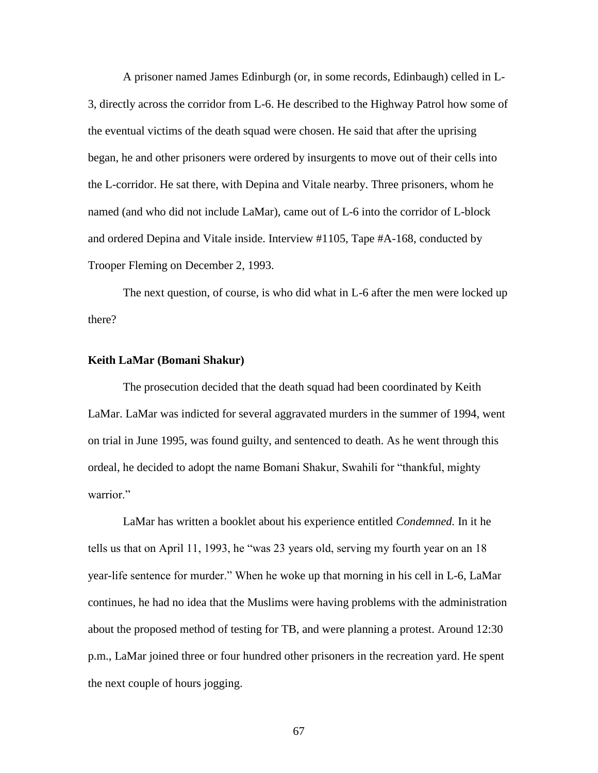A prisoner named James Edinburgh (or, in some records, Edinbaugh) celled in L-3, directly across the corridor from L-6. He described to the Highway Patrol how some of the eventual victims of the death squad were chosen. He said that after the uprising began, he and other prisoners were ordered by insurgents to move out of their cells into the L-corridor. He sat there, with Depina and Vitale nearby. Three prisoners, whom he named (and who did not include LaMar), came out of L-6 into the corridor of L-block and ordered Depina and Vitale inside. Interview #1105, Tape #A-168, conducted by Trooper Fleming on December 2, 1993.

The next question, of course, is who did what in L-6 after the men were locked up there?

#### **Keith LaMar (Bomani Shakur)**

The prosecution decided that the death squad had been coordinated by Keith LaMar. LaMar was indicted for several aggravated murders in the summer of 1994, went on trial in June 1995, was found guilty, and sentenced to death. As he went through this ordeal, he decided to adopt the name Bomani Shakur, Swahili for "thankful, mighty warrior<sup>"</sup>

LaMar has written a booklet about his experience entitled *Condemned.* In it he tells us that on April 11, 1993, he "was 23 years old, serving my fourth year on an 18 year-life sentence for murder." When he woke up that morning in his cell in L-6, LaMar continues, he had no idea that the Muslims were having problems with the administration about the proposed method of testing for TB, and were planning a protest. Around 12:30 p.m., LaMar joined three or four hundred other prisoners in the recreation yard. He spent the next couple of hours jogging.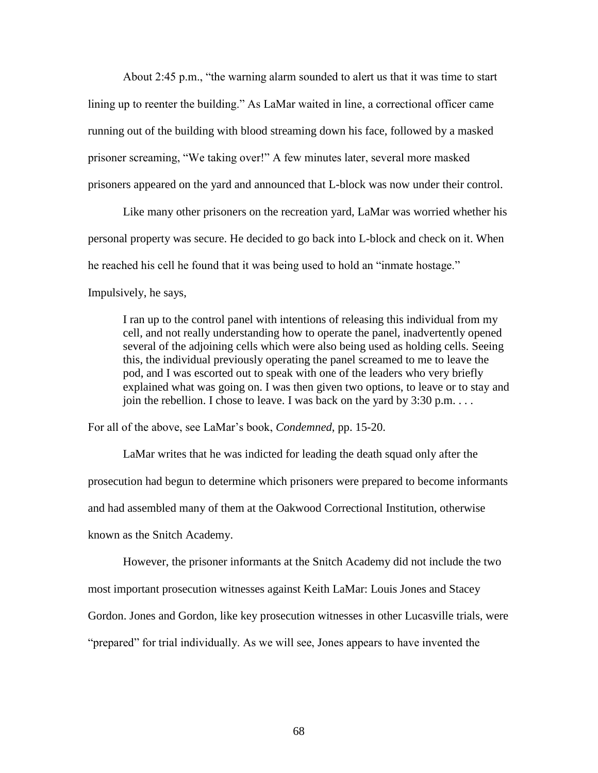About 2:45 p.m., "the warning alarm sounded to alert us that it was time to start lining up to reenter the building." As LaMar waited in line, a correctional officer came running out of the building with blood streaming down his face, followed by a masked prisoner screaming, "We taking over!" A few minutes later, several more masked prisoners appeared on the yard and announced that L-block was now under their control.

Like many other prisoners on the recreation yard, LaMar was worried whether his personal property was secure. He decided to go back into L-block and check on it. When he reached his cell he found that it was being used to hold an "inmate hostage." Impulsively, he says,

I ran up to the control panel with intentions of releasing this individual from my cell, and not really understanding how to operate the panel, inadvertently opened several of the adjoining cells which were also being used as holding cells. Seeing this, the individual previously operating the panel screamed to me to leave the pod, and I was escorted out to speak with one of the leaders who very briefly explained what was going on. I was then given two options, to leave or to stay and join the rebellion. I chose to leave. I was back on the yard by  $3:30$  p.m. . . .

For all of the above, see LaMar's book, *Condemned*, pp. 15-20.

LaMar writes that he was indicted for leading the death squad only after the prosecution had begun to determine which prisoners were prepared to become informants and had assembled many of them at the Oakwood Correctional Institution, otherwise known as the Snitch Academy.

However, the prisoner informants at the Snitch Academy did not include the two most important prosecution witnesses against Keith LaMar: Louis Jones and Stacey Gordon. Jones and Gordon, like key prosecution witnesses in other Lucasville trials, were "prepared" for trial individually. As we will see, Jones appears to have invented the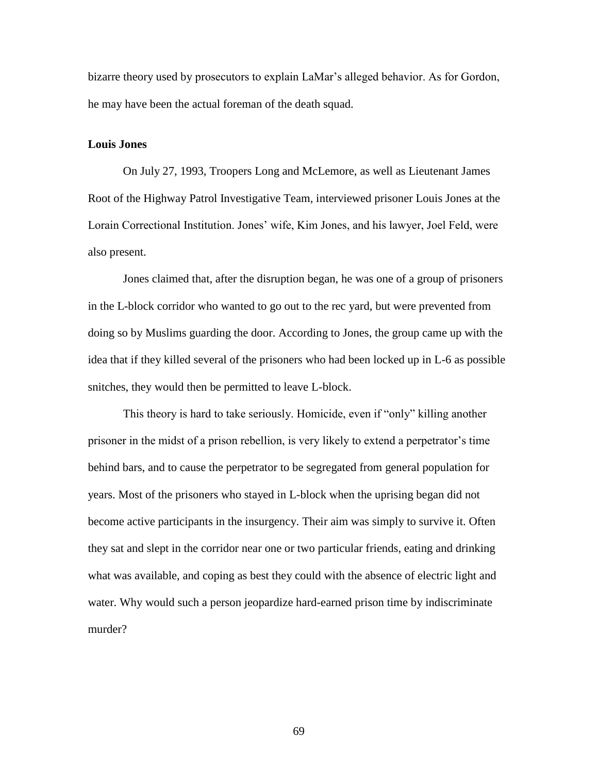bizarre theory used by prosecutors to explain LaMar's alleged behavior. As for Gordon, he may have been the actual foreman of the death squad.

## **Louis Jones**

On July 27, 1993, Troopers Long and McLemore, as well as Lieutenant James Root of the Highway Patrol Investigative Team, interviewed prisoner Louis Jones at the Lorain Correctional Institution. Jones' wife, Kim Jones, and his lawyer, Joel Feld, were also present.

Jones claimed that, after the disruption began, he was one of a group of prisoners in the L-block corridor who wanted to go out to the rec yard, but were prevented from doing so by Muslims guarding the door. According to Jones, the group came up with the idea that if they killed several of the prisoners who had been locked up in L-6 as possible snitches, they would then be permitted to leave L-block.

This theory is hard to take seriously. Homicide, even if "only" killing another prisoner in the midst of a prison rebellion, is very likely to extend a perpetrator's time behind bars, and to cause the perpetrator to be segregated from general population for years. Most of the prisoners who stayed in L-block when the uprising began did not become active participants in the insurgency. Their aim was simply to survive it. Often they sat and slept in the corridor near one or two particular friends, eating and drinking what was available, and coping as best they could with the absence of electric light and water. Why would such a person jeopardize hard-earned prison time by indiscriminate murder?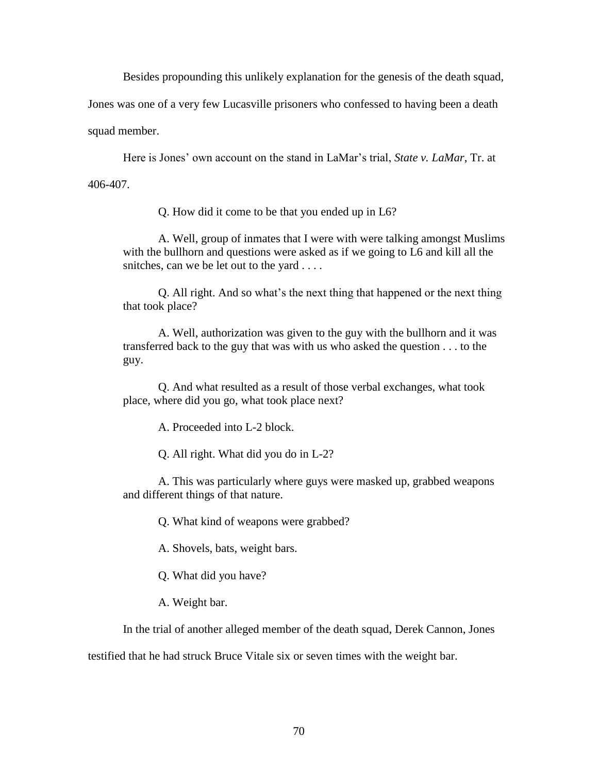Besides propounding this unlikely explanation for the genesis of the death squad,

Jones was one of a very few Lucasville prisoners who confessed to having been a death

squad member.

Here is Jones' own account on the stand in LaMar's trial, *State v. LaMar*, Tr. at 406-407.

Q. How did it come to be that you ended up in L6?

A. Well, group of inmates that I were with were talking amongst Muslims with the bullhorn and questions were asked as if we going to L6 and kill all the snitches, can we be let out to the yard . . . .

Q. All right. And so what's the next thing that happened or the next thing that took place?

A. Well, authorization was given to the guy with the bullhorn and it was transferred back to the guy that was with us who asked the question . . . to the guy.

Q. And what resulted as a result of those verbal exchanges, what took place, where did you go, what took place next?

A. Proceeded into L-2 block.

Q. All right. What did you do in L-2?

A. This was particularly where guys were masked up, grabbed weapons and different things of that nature.

Q. What kind of weapons were grabbed?

A. Shovels, bats, weight bars.

Q. What did you have?

A. Weight bar.

In the trial of another alleged member of the death squad, Derek Cannon, Jones

testified that he had struck Bruce Vitale six or seven times with the weight bar.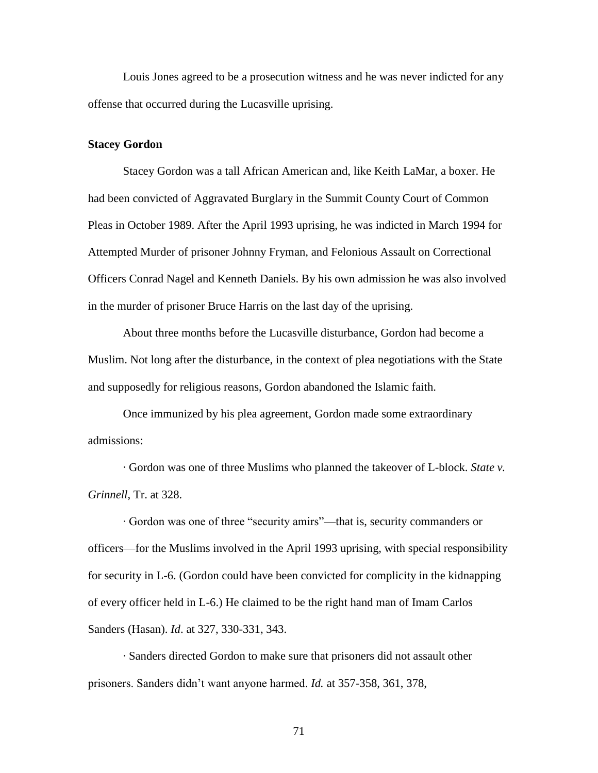Louis Jones agreed to be a prosecution witness and he was never indicted for any offense that occurred during the Lucasville uprising.

#### **Stacey Gordon**

Stacey Gordon was a tall African American and, like Keith LaMar, a boxer. He had been convicted of Aggravated Burglary in the Summit County Court of Common Pleas in October 1989. After the April 1993 uprising, he was indicted in March 1994 for Attempted Murder of prisoner Johnny Fryman, and Felonious Assault on Correctional Officers Conrad Nagel and Kenneth Daniels. By his own admission he was also involved in the murder of prisoner Bruce Harris on the last day of the uprising.

About three months before the Lucasville disturbance, Gordon had become a Muslim. Not long after the disturbance, in the context of plea negotiations with the State and supposedly for religious reasons, Gordon abandoned the Islamic faith.

Once immunized by his plea agreement, Gordon made some extraordinary admissions:

· Gordon was one of three Muslims who planned the takeover of L-block. *State v. Grinnell*, Tr. at 328.

∙ Gordon was one of three "security amirs"—that is, security commanders or officers—for the Muslims involved in the April 1993 uprising, with special responsibility for security in L-6. (Gordon could have been convicted for complicity in the kidnapping of every officer held in L-6.) He claimed to be the right hand man of Imam Carlos Sanders (Hasan). *Id*. at 327, 330-331, 343.

· Sanders directed Gordon to make sure that prisoners did not assault other prisoners. Sanders didn't want anyone harmed. *Id.* at 357-358, 361, 378,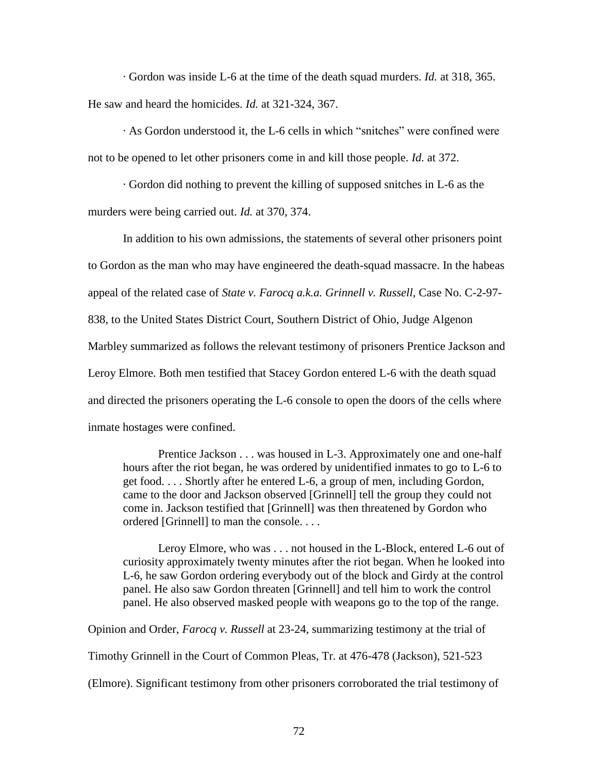· Gordon was inside L-6 at the time of the death squad murders. *Id.* at 318, 365. He saw and heard the homicides. *Id.* at 321-324, 367.

· As Gordon understood it, the L-6 cells in which "snitches" were confined were not to be opened to let other prisoners come in and kill those people. *Id.* at 372.

· Gordon did nothing to prevent the killing of supposed snitches in L-6 as the murders were being carried out. *Id.* at 370, 374.

In addition to his own admissions, the statements of several other prisoners point to Gordon as the man who may have engineered the death-squad massacre. In the habeas appeal of the related case of *State v. Farocq a.k.a. Grinnell v. Russell,* Case No. C-2-97- 838, to the United States District Court, Southern District of Ohio, Judge Algenon Marbley summarized as follows the relevant testimony of prisoners Prentice Jackson and Leroy Elmore. Both men testified that Stacey Gordon entered L-6 with the death squad and directed the prisoners operating the L-6 console to open the doors of the cells where inmate hostages were confined.

Prentice Jackson . . . was housed in L-3. Approximately one and one-half hours after the riot began, he was ordered by unidentified inmates to go to L-6 to get food. . . . Shortly after he entered L-6, a group of men, including Gordon, came to the door and Jackson observed [Grinnell] tell the group they could not come in. Jackson testified that [Grinnell] was then threatened by Gordon who ordered [Grinnell] to man the console. . . .

Leroy Elmore, who was . . . not housed in the L-Block, entered L-6 out of curiosity approximately twenty minutes after the riot began. When he looked into L-6, he saw Gordon ordering everybody out of the block and Girdy at the control panel. He also saw Gordon threaten [Grinnell] and tell him to work the control panel. He also observed masked people with weapons go to the top of the range.

Opinion and Order, *Farocq v. Russell* at 23-24, summarizing testimony at the trial of

Timothy Grinnell in the Court of Common Pleas, Tr. at 476-478 (Jackson), 521-523

(Elmore). Significant testimony from other prisoners corroborated the trial testimony of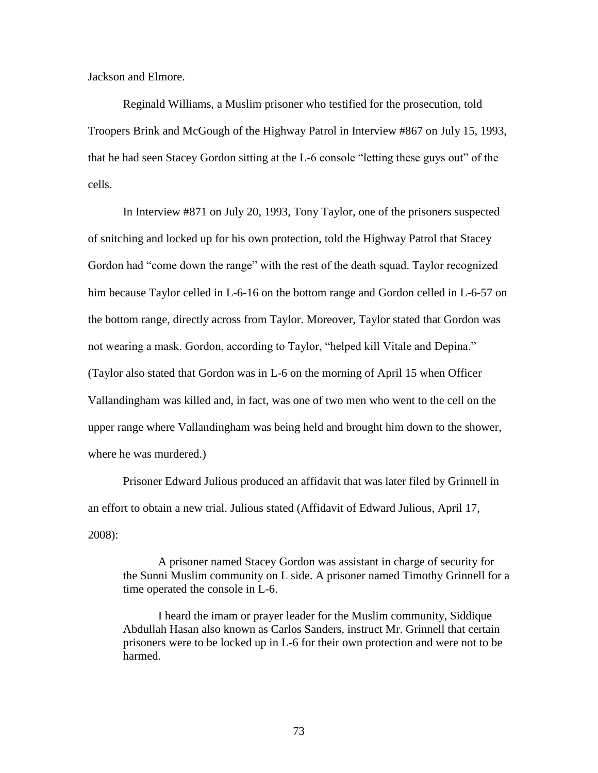Jackson and Elmore.

Reginald Williams, a Muslim prisoner who testified for the prosecution, told Troopers Brink and McGough of the Highway Patrol in Interview #867 on July 15, 1993, that he had seen Stacey Gordon sitting at the L-6 console "letting these guys out" of the cells.

In Interview #871 on July 20, 1993, Tony Taylor, one of the prisoners suspected of snitching and locked up for his own protection, told the Highway Patrol that Stacey Gordon had "come down the range" with the rest of the death squad. Taylor recognized him because Taylor celled in L-6-16 on the bottom range and Gordon celled in L-6-57 on the bottom range, directly across from Taylor. Moreover, Taylor stated that Gordon was not wearing a mask. Gordon, according to Taylor, "helped kill Vitale and Depina." (Taylor also stated that Gordon was in L-6 on the morning of April 15 when Officer Vallandingham was killed and, in fact, was one of two men who went to the cell on the upper range where Vallandingham was being held and brought him down to the shower, where he was murdered.)

Prisoner Edward Julious produced an affidavit that was later filed by Grinnell in an effort to obtain a new trial. Julious stated (Affidavit of Edward Julious, April 17, 2008):

A prisoner named Stacey Gordon was assistant in charge of security for the Sunni Muslim community on L side. A prisoner named Timothy Grinnell for a time operated the console in L-6.

I heard the imam or prayer leader for the Muslim community, Siddique Abdullah Hasan also known as Carlos Sanders, instruct Mr. Grinnell that certain prisoners were to be locked up in L-6 for their own protection and were not to be harmed.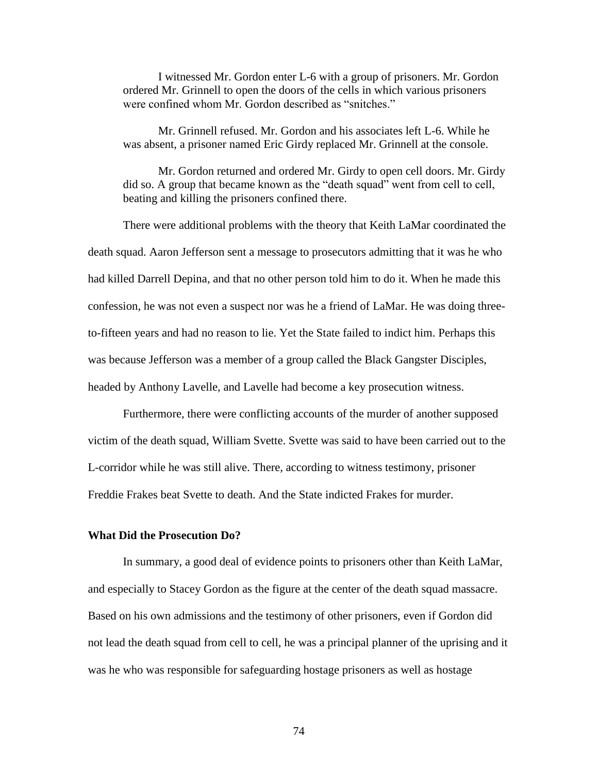I witnessed Mr. Gordon enter L-6 with a group of prisoners. Mr. Gordon ordered Mr. Grinnell to open the doors of the cells in which various prisoners were confined whom Mr. Gordon described as "snitches."

Mr. Grinnell refused. Mr. Gordon and his associates left L-6. While he was absent, a prisoner named Eric Girdy replaced Mr. Grinnell at the console.

Mr. Gordon returned and ordered Mr. Girdy to open cell doors. Mr. Girdy did so. A group that became known as the "death squad" went from cell to cell, beating and killing the prisoners confined there.

There were additional problems with the theory that Keith LaMar coordinated the death squad. Aaron Jefferson sent a message to prosecutors admitting that it was he who had killed Darrell Depina, and that no other person told him to do it. When he made this confession, he was not even a suspect nor was he a friend of LaMar. He was doing threeto-fifteen years and had no reason to lie. Yet the State failed to indict him. Perhaps this was because Jefferson was a member of a group called the Black Gangster Disciples, headed by Anthony Lavelle, and Lavelle had become a key prosecution witness.

Furthermore, there were conflicting accounts of the murder of another supposed victim of the death squad, William Svette. Svette was said to have been carried out to the L-corridor while he was still alive. There, according to witness testimony, prisoner Freddie Frakes beat Svette to death. And the State indicted Frakes for murder.

## **What Did the Prosecution Do?**

In summary, a good deal of evidence points to prisoners other than Keith LaMar, and especially to Stacey Gordon as the figure at the center of the death squad massacre. Based on his own admissions and the testimony of other prisoners, even if Gordon did not lead the death squad from cell to cell, he was a principal planner of the uprising and it was he who was responsible for safeguarding hostage prisoners as well as hostage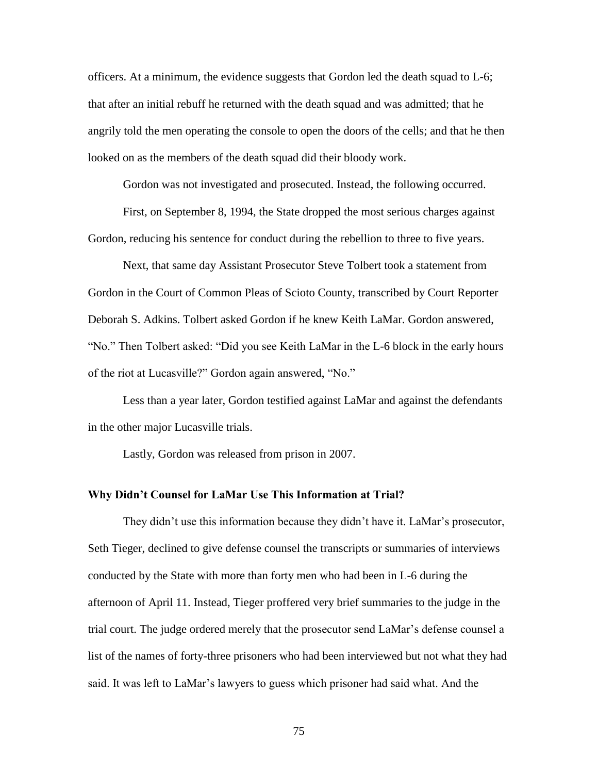officers. At a minimum, the evidence suggests that Gordon led the death squad to L-6; that after an initial rebuff he returned with the death squad and was admitted; that he angrily told the men operating the console to open the doors of the cells; and that he then looked on as the members of the death squad did their bloody work.

Gordon was not investigated and prosecuted. Instead, the following occurred.

First, on September 8, 1994, the State dropped the most serious charges against Gordon, reducing his sentence for conduct during the rebellion to three to five years.

Next, that same day Assistant Prosecutor Steve Tolbert took a statement from Gordon in the Court of Common Pleas of Scioto County, transcribed by Court Reporter Deborah S. Adkins. Tolbert asked Gordon if he knew Keith LaMar. Gordon answered, "No." Then Tolbert asked: "Did you see Keith LaMar in the L-6 block in the early hours of the riot at Lucasville?" Gordon again answered, "No."

Less than a year later, Gordon testified against LaMar and against the defendants in the other major Lucasville trials.

Lastly, Gordon was released from prison in 2007.

### **Why Didn't Counsel for LaMar Use This Information at Trial?**

They didn't use this information because they didn't have it. LaMar's prosecutor, Seth Tieger, declined to give defense counsel the transcripts or summaries of interviews conducted by the State with more than forty men who had been in L-6 during the afternoon of April 11. Instead, Tieger proffered very brief summaries to the judge in the trial court. The judge ordered merely that the prosecutor send LaMar's defense counsel a list of the names of forty-three prisoners who had been interviewed but not what they had said. It was left to LaMar's lawyers to guess which prisoner had said what. And the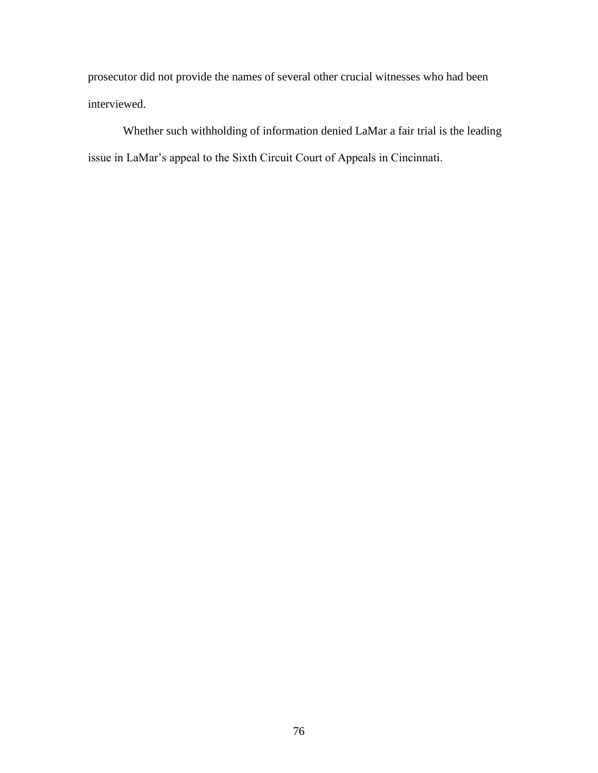prosecutor did not provide the names of several other crucial witnesses who had been interviewed.

Whether such withholding of information denied LaMar a fair trial is the leading issue in LaMar's appeal to the Sixth Circuit Court of Appeals in Cincinnati.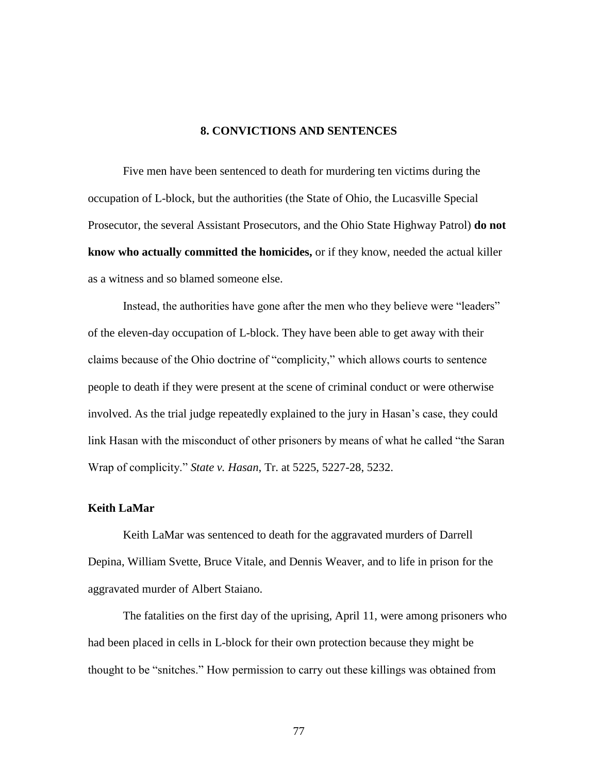## **8. CONVICTIONS AND SENTENCES**

Five men have been sentenced to death for murdering ten victims during the occupation of L-block, but the authorities (the State of Ohio, the Lucasville Special Prosecutor, the several Assistant Prosecutors, and the Ohio State Highway Patrol) **do not know who actually committed the homicides,** or if they know, needed the actual killer as a witness and so blamed someone else.

Instead, the authorities have gone after the men who they believe were "leaders" of the eleven-day occupation of L-block. They have been able to get away with their claims because of the Ohio doctrine of "complicity," which allows courts to sentence people to death if they were present at the scene of criminal conduct or were otherwise involved. As the trial judge repeatedly explained to the jury in Hasan's case, they could link Hasan with the misconduct of other prisoners by means of what he called "the Saran Wrap of complicity." *State v. Hasan*, Tr. at 5225, 5227-28, 5232.

#### **Keith LaMar**

Keith LaMar was sentenced to death for the aggravated murders of Darrell Depina, William Svette, Bruce Vitale, and Dennis Weaver, and to life in prison for the aggravated murder of Albert Staiano.

The fatalities on the first day of the uprising, April 11, were among prisoners who had been placed in cells in L-block for their own protection because they might be thought to be "snitches." How permission to carry out these killings was obtained from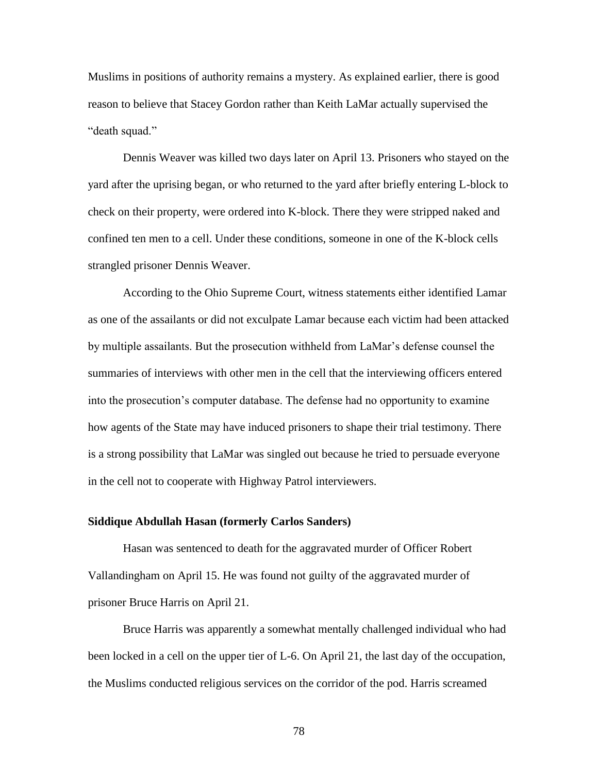Muslims in positions of authority remains a mystery. As explained earlier, there is good reason to believe that Stacey Gordon rather than Keith LaMar actually supervised the "death squad."

Dennis Weaver was killed two days later on April 13. Prisoners who stayed on the yard after the uprising began, or who returned to the yard after briefly entering L-block to check on their property, were ordered into K-block. There they were stripped naked and confined ten men to a cell. Under these conditions, someone in one of the K-block cells strangled prisoner Dennis Weaver.

According to the Ohio Supreme Court, witness statements either identified Lamar as one of the assailants or did not exculpate Lamar because each victim had been attacked by multiple assailants. But the prosecution withheld from LaMar's defense counsel the summaries of interviews with other men in the cell that the interviewing officers entered into the prosecution's computer database. The defense had no opportunity to examine how agents of the State may have induced prisoners to shape their trial testimony. There is a strong possibility that LaMar was singled out because he tried to persuade everyone in the cell not to cooperate with Highway Patrol interviewers.

## **Siddique Abdullah Hasan (formerly Carlos Sanders)**

Hasan was sentenced to death for the aggravated murder of Officer Robert Vallandingham on April 15. He was found not guilty of the aggravated murder of prisoner Bruce Harris on April 21.

Bruce Harris was apparently a somewhat mentally challenged individual who had been locked in a cell on the upper tier of L-6. On April 21, the last day of the occupation, the Muslims conducted religious services on the corridor of the pod. Harris screamed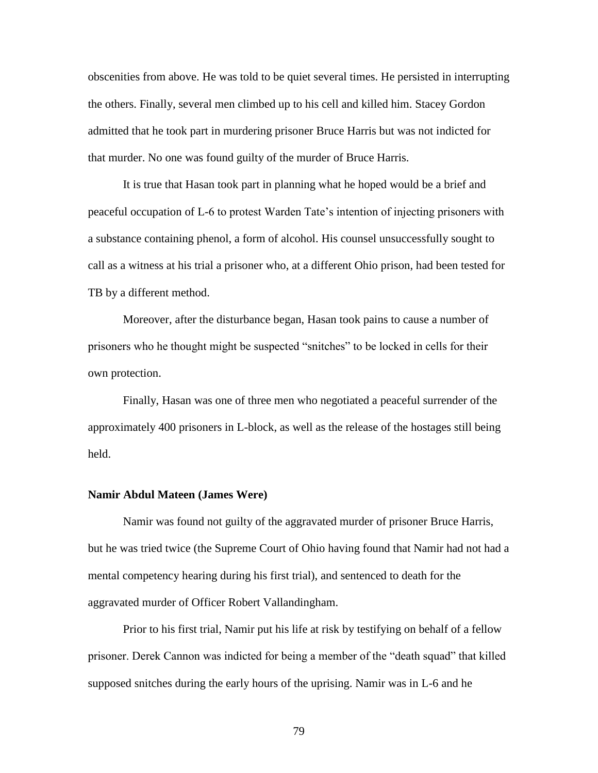obscenities from above. He was told to be quiet several times. He persisted in interrupting the others. Finally, several men climbed up to his cell and killed him. Stacey Gordon admitted that he took part in murdering prisoner Bruce Harris but was not indicted for that murder. No one was found guilty of the murder of Bruce Harris.

It is true that Hasan took part in planning what he hoped would be a brief and peaceful occupation of L-6 to protest Warden Tate's intention of injecting prisoners with a substance containing phenol, a form of alcohol. His counsel unsuccessfully sought to call as a witness at his trial a prisoner who, at a different Ohio prison, had been tested for TB by a different method.

Moreover, after the disturbance began, Hasan took pains to cause a number of prisoners who he thought might be suspected "snitches" to be locked in cells for their own protection.

Finally, Hasan was one of three men who negotiated a peaceful surrender of the approximately 400 prisoners in L-block, as well as the release of the hostages still being held.

## **Namir Abdul Mateen (James Were)**

Namir was found not guilty of the aggravated murder of prisoner Bruce Harris, but he was tried twice (the Supreme Court of Ohio having found that Namir had not had a mental competency hearing during his first trial), and sentenced to death for the aggravated murder of Officer Robert Vallandingham.

Prior to his first trial, Namir put his life at risk by testifying on behalf of a fellow prisoner. Derek Cannon was indicted for being a member of the "death squad" that killed supposed snitches during the early hours of the uprising. Namir was in L-6 and he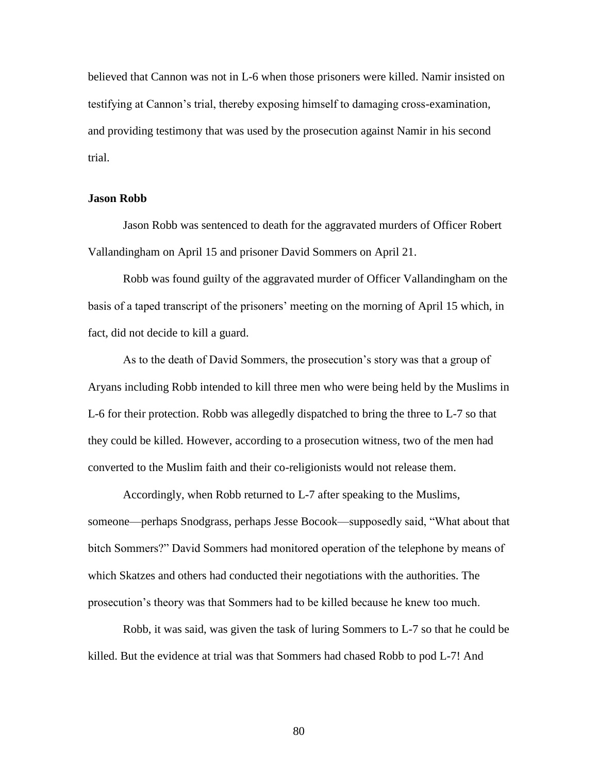believed that Cannon was not in L-6 when those prisoners were killed. Namir insisted on testifying at Cannon's trial, thereby exposing himself to damaging cross-examination, and providing testimony that was used by the prosecution against Namir in his second trial.

### **Jason Robb**

Jason Robb was sentenced to death for the aggravated murders of Officer Robert Vallandingham on April 15 and prisoner David Sommers on April 21.

Robb was found guilty of the aggravated murder of Officer Vallandingham on the basis of a taped transcript of the prisoners' meeting on the morning of April 15 which, in fact, did not decide to kill a guard.

As to the death of David Sommers, the prosecution's story was that a group of Aryans including Robb intended to kill three men who were being held by the Muslims in L-6 for their protection. Robb was allegedly dispatched to bring the three to L-7 so that they could be killed. However, according to a prosecution witness, two of the men had converted to the Muslim faith and their co-religionists would not release them.

Accordingly, when Robb returned to L-7 after speaking to the Muslims, someone—perhaps Snodgrass, perhaps Jesse Bocook—supposedly said, "What about that bitch Sommers?" David Sommers had monitored operation of the telephone by means of which Skatzes and others had conducted their negotiations with the authorities. The prosecution's theory was that Sommers had to be killed because he knew too much.

Robb, it was said, was given the task of luring Sommers to L-7 so that he could be killed. But the evidence at trial was that Sommers had chased Robb to pod L-7! And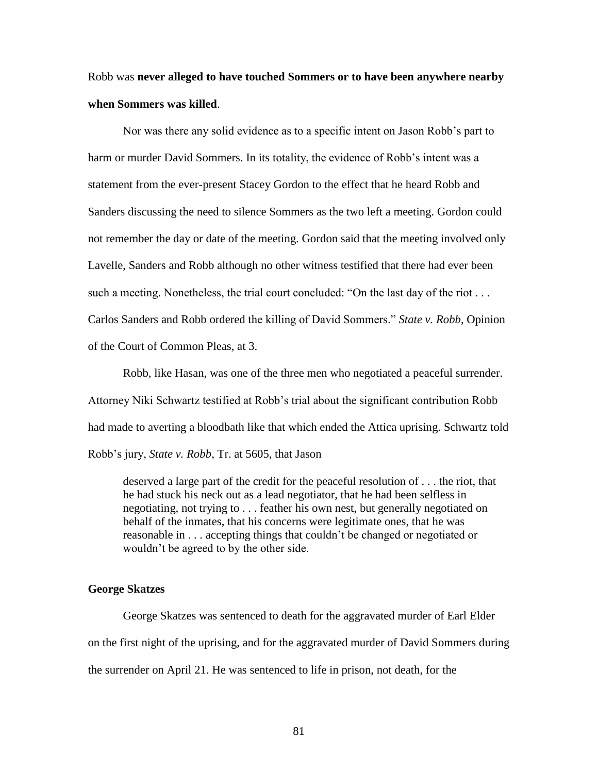Robb was **never alleged to have touched Sommers or to have been anywhere nearby when Sommers was killed**.

Nor was there any solid evidence as to a specific intent on Jason Robb's part to harm or murder David Sommers. In its totality, the evidence of Robb's intent was a statement from the ever-present Stacey Gordon to the effect that he heard Robb and Sanders discussing the need to silence Sommers as the two left a meeting. Gordon could not remember the day or date of the meeting. Gordon said that the meeting involved only Lavelle, Sanders and Robb although no other witness testified that there had ever been such a meeting. Nonetheless, the trial court concluded: "On the last day of the riot . . . Carlos Sanders and Robb ordered the killing of David Sommers." *State v. Robb*, Opinion of the Court of Common Pleas, at 3.

Robb, like Hasan, was one of the three men who negotiated a peaceful surrender. Attorney Niki Schwartz testified at Robb's trial about the significant contribution Robb had made to averting a bloodbath like that which ended the Attica uprising. Schwartz told Robb's jury, *State v. Robb*, Tr. at 5605, that Jason

deserved a large part of the credit for the peaceful resolution of . . . the riot, that he had stuck his neck out as a lead negotiator, that he had been selfless in negotiating, not trying to . . . feather his own nest, but generally negotiated on behalf of the inmates, that his concerns were legitimate ones, that he was reasonable in . . . accepting things that couldn't be changed or negotiated or wouldn't be agreed to by the other side.

## **George Skatzes**

George Skatzes was sentenced to death for the aggravated murder of Earl Elder on the first night of the uprising, and for the aggravated murder of David Sommers during the surrender on April 21. He was sentenced to life in prison, not death, for the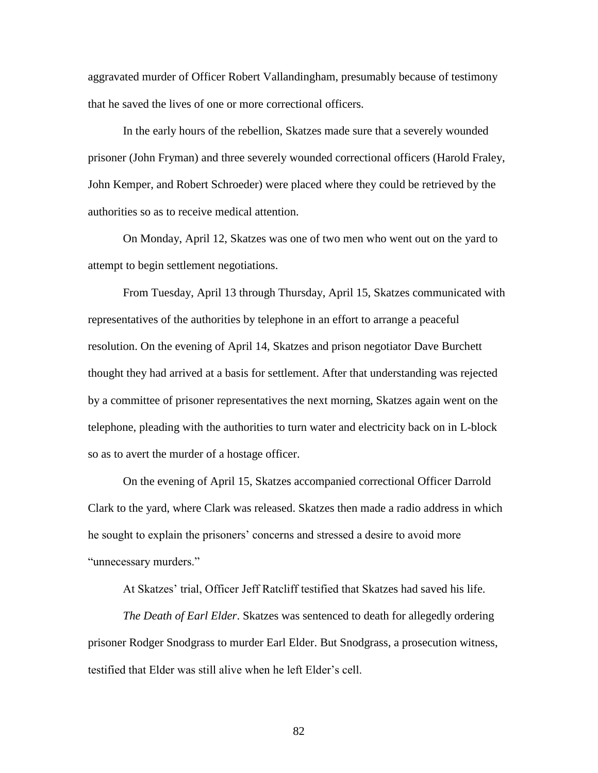aggravated murder of Officer Robert Vallandingham, presumably because of testimony that he saved the lives of one or more correctional officers.

In the early hours of the rebellion, Skatzes made sure that a severely wounded prisoner (John Fryman) and three severely wounded correctional officers (Harold Fraley, John Kemper, and Robert Schroeder) were placed where they could be retrieved by the authorities so as to receive medical attention.

On Monday, April 12, Skatzes was one of two men who went out on the yard to attempt to begin settlement negotiations.

From Tuesday, April 13 through Thursday, April 15, Skatzes communicated with representatives of the authorities by telephone in an effort to arrange a peaceful resolution. On the evening of April 14, Skatzes and prison negotiator Dave Burchett thought they had arrived at a basis for settlement. After that understanding was rejected by a committee of prisoner representatives the next morning, Skatzes again went on the telephone, pleading with the authorities to turn water and electricity back on in L-block so as to avert the murder of a hostage officer.

On the evening of April 15, Skatzes accompanied correctional Officer Darrold Clark to the yard, where Clark was released. Skatzes then made a radio address in which he sought to explain the prisoners' concerns and stressed a desire to avoid more "unnecessary murders."

At Skatzes' trial, Officer Jeff Ratcliff testified that Skatzes had saved his life.

*The Death of Earl Elder*. Skatzes was sentenced to death for allegedly ordering prisoner Rodger Snodgrass to murder Earl Elder. But Snodgrass, a prosecution witness, testified that Elder was still alive when he left Elder's cell.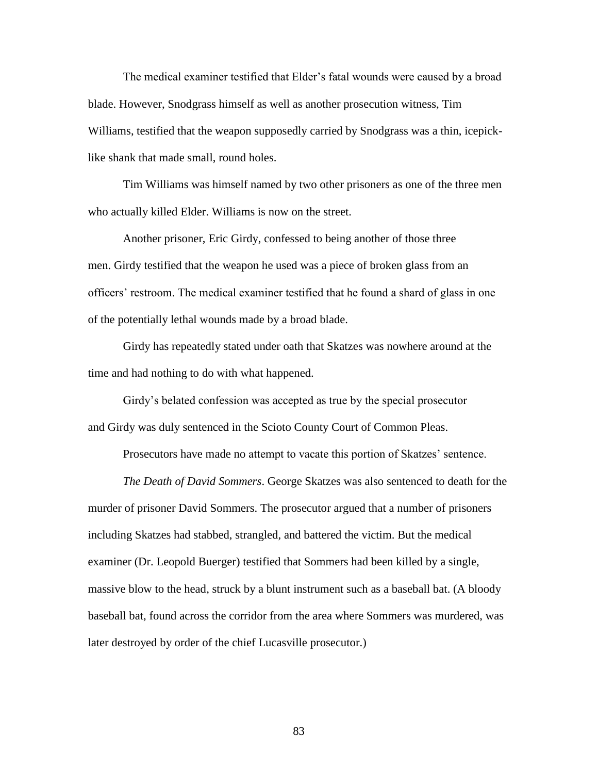The medical examiner testified that Elder's fatal wounds were caused by a broad blade. However, Snodgrass himself as well as another prosecution witness, Tim Williams, testified that the weapon supposedly carried by Snodgrass was a thin, icepicklike shank that made small, round holes.

Tim Williams was himself named by two other prisoners as one of the three men who actually killed Elder. Williams is now on the street.

Another prisoner, Eric Girdy, confessed to being another of those three men. Girdy testified that the weapon he used was a piece of broken glass from an officers' restroom. The medical examiner testified that he found a shard of glass in one of the potentially lethal wounds made by a broad blade.

Girdy has repeatedly stated under oath that Skatzes was nowhere around at the time and had nothing to do with what happened.

Girdy's belated confession was accepted as true by the special prosecutor and Girdy was duly sentenced in the Scioto County Court of Common Pleas.

Prosecutors have made no attempt to vacate this portion of Skatzes' sentence.

*The Death of David Sommers*. George Skatzes was also sentenced to death for the murder of prisoner David Sommers. The prosecutor argued that a number of prisoners including Skatzes had stabbed, strangled, and battered the victim. But the medical examiner (Dr. Leopold Buerger) testified that Sommers had been killed by a single, massive blow to the head, struck by a blunt instrument such as a baseball bat. (A bloody baseball bat, found across the corridor from the area where Sommers was murdered, was later destroyed by order of the chief Lucasville prosecutor.)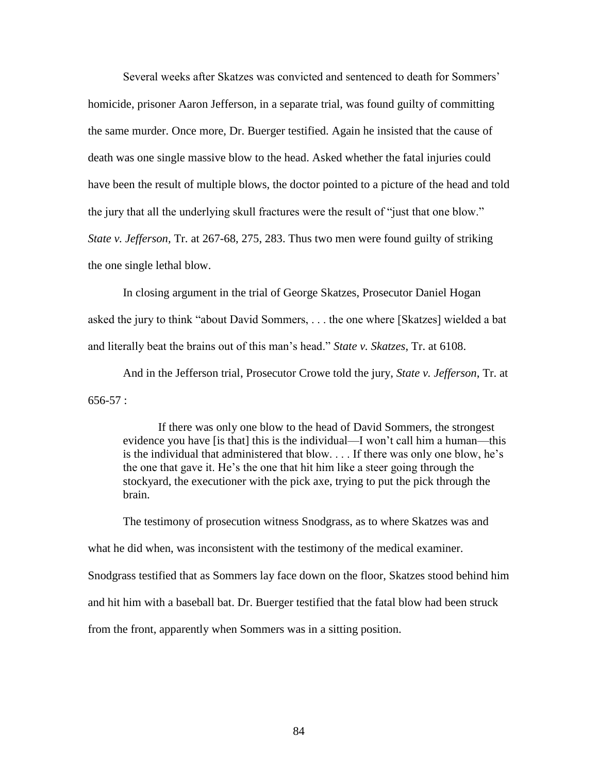Several weeks after Skatzes was convicted and sentenced to death for Sommers' homicide, prisoner Aaron Jefferson, in a separate trial, was found guilty of committing the same murder. Once more, Dr. Buerger testified. Again he insisted that the cause of death was one single massive blow to the head. Asked whether the fatal injuries could have been the result of multiple blows, the doctor pointed to a picture of the head and told the jury that all the underlying skull fractures were the result of "just that one blow." *State v. Jefferson,* Tr. at 267-68, 275, 283. Thus two men were found guilty of striking the one single lethal blow.

In closing argument in the trial of George Skatzes, Prosecutor Daniel Hogan asked the jury to think "about David Sommers, . . . the one where [Skatzes] wielded a bat and literally beat the brains out of this man's head." *State v. Skatzes*, Tr. at 6108.

And in the Jefferson trial, Prosecutor Crowe told the jury, *State v. Jefferson*, Tr. at 656-57 :

If there was only one blow to the head of David Sommers, the strongest evidence you have [is that] this is the individual—I won't call him a human—this is the individual that administered that blow. . . . If there was only one blow, he's the one that gave it. He's the one that hit him like a steer going through the stockyard, the executioner with the pick axe, trying to put the pick through the brain.

The testimony of prosecution witness Snodgrass, as to where Skatzes was and what he did when, was inconsistent with the testimony of the medical examiner. Snodgrass testified that as Sommers lay face down on the floor, Skatzes stood behind him and hit him with a baseball bat. Dr. Buerger testified that the fatal blow had been struck from the front, apparently when Sommers was in a sitting position.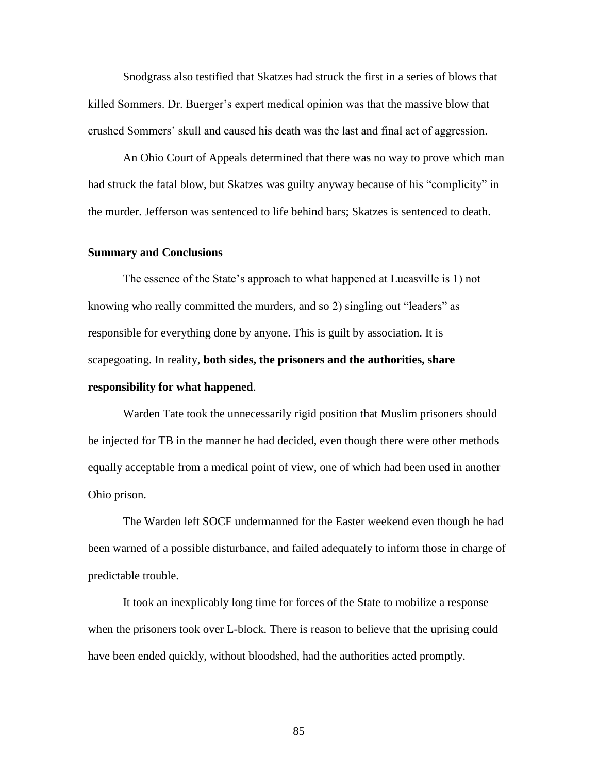Snodgrass also testified that Skatzes had struck the first in a series of blows that killed Sommers. Dr. Buerger's expert medical opinion was that the massive blow that crushed Sommers' skull and caused his death was the last and final act of aggression.

An Ohio Court of Appeals determined that there was no way to prove which man had struck the fatal blow, but Skatzes was guilty anyway because of his "complicity" in the murder. Jefferson was sentenced to life behind bars; Skatzes is sentenced to death.

## **Summary and Conclusions**

The essence of the State's approach to what happened at Lucasville is 1) not knowing who really committed the murders, and so 2) singling out "leaders" as responsible for everything done by anyone. This is guilt by association. It is scapegoating. In reality, **both sides, the prisoners and the authorities, share responsibility for what happened**.

Warden Tate took the unnecessarily rigid position that Muslim prisoners should be injected for TB in the manner he had decided, even though there were other methods equally acceptable from a medical point of view, one of which had been used in another Ohio prison.

The Warden left SOCF undermanned for the Easter weekend even though he had been warned of a possible disturbance, and failed adequately to inform those in charge of predictable trouble.

It took an inexplicably long time for forces of the State to mobilize a response when the prisoners took over L-block. There is reason to believe that the uprising could have been ended quickly, without bloodshed, had the authorities acted promptly.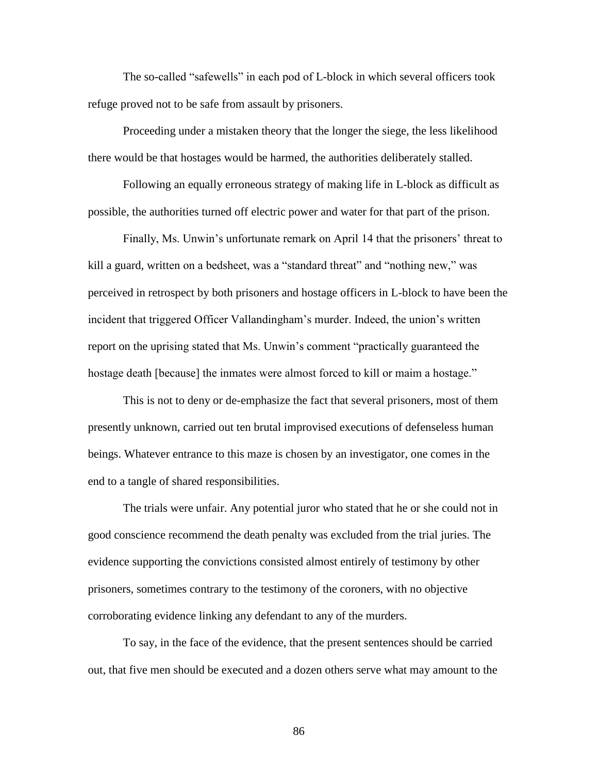The so-called "safewells" in each pod of L-block in which several officers took refuge proved not to be safe from assault by prisoners.

Proceeding under a mistaken theory that the longer the siege, the less likelihood there would be that hostages would be harmed, the authorities deliberately stalled.

Following an equally erroneous strategy of making life in L-block as difficult as possible, the authorities turned off electric power and water for that part of the prison.

Finally, Ms. Unwin's unfortunate remark on April 14 that the prisoners' threat to kill a guard, written on a bedsheet, was a "standard threat" and "nothing new," was perceived in retrospect by both prisoners and hostage officers in L-block to have been the incident that triggered Officer Vallandingham's murder. Indeed, the union's written report on the uprising stated that Ms. Unwin's comment "practically guaranteed the hostage death [because] the inmates were almost forced to kill or maim a hostage."

This is not to deny or de-emphasize the fact that several prisoners, most of them presently unknown, carried out ten brutal improvised executions of defenseless human beings. Whatever entrance to this maze is chosen by an investigator, one comes in the end to a tangle of shared responsibilities.

The trials were unfair. Any potential juror who stated that he or she could not in good conscience recommend the death penalty was excluded from the trial juries. The evidence supporting the convictions consisted almost entirely of testimony by other prisoners, sometimes contrary to the testimony of the coroners, with no objective corroborating evidence linking any defendant to any of the murders.

To say, in the face of the evidence, that the present sentences should be carried out, that five men should be executed and a dozen others serve what may amount to the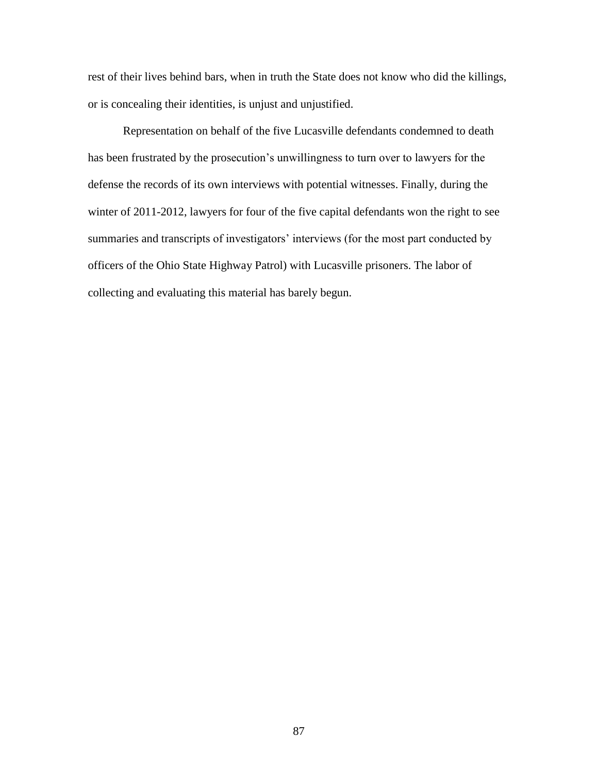rest of their lives behind bars, when in truth the State does not know who did the killings, or is concealing their identities, is unjust and unjustified.

Representation on behalf of the five Lucasville defendants condemned to death has been frustrated by the prosecution's unwillingness to turn over to lawyers for the defense the records of its own interviews with potential witnesses. Finally, during the winter of 2011-2012, lawyers for four of the five capital defendants won the right to see summaries and transcripts of investigators' interviews (for the most part conducted by officers of the Ohio State Highway Patrol) with Lucasville prisoners. The labor of collecting and evaluating this material has barely begun.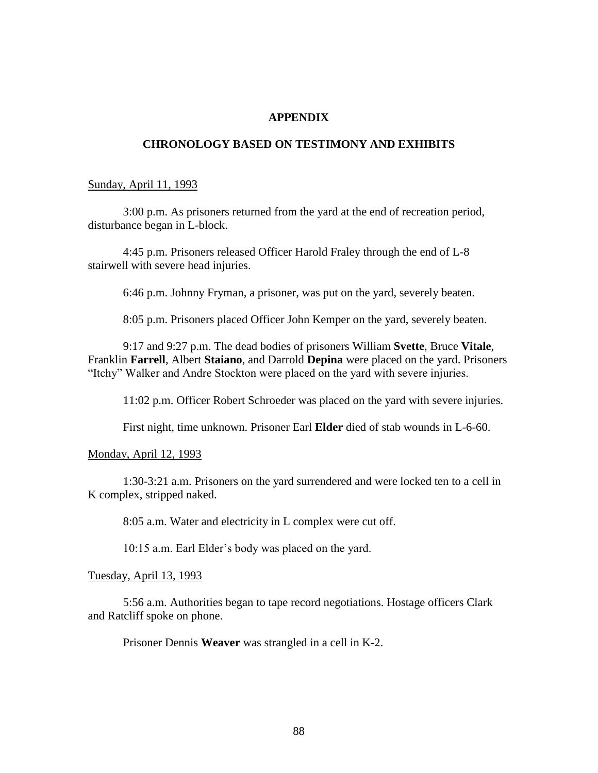## **APPENDIX**

# **CHRONOLOGY BASED ON TESTIMONY AND EXHIBITS**

#### Sunday, April 11, 1993

3:00 p.m. As prisoners returned from the yard at the end of recreation period, disturbance began in L-block.

4:45 p.m. Prisoners released Officer Harold Fraley through the end of L-8 stairwell with severe head injuries.

6:46 p.m. Johnny Fryman, a prisoner, was put on the yard, severely beaten.

8:05 p.m. Prisoners placed Officer John Kemper on the yard, severely beaten.

9:17 and 9:27 p.m. The dead bodies of prisoners William **Svette**, Bruce **Vitale**, Franklin **Farrell**, Albert **Staiano**, and Darrold **Depina** were placed on the yard. Prisoners "Itchy" Walker and Andre Stockton were placed on the yard with severe injuries.

11:02 p.m. Officer Robert Schroeder was placed on the yard with severe injuries.

First night, time unknown. Prisoner Earl **Elder** died of stab wounds in L-6-60.

#### Monday, April 12, 1993

1:30-3:21 a.m. Prisoners on the yard surrendered and were locked ten to a cell in K complex, stripped naked.

8:05 a.m. Water and electricity in L complex were cut off.

10:15 a.m. Earl Elder's body was placed on the yard.

## Tuesday, April 13, 1993

5:56 a.m. Authorities began to tape record negotiations. Hostage officers Clark and Ratcliff spoke on phone.

Prisoner Dennis **Weaver** was strangled in a cell in K-2.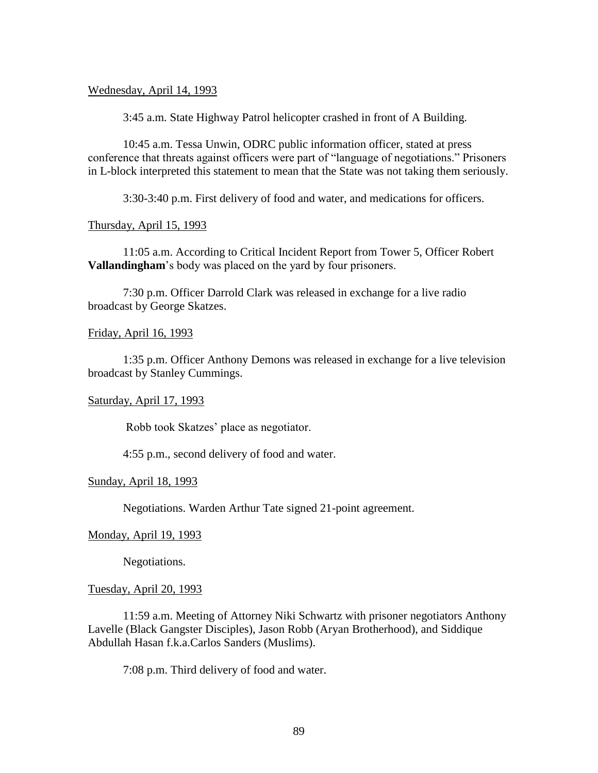## Wednesday, April 14, 1993

3:45 a.m. State Highway Patrol helicopter crashed in front of A Building.

10:45 a.m. Tessa Unwin, ODRC public information officer, stated at press conference that threats against officers were part of "language of negotiations." Prisoners in L-block interpreted this statement to mean that the State was not taking them seriously.

3:30-3:40 p.m. First delivery of food and water, and medications for officers.

## Thursday, April 15, 1993

11:05 a.m. According to Critical Incident Report from Tower 5, Officer Robert **Vallandingham**'s body was placed on the yard by four prisoners.

7:30 p.m. Officer Darrold Clark was released in exchange for a live radio broadcast by George Skatzes.

## Friday, April 16, 1993

1:35 p.m. Officer Anthony Demons was released in exchange for a live television broadcast by Stanley Cummings.

## Saturday, April 17, 1993

Robb took Skatzes' place as negotiator.

4:55 p.m., second delivery of food and water.

## Sunday, April 18, 1993

Negotiations. Warden Arthur Tate signed 21-point agreement.

### Monday, April 19, 1993

Negotiations.

### Tuesday, April 20, 1993

11:59 a.m. Meeting of Attorney Niki Schwartz with prisoner negotiators Anthony Lavelle (Black Gangster Disciples), Jason Robb (Aryan Brotherhood), and Siddique Abdullah Hasan f.k.a.Carlos Sanders (Muslims).

7:08 p.m. Third delivery of food and water.